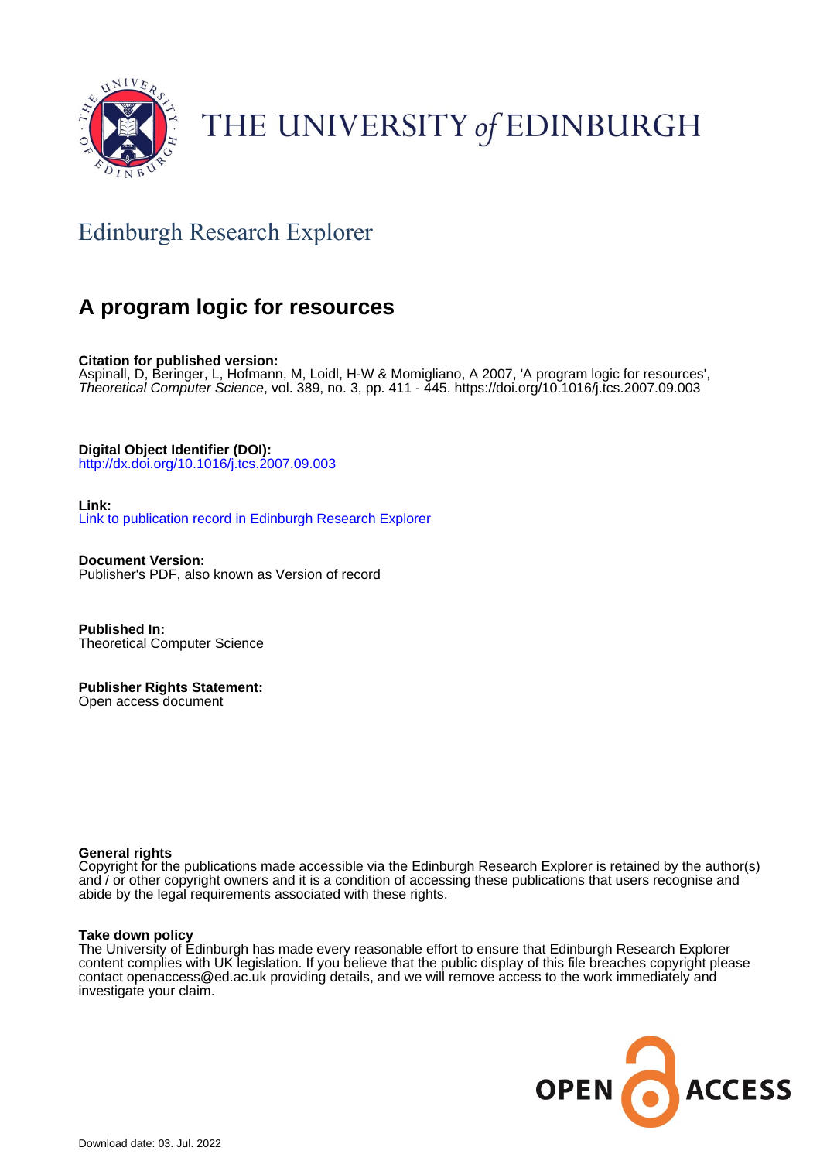

# THE UNIVERSITY of EDINBURGH

## Edinburgh Research Explorer

## **A program logic for resources**

**Citation for published version:** Aspinall, D, Beringer, L, Hofmann, M, Loidl, H-W & Momigliano, A 2007, 'A program logic for resources', Theoretical Computer Science, vol. 389, no. 3, pp. 411 - 445. <https://doi.org/10.1016/j.tcs.2007.09.003>

**Digital Object Identifier (DOI):**

[http://dx.doi.org/10.1016/j.tcs.2007.09.003](https://doi.org/10.1016/j.tcs.2007.09.003)

**Link:**

[Link to publication record in Edinburgh Research Explorer](https://www.research.ed.ac.uk/en/publications/444cd0e5-b8f7-4e33-9b0d-c6a88a5fb236)

**Document Version:** Publisher's PDF, also known as Version of record

**Published In:** Theoretical Computer Science

**Publisher Rights Statement:** Open access document

#### **General rights**

Copyright for the publications made accessible via the Edinburgh Research Explorer is retained by the author(s) and / or other copyright owners and it is a condition of accessing these publications that users recognise and abide by the legal requirements associated with these rights.

#### **Take down policy**

The University of Edinburgh has made every reasonable effort to ensure that Edinburgh Research Explorer content complies with UK legislation. If you believe that the public display of this file breaches copyright please contact openaccess@ed.ac.uk providing details, and we will remove access to the work immediately and investigate your claim.

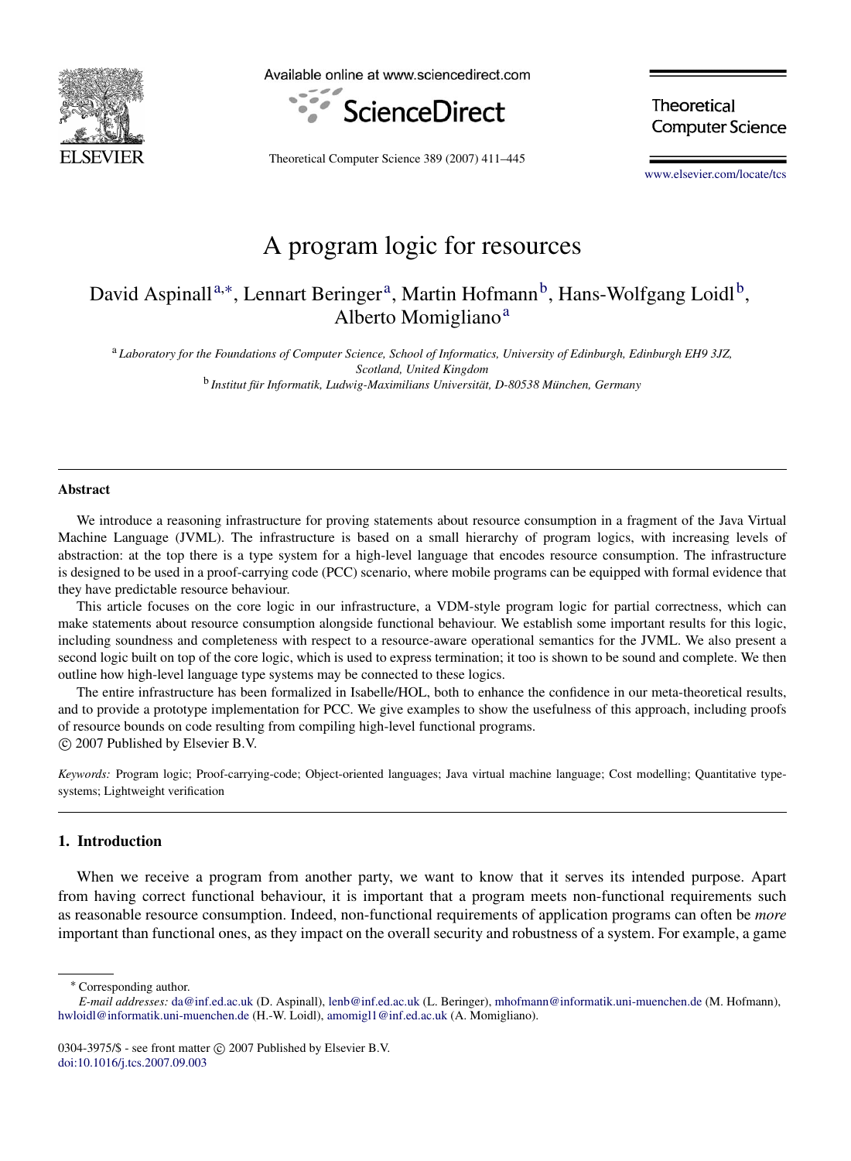

Available online at www.sciencedirect.com



**Theoretical Computer Science** 

Theoretical Computer Science 389 (2007) 411–445

[www.elsevier.com/locate/tcs](http://www.elsevier.com/locate/tcs)

### A program logic for resources

### David Aspinall<sup>[a,](#page-1-0)\*</sup>, Lenn[a](#page-1-0)rt Beringer<sup>a</sup>, Martin Hofmann<sup>[b](#page-1-2)</sup>, Hans-Wolfgang Loidl<sup>b</sup>, Alberto Momigli[a](#page-1-0)no<sup>a</sup>

<span id="page-1-0"></span><sup>a</sup> *Laboratory for the Foundations of Computer Science, School of Informatics, University of Edinburgh, Edinburgh EH9 3JZ, Scotland, United Kingdom*

<span id="page-1-2"></span><sup>b</sup> Institut für Informatik, Ludwig-Maximilians Universität, D-80538 München, Germany

#### Abstract

We introduce a reasoning infrastructure for proving statements about resource consumption in a fragment of the Java Virtual Machine Language (JVML). The infrastructure is based on a small hierarchy of program logics, with increasing levels of abstraction: at the top there is a type system for a high-level language that encodes resource consumption. The infrastructure is designed to be used in a proof-carrying code (PCC) scenario, where mobile programs can be equipped with formal evidence that they have predictable resource behaviour.

This article focuses on the core logic in our infrastructure, a VDM-style program logic for partial correctness, which can make statements about resource consumption alongside functional behaviour. We establish some important results for this logic, including soundness and completeness with respect to a resource-aware operational semantics for the JVML. We also present a second logic built on top of the core logic, which is used to express termination; it too is shown to be sound and complete. We then outline how high-level language type systems may be connected to these logics.

The entire infrastructure has been formalized in Isabelle/HOL, both to enhance the confidence in our meta-theoretical results, and to provide a prototype implementation for PCC. We give examples to show the usefulness of this approach, including proofs of resource bounds on code resulting from compiling high-level functional programs. c 2007 Published by Elsevier B.V.

*Keywords:* Program logic; Proof-carrying-code; Object-oriented languages; Java virtual machine language; Cost modelling; Quantitative typesystems; Lightweight verification

#### 1. Introduction

When we receive a program from another party, we want to know that it serves its intended purpose. Apart from having correct functional behaviour, it is important that a program meets non-functional requirements such as reasonable resource consumption. Indeed, non-functional requirements of application programs can often be *more* important than functional ones, as they impact on the overall security and robustness of a system. For example, a game

<span id="page-1-1"></span><sup>∗</sup> Corresponding author.

*E-mail addresses:* [da@inf.ed.ac.uk](mailto:da@inf.ed.ac.uk) (D. Aspinall), [lenb@inf.ed.ac.uk](mailto:lenb@inf.ed.ac.uk) (L. Beringer), [mhofmann@informatik.uni-muenchen.de](mailto:mhofmann@informatik.uni-muenchen.de) (M. Hofmann), [hwloidl@informatik.uni-muenchen.de](mailto:hwloidl@informatik.uni-muenchen.de) (H.-W. Loidl), [amomigl1@inf.ed.ac.uk](mailto:amomigl1@inf.ed.ac.uk) (A. Momigliano).

<sup>0304-3975/\$ -</sup> see front matter  $\circled{c}$  2007 Published by Elsevier B.V. [doi:10.1016/j.tcs.2007.09.003](http://dx.doi.org/10.1016/j.tcs.2007.09.003)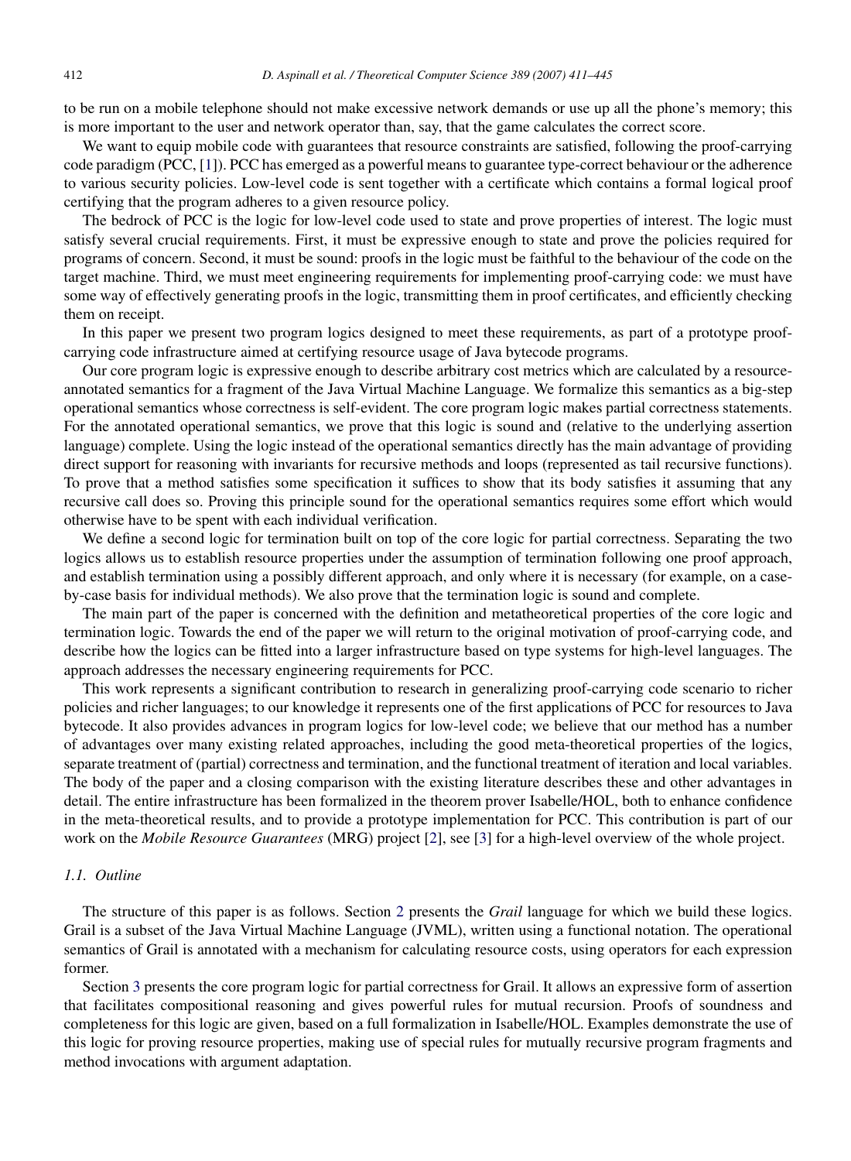to be run on a mobile telephone should not make excessive network demands or use up all the phone's memory; this is more important to the user and network operator than, say, that the game calculates the correct score.

We want to equip mobile code with guarantees that resource constraints are satisfied, following the proof-carrying code paradigm (PCC, [\[1\]](#page-33-0)). PCC has emerged as a powerful means to guarantee type-correct behaviour or the adherence to various security policies. Low-level code is sent together with a certificate which contains a formal logical proof certifying that the program adheres to a given resource policy.

The bedrock of PCC is the logic for low-level code used to state and prove properties of interest. The logic must satisfy several crucial requirements. First, it must be expressive enough to state and prove the policies required for programs of concern. Second, it must be sound: proofs in the logic must be faithful to the behaviour of the code on the target machine. Third, we must meet engineering requirements for implementing proof-carrying code: we must have some way of effectively generating proofs in the logic, transmitting them in proof certificates, and efficiently checking them on receipt.

In this paper we present two program logics designed to meet these requirements, as part of a prototype proofcarrying code infrastructure aimed at certifying resource usage of Java bytecode programs.

Our core program logic is expressive enough to describe arbitrary cost metrics which are calculated by a resourceannotated semantics for a fragment of the Java Virtual Machine Language. We formalize this semantics as a big-step operational semantics whose correctness is self-evident. The core program logic makes partial correctness statements. For the annotated operational semantics, we prove that this logic is sound and (relative to the underlying assertion language) complete. Using the logic instead of the operational semantics directly has the main advantage of providing direct support for reasoning with invariants for recursive methods and loops (represented as tail recursive functions). To prove that a method satisfies some specification it suffices to show that its body satisfies it assuming that any recursive call does so. Proving this principle sound for the operational semantics requires some effort which would otherwise have to be spent with each individual verification.

We define a second logic for termination built on top of the core logic for partial correctness. Separating the two logics allows us to establish resource properties under the assumption of termination following one proof approach, and establish termination using a possibly different approach, and only where it is necessary (for example, on a caseby-case basis for individual methods). We also prove that the termination logic is sound and complete.

The main part of the paper is concerned with the definition and metatheoretical properties of the core logic and termination logic. Towards the end of the paper we will return to the original motivation of proof-carrying code, and describe how the logics can be fitted into a larger infrastructure based on type systems for high-level languages. The approach addresses the necessary engineering requirements for PCC.

This work represents a significant contribution to research in generalizing proof-carrying code scenario to richer policies and richer languages; to our knowledge it represents one of the first applications of PCC for resources to Java bytecode. It also provides advances in program logics for low-level code; we believe that our method has a number of advantages over many existing related approaches, including the good meta-theoretical properties of the logics, separate treatment of (partial) correctness and termination, and the functional treatment of iteration and local variables. The body of the paper and a closing comparison with the existing literature describes these and other advantages in detail. The entire infrastructure has been formalized in the theorem prover Isabelle/HOL, both to enhance confidence in the meta-theoretical results, and to provide a prototype implementation for PCC. This contribution is part of our work on the *Mobile Resource Guarantees* (MRG) project [\[2\]](#page-33-1), see [\[3\]](#page-33-2) for a high-level overview of the whole project.

#### *1.1. Outline*

The structure of this paper is as follows. Section [2](#page-3-0) presents the *Grail* language for which we build these logics. Grail is a subset of the Java Virtual Machine Language (JVML), written using a functional notation. The operational semantics of Grail is annotated with a mechanism for calculating resource costs, using operators for each expression former.

Section [3](#page-9-0) presents the core program logic for partial correctness for Grail. It allows an expressive form of assertion that facilitates compositional reasoning and gives powerful rules for mutual recursion. Proofs of soundness and completeness for this logic are given, based on a full formalization in Isabelle/HOL. Examples demonstrate the use of this logic for proving resource properties, making use of special rules for mutually recursive program fragments and method invocations with argument adaptation.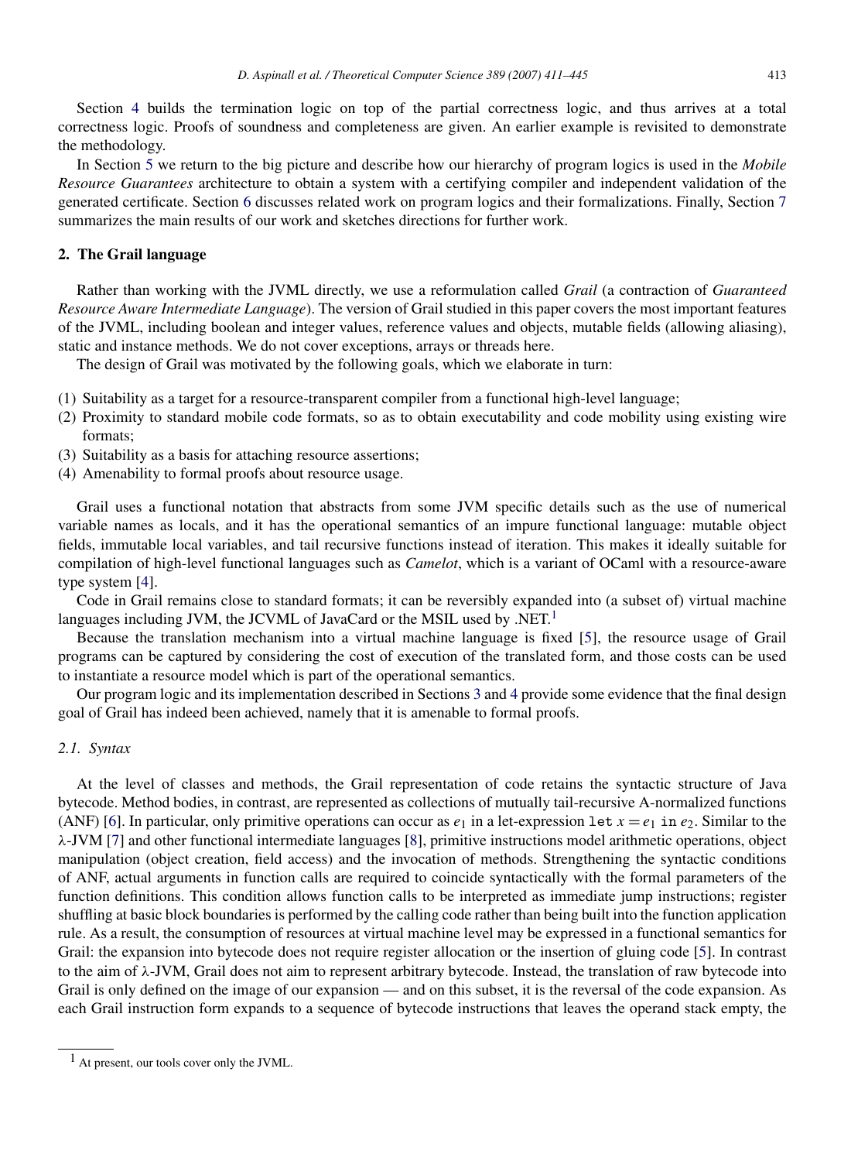Section [4](#page-22-0) builds the termination logic on top of the partial correctness logic, and thus arrives at a total correctness logic. Proofs of soundness and completeness are given. An earlier example is revisited to demonstrate the methodology.

In Section [5](#page-27-0) we return to the big picture and describe how our hierarchy of program logics is used in the *Mobile Resource Guarantees* architecture to obtain a system with a certifying compiler and independent validation of the generated certificate. Section [6](#page-29-0) discusses related work on program logics and their formalizations. Finally, Section [7](#page-31-0) summarizes the main results of our work and sketches directions for further work.

#### <span id="page-3-0"></span>2. The Grail language

Rather than working with the JVML directly, we use a reformulation called *Grail* (a contraction of *Guaranteed Resource Aware Intermediate Language*). The version of Grail studied in this paper covers the most important features of the JVML, including boolean and integer values, reference values and objects, mutable fields (allowing aliasing), static and instance methods. We do not cover exceptions, arrays or threads here.

The design of Grail was motivated by the following goals, which we elaborate in turn:

- (1) Suitability as a target for a resource-transparent compiler from a functional high-level language;
- (2) Proximity to standard mobile code formats, so as to obtain executability and code mobility using existing wire formats;
- (3) Suitability as a basis for attaching resource assertions;
- (4) Amenability to formal proofs about resource usage.

Grail uses a functional notation that abstracts from some JVM specific details such as the use of numerical variable names as locals, and it has the operational semantics of an impure functional language: mutable object fields, immutable local variables, and tail recursive functions instead of iteration. This makes it ideally suitable for compilation of high-level functional languages such as *Camelot*, which is a variant of OCaml with a resource-aware type system [\[4\]](#page-33-3).

Code in Grail remains close to standard formats; it can be reversibly expanded into (a subset of) virtual machine languages including JVM, the JCVML of JavaCard or the MSIL used by .NET.<sup>[1](#page-3-1)</sup>

Because the translation mechanism into a virtual machine language is fixed [\[5\]](#page-33-4), the resource usage of Grail programs can be captured by considering the cost of execution of the translated form, and those costs can be used to instantiate a resource model which is part of the operational semantics.

Our program logic and its implementation described in Sections [3](#page-9-0) and [4](#page-22-0) provide some evidence that the final design goal of Grail has indeed been achieved, namely that it is amenable to formal proofs.

#### *2.1. Syntax*

At the level of classes and methods, the Grail representation of code retains the syntactic structure of Java bytecode. Method bodies, in contrast, are represented as collections of mutually tail-recursive A-normalized functions (ANF) [\[6\]](#page-33-5). In particular, only primitive operations can occur as  $e_1$  in a let-expression let  $x = e_1$  in  $e_2$ . Similar to the λ-JVM [\[7\]](#page-33-6) and other functional intermediate languages [\[8\]](#page-33-7), primitive instructions model arithmetic operations, object manipulation (object creation, field access) and the invocation of methods. Strengthening the syntactic conditions of ANF, actual arguments in function calls are required to coincide syntactically with the formal parameters of the function definitions. This condition allows function calls to be interpreted as immediate jump instructions; register shuffling at basic block boundaries is performed by the calling code rather than being built into the function application rule. As a result, the consumption of resources at virtual machine level may be expressed in a functional semantics for Grail: the expansion into bytecode does not require register allocation or the insertion of gluing code [\[5\]](#page-33-4). In contrast to the aim of  $\lambda$ -JVM, Grail does not aim to represent arbitrary bytecode. Instead, the translation of raw bytecode into Grail is only defined on the image of our expansion — and on this subset, it is the reversal of the code expansion. As each Grail instruction form expands to a sequence of bytecode instructions that leaves the operand stack empty, the

<span id="page-3-1"></span> $<sup>1</sup>$  At present, our tools cover only the JVML.</sup>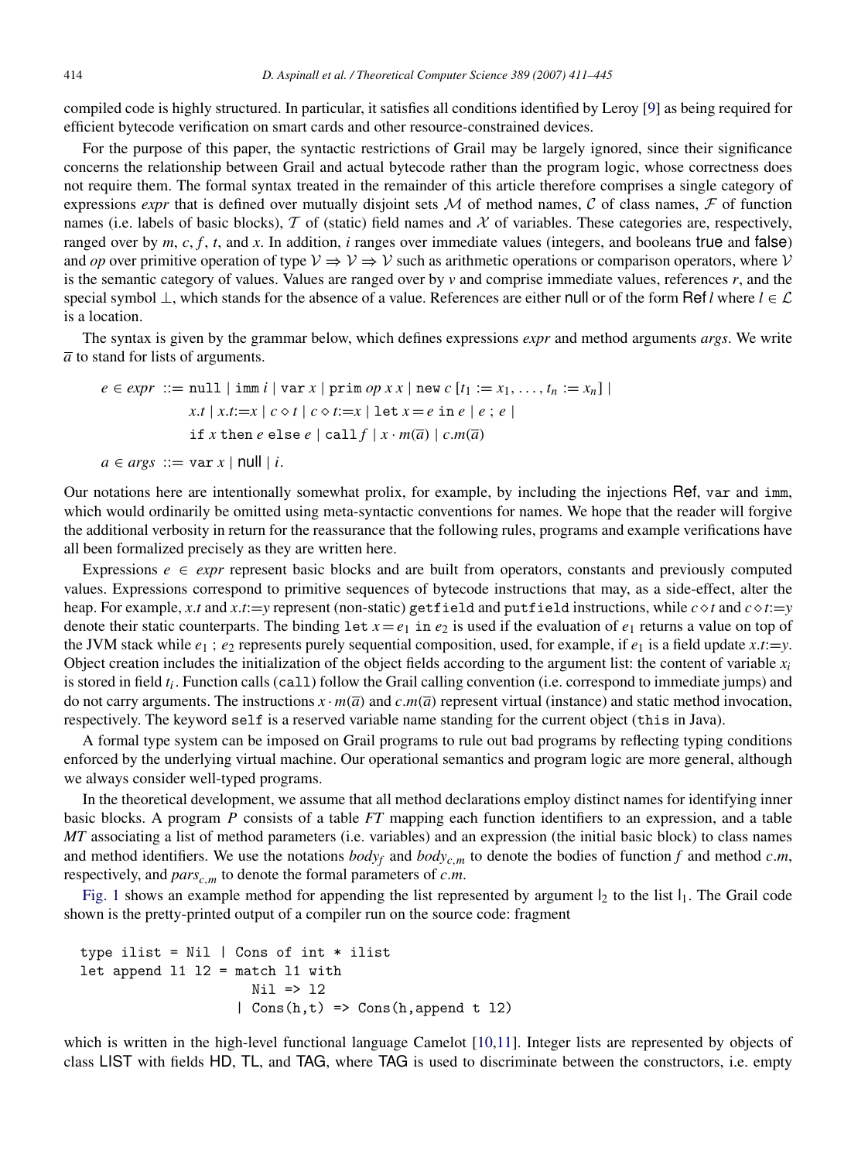compiled code is highly structured. In particular, it satisfies all conditions identified by Leroy [\[9\]](#page-33-8) as being required for efficient bytecode verification on smart cards and other resource-constrained devices.

For the purpose of this paper, the syntactic restrictions of Grail may be largely ignored, since their significance concerns the relationship between Grail and actual bytecode rather than the program logic, whose correctness does not require them. The formal syntax treated in the remainder of this article therefore comprises a single category of expressions *expr* that is defined over mutually disjoint sets M of method names, C of class names, F of function names (i.e. labels of basic blocks), T of (static) field names and X of variables. These categories are, respectively, ranged over by *m*, *c*, *f* , *t*, and *x*. In addition, *i* ranges over immediate values (integers, and booleans true and false) and *op* over primitive operation of type  $V \Rightarrow V \Rightarrow V$  such as arithmetic operations or comparison operators, where V is the semantic category of values. Values are ranged over by *v* and comprise immediate values, references *r*, and the special symbol ⊥, which stands for the absence of a value. References are either null or of the form Ref *l* where  $l \in \mathcal{L}$ is a location.

The syntax is given by the grammar below, which defines expressions *expr* and method arguments *args*. We write  $\overline{a}$  to stand for lists of arguments.

$$
e \in expr ::= null \mid \text{imm } i \mid \text{var } x \mid \text{prim } op \ x \ x \mid \text{new } c \ [t_1 := x_1, \dots, t_n := x_n] \mid
$$
\n
$$
x.t \mid x.t := x \mid c \diamond t \mid c \diamond t := x \mid \text{let } x = e \text{ in } e \mid e \ ; e \mid
$$
\n
$$
\text{if } x \text{ then } e \text{ else } e \mid \text{call } f \mid x \cdot m(\overline{a}) \mid c.m(\overline{a})
$$
\n
$$
a \in args ::= \text{var } x \mid \text{null} \mid i.
$$

Our notations here are intentionally somewhat prolix, for example, by including the injections Ref, var and imm, which would ordinarily be omitted using meta-syntactic conventions for names. We hope that the reader will forgive the additional verbosity in return for the reassurance that the following rules, programs and example verifications have all been formalized precisely as they are written here.

Expressions  $e \in \text{expr}$  represent basic blocks and are built from operators, constants and previously computed values. Expressions correspond to primitive sequences of bytecode instructions that may, as a side-effect, alter the heap. For example, *x*.*t* and *x*.*t*:=*y* represent (non-static) getfield and putfield instructions, while *ct* and *ct*:=*y* denote their static counterparts. The binding let  $x = e_1$  in  $e_2$  is used if the evaluation of  $e_1$  returns a value on top of the JVM stack while  $e_1$ ;  $e_2$  represents purely sequential composition, used, for example, if  $e_1$  is a field update *x*.*t*:=*y*. Object creation includes the initialization of the object fields according to the argument list: the content of variable  $x_i$ is stored in field  $t_i$ . Function calls (call) follow the Grail calling convention (i.e. correspond to immediate jumps) and do not carry arguments. The instructions  $x \cdot m(\overline{a})$  and  $c.m(\overline{a})$  represent virtual (instance) and static method invocation, respectively. The keyword self is a reserved variable name standing for the current object (this in Java).

A formal type system can be imposed on Grail programs to rule out bad programs by reflecting typing conditions enforced by the underlying virtual machine. Our operational semantics and program logic are more general, although we always consider well-typed programs.

In the theoretical development, we assume that all method declarations employ distinct names for identifying inner basic blocks. A program *P* consists of a table *FT* mapping each function identifiers to an expression, and a table *MT* associating a list of method parameters (i.e. variables) and an expression (the initial basic block) to class names and method identifiers. We use the notations  $body_f$  and  $body_{c,m}$  to denote the bodies of function *f* and method *c*.*m*, respectively, and  $pars_{c,m}$  to denote the formal parameters of  $c.m$ .

[Fig.](#page-5-0) [1](#page-5-0) shows an example method for appending the list represented by argument  $l_2$  to the list  $l_1$ . The Grail code shown is the pretty-printed output of a compiler run on the source code: fragment

```
type ilist = Nil | Cons of int * ilist
let append 11 12 = match 11 with
                     Nil => l2
                   | Cons(h,t) => Cons(h,append t 12)
```
which is written in the high-level functional language Camelot [\[10](#page-33-9)[,11\]](#page-33-10). Integer lists are represented by objects of class LIST with fields HD, TL, and TAG, where TAG is used to discriminate between the constructors, i.e. empty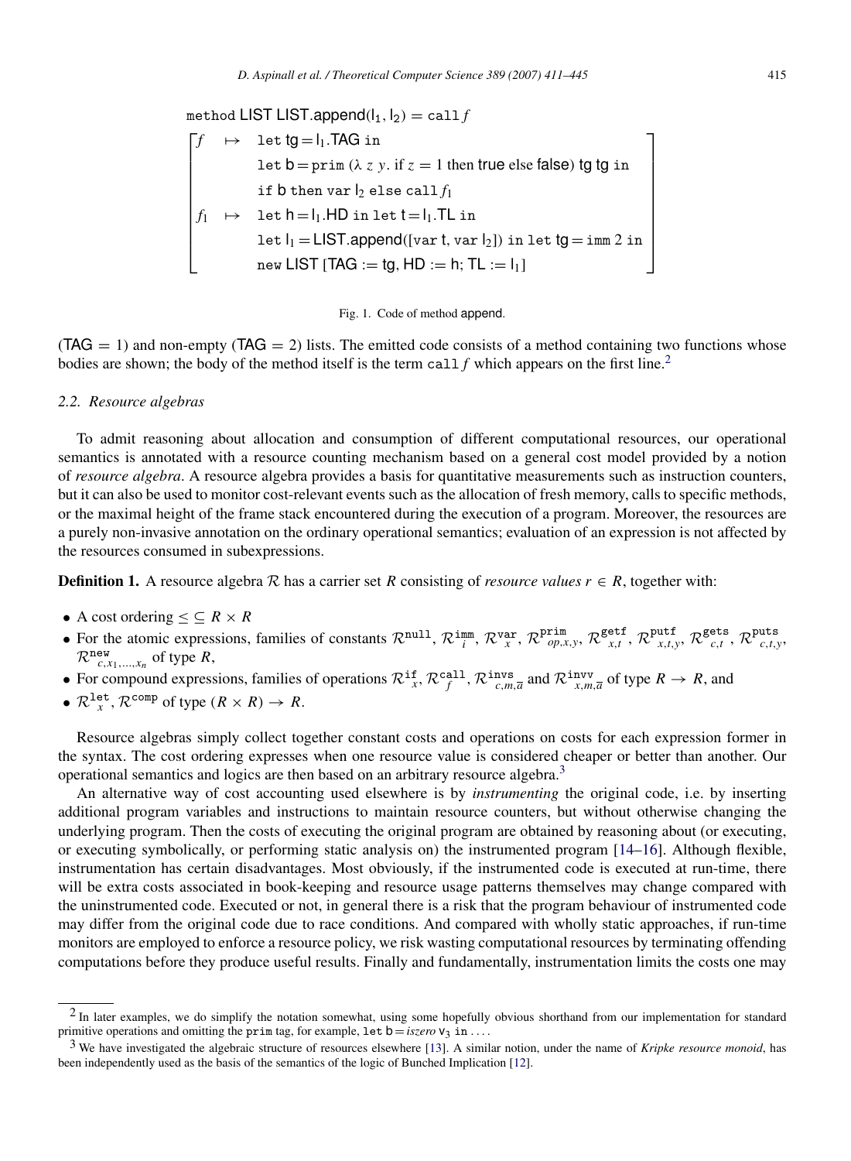<span id="page-5-0"></span>method LIST LIST.append $(l_1, l_2) =$ call *f* Г.  $f \rightarrow$  let  $tg = l_1$ .TAG in let  $b = prim (\lambda z y.$  if  $z = 1$  then true else false) tg tg in if  $b$  then var  $l_2$  else call  $f_1$  $f_1 \rightarrow \text{let } h = l_1.HD \text{ in } \text{let } t = l_1.TL \text{ in }$ let  $I_1 =$  LIST.append([var t, var  $I_2$ ]) in let tg = imm 2 in  $IST$  [TAG  $:=$  tg, HD  $:=$  h; TL  $:=$   $I_1$ ] ٦ 



 $(TAG = 1)$  and non-empty  $(TAG = 2)$  lists. The emitted code consists of a method containing two functions whose bodies are shown; the body of the method itself is the term call  $f$  which appears on the first line.<sup>[2](#page-5-1)</sup>

#### *2.2. Resource algebras*

To admit reasoning about allocation and consumption of different computational resources, our operational semantics is annotated with a resource counting mechanism based on a general cost model provided by a notion of *resource algebra*. A resource algebra provides a basis for quantitative measurements such as instruction counters, but it can also be used to monitor cost-relevant events such as the allocation of fresh memory, calls to specific methods, or the maximal height of the frame stack encountered during the execution of a program. Moreover, the resources are a purely non-invasive annotation on the ordinary operational semantics; evaluation of an expression is not affected by the resources consumed in subexpressions.

**Definition 1.** A resource algebra R has a carrier set R consisting of *resource values*  $r \in R$ , together with:

- A cost ordering  $\lt$   $\lt$   $R \times R$
- For the atomic expressions, families of constants  $\mathcal{R}^{\text{null}}, \mathcal{R}^{\text{imm}}_{i}$ ,  $\mathcal{R}^{\text{var}}_{x}$ ,  $\mathcal{R}^{\text{Prim}}_{op,x,y}$ ,  $\mathcal{R}^{\text{self}}_{x,t}$ ,  $\mathcal{R}^{\text{putf}}_{x,t,y}$ ,  $\mathcal{R}^{\text{gets}}_{c,t}$ ,  $\mathcal{R}^{\text{puts}}_{c,t,y}$  $\mathcal{R}_{c,x_1,\ldots,x_n}^{\text{new}}$  of type  $R$ ,
- For compound expressions, families of operations  $\mathcal{R}_{x}^{f}$ ,  $\mathcal{R}_{f}^{\text{call}}, \mathcal{R}_{c,m,\overline{a}}^{\text{inv}}$  and  $\mathcal{R}_{x,m,\overline{a}}^{\text{inv}}$  of type  $R \to R$ , and
- $\mathcal{R}^{\text{let}}_{x}$ ,  $\mathcal{R}^{\text{comp}}$  of type  $(R \times R) \to R$ .

Resource algebras simply collect together constant costs and operations on costs for each expression former in the syntax. The cost ordering expresses when one resource value is considered cheaper or better than another. Our operational semantics and logics are then based on an arbitrary resource algebra.[3](#page-5-2)

An alternative way of cost accounting used elsewhere is by *instrumenting* the original code, i.e. by inserting additional program variables and instructions to maintain resource counters, but without otherwise changing the underlying program. Then the costs of executing the original program are obtained by reasoning about (or executing, or executing symbolically, or performing static analysis on) the instrumented program [\[14–](#page-33-11)[16\]](#page-33-12). Although flexible, instrumentation has certain disadvantages. Most obviously, if the instrumented code is executed at run-time, there will be extra costs associated in book-keeping and resource usage patterns themselves may change compared with the uninstrumented code. Executed or not, in general there is a risk that the program behaviour of instrumented code may differ from the original code due to race conditions. And compared with wholly static approaches, if run-time monitors are employed to enforce a resource policy, we risk wasting computational resources by terminating offending computations before they produce useful results. Finally and fundamentally, instrumentation limits the costs one may

<span id="page-5-1"></span><sup>&</sup>lt;sup>2</sup> In later examples, we do simplify the notation somewhat, using some hopefully obvious shorthand from our implementation for standard primitive operations and omitting the prim tag, for example,  $\text{let } b = \text{iszero } v_3 \text{ in} \dots$ 

<span id="page-5-2"></span><sup>3</sup> We have investigated the algebraic structure of resources elsewhere [\[13\]](#page-33-13). A similar notion, under the name of *Kripke resource monoid*, has been independently used as the basis of the semantics of the logic of Bunched Implication [\[12\]](#page-33-14).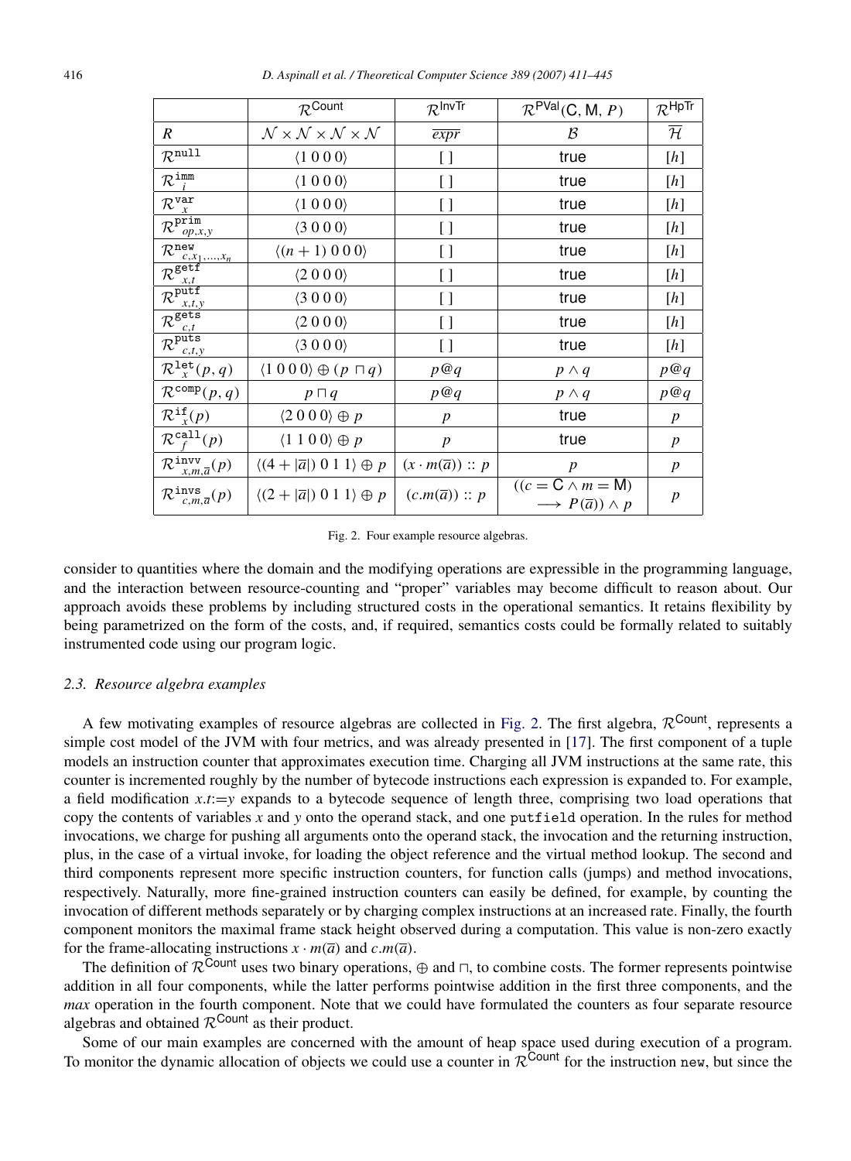<span id="page-6-0"></span>

|                                                                  | $\mathcal{R}^{\text{Count}}$                                     | $\mathcal{R}^{\mathsf{InvTr}}$   | $\mathcal{R}^{\mathsf{PVal}}(C, M, P)$                                  | $\mathcal{R}^{\mathsf{HpTr}}$                                                                                                                                                                                                                                                                                                                                                                                                                                                                                            |
|------------------------------------------------------------------|------------------------------------------------------------------|----------------------------------|-------------------------------------------------------------------------|--------------------------------------------------------------------------------------------------------------------------------------------------------------------------------------------------------------------------------------------------------------------------------------------------------------------------------------------------------------------------------------------------------------------------------------------------------------------------------------------------------------------------|
| $\overline{R}$                                                   | $\mathcal{N}\times\mathcal{N}\times\mathcal{N}\times\mathcal{N}$ | $\overline{expr}$                | B                                                                       | $\overline{\cal H}$                                                                                                                                                                                                                                                                                                                                                                                                                                                                                                      |
| $\mathcal{R}^{\texttt{null}}$                                    | (1000)                                                           | []                               | true                                                                    | $[h] \centering$                                                                                                                                                                                                                                                                                                                                                                                                                                                                                                         |
| $\mathcal{R}^{\text{imm}}_{i}$                                   | (1000)                                                           | []                               | true                                                                    | $[h] \centering \includegraphics[width=0.47\textwidth]{Figures/PD1.png} \caption{The 3D (black) model for the 3D (black) model. The 3D (black) model is shown in Fig.~\ref{fig:1}, (a) and (b) and (c) are shown in Fig.~\ref{fig:1}, (b) and (c) are shown in Fig.~\ref{fig:1}, (c) and (d) are shown in Fig.~\ref{fig:1}, (d) and (e) are shown in Fig.~\ref{fig:1}, (e) and (f) are shown in Fig.~\ref{fig:1}, (f) and (g) are shown in Fig.~\ref{fig:1}, (g) and (h) are shown in Fig.~\ref{fig:1}, (h) and (i) are$ |
| $\mathcal{R}_{x}^{\texttt{var}}$                                 | (1 0 0 0)                                                        | []                               | true                                                                    | $[h] \centering$                                                                                                                                                                                                                                                                                                                                                                                                                                                                                                         |
| $\overline{\mathcal{R}^{\texttt{prim}}_{op,x,y}}$                | $\langle 3000 \rangle$                                           | []                               | true                                                                    | [h]                                                                                                                                                                                                                                                                                                                                                                                                                                                                                                                      |
| $\frac{c_{1},x_{1},,x_{n}}{\mathcal{R}^{\texttt{getf}}}$         | $\langle (n+1) 0 0 0 \rangle$                                    | []                               | true                                                                    | [h]                                                                                                                                                                                                                                                                                                                                                                                                                                                                                                                      |
|                                                                  | $\langle 2000 \rangle$                                           | []                               | true                                                                    | [h]                                                                                                                                                                                                                                                                                                                                                                                                                                                                                                                      |
| $\frac{c_{x,t}}{\mathcal{R}^{\text{putf}}}$<br>x, t, y           | (3000)                                                           | $\left[ \ \right]$               | true                                                                    | $[h] \centering$                                                                                                                                                                                                                                                                                                                                                                                                                                                                                                         |
| $\mathcal{R}^{\frac{\lambda, l,}{\texttt{gets}}}$<br>c,t         | $\langle 2000 \rangle$                                           | []                               | true                                                                    | [h]                                                                                                                                                                                                                                                                                                                                                                                                                                                                                                                      |
| $\overline{\mathcal{R}^{\text{puts}}_{c,t,y}}$                   | $\langle 3000 \rangle$                                           | []                               | true                                                                    | $[h] \centering$                                                                                                                                                                                                                                                                                                                                                                                                                                                                                                         |
| $\mathcal{R}^{\texttt{let}}_{x}(p,q)$                            | $\langle 1000 \rangle \oplus (p \sqcap q)$                       | p@q                              | $p \wedge q$                                                            | p@q                                                                                                                                                                                                                                                                                                                                                                                                                                                                                                                      |
| $\mathcal{R}^{\text{comp}}(p,q)$                                 | $p \sqcap q$                                                     | p@q                              | $p \wedge q$                                                            | p@q                                                                                                                                                                                                                                                                                                                                                                                                                                                                                                                      |
| $\mathcal{R}^{\texttt{if}}_{x}(p)$                               | $\langle 2000 \rangle \oplus p$                                  | p                                | true                                                                    | $\boldsymbol{p}$                                                                                                                                                                                                                                                                                                                                                                                                                                                                                                         |
| $\mathcal{R}^{\mathtt{call}}_{\scriptscriptstyle\mathcal{F}}(p)$ | $\langle 1\ 1\ 0\ 0 \rangle \oplus p$                            | p                                | true                                                                    | $\boldsymbol{p}$                                                                                                                                                                                                                                                                                                                                                                                                                                                                                                         |
| $\mathcal{R}^{\text{inv}}_{x,m,\overline{a}}(p)$                 | $\langle (4+ \overline{a} ) 0 1 1 \rangle \oplus p$              | $(x \cdot m(\overline{a})) :: p$ | $\boldsymbol{p}$                                                        | $\boldsymbol{p}$                                                                                                                                                                                                                                                                                                                                                                                                                                                                                                         |
| $\mathcal{R}^{\text{invs}}_{c,m,\overline{a}}(p)$                | $\langle (2+ \overline{a} ) 0 1 1 \rangle \oplus p$              | $(c.m(\overline{a})) :: p$       | $((c = C \wedge m = M))$<br>$\longrightarrow P(\overline{a})) \wedge p$ | $\boldsymbol{p}$                                                                                                                                                                                                                                                                                                                                                                                                                                                                                                         |

Fig. 2. Four example resource algebras.

consider to quantities where the domain and the modifying operations are expressible in the programming language, and the interaction between resource-counting and "proper" variables may become difficult to reason about. Our approach avoids these problems by including structured costs in the operational semantics. It retains flexibility by being parametrized on the form of the costs, and, if required, semantics costs could be formally related to suitably instrumented code using our program logic.

#### *2.3. Resource algebra examples*

A few motivating examples of resource algebras are collected in [Fig.](#page-6-0) [2.](#page-6-0) The first algebra,  $\mathcal{R}^{\text{Count}}$ , represents a simple cost model of the JVM with four metrics, and was already presented in [\[17\]](#page-33-15). The first component of a tuple models an instruction counter that approximates execution time. Charging all JVM instructions at the same rate, this counter is incremented roughly by the number of bytecode instructions each expression is expanded to. For example, a field modification  $x.t:=y$  expands to a bytecode sequence of length three, comprising two load operations that copy the contents of variables *x* and *y* onto the operand stack, and one putfield operation. In the rules for method invocations, we charge for pushing all arguments onto the operand stack, the invocation and the returning instruction, plus, in the case of a virtual invoke, for loading the object reference and the virtual method lookup. The second and third components represent more specific instruction counters, for function calls (jumps) and method invocations, respectively. Naturally, more fine-grained instruction counters can easily be defined, for example, by counting the invocation of different methods separately or by charging complex instructions at an increased rate. Finally, the fourth component monitors the maximal frame stack height observed during a computation. This value is non-zero exactly for the frame-allocating instructions  $x \cdot m(\overline{a})$  and  $c.m(\overline{a})$ .

The definition of  $R^{\text{Count}}$  uses two binary operations,  $\oplus$  and  $\sqcap$ , to combine costs. The former represents pointwise addition in all four components, while the latter performs pointwise addition in the first three components, and the *max* operation in the fourth component. Note that we could have formulated the counters as four separate resource algebras and obtained  $\mathcal{R}^{\text{Count}}$  as their product.

Some of our main examples are concerned with the amount of heap space used during execution of a program. To monitor the dynamic allocation of objects we could use a counter in  $R^{\text{Count}}$  for the instruction new, but since the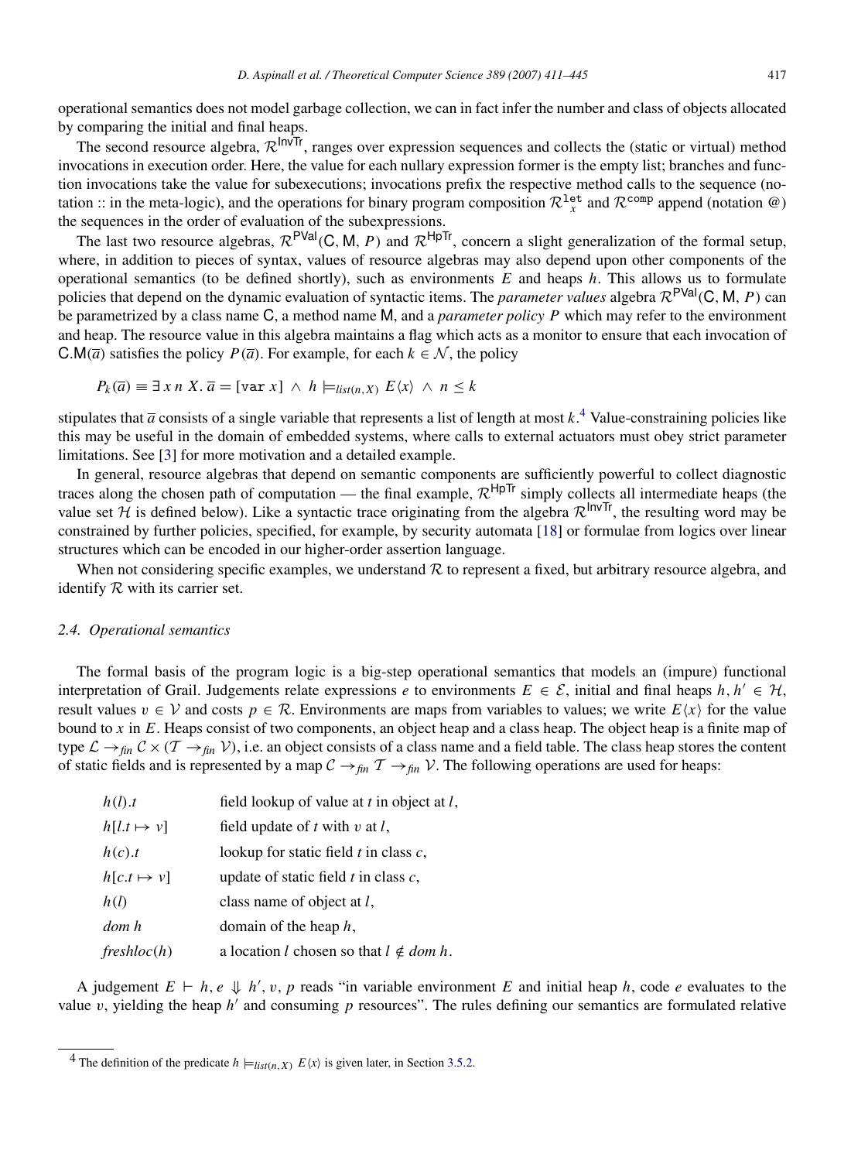operational semantics does not model garbage collection, we can in fact infer the number and class of objects allocated by comparing the initial and final heaps.

The second resource algebra,  $\mathcal{R}^{\text{InvTr}}$ , ranges over expression sequences and collects the (static or virtual) method invocations in execution order. Here, the value for each nullary expression former is the empty list; branches and function invocations take the value for subexecutions; invocations prefix the respective method calls to the sequence (notation :: in the meta-logic), and the operations for binary program composition  $\mathcal{R}^{\text{let}}_x$  and  $\mathcal{R}^{\text{comp}}$  append (notation  $\omega$ ) the sequences in the order of evaluation of the subexpressions.

The last two resource algebras,  $\mathcal{R}^{PVal}(C, M, P)$  and  $\mathcal{R}^{HpTr}$ , concern a slight generalization of the formal setup, where, in addition to pieces of syntax, values of resource algebras may also depend upon other components of the operational semantics (to be defined shortly), such as environments *E* and heaps *h*. This allows us to formulate policies that depend on the dynamic evaluation of syntactic items. The *parameter values* algebra  $\mathcal{R}^{PVal}(C, M, P)$  can be parametrized by a class name C, a method name M, and a *parameter policy P* which may refer to the environment and heap. The resource value in this algebra maintains a flag which acts as a monitor to ensure that each invocation of C.M( $\overline{a}$ ) satisfies the policy *P*( $\overline{a}$ ). For example, for each  $k \in \mathcal{N}$ , the policy

$$
P_k(\overline{a}) \equiv \exists x \, n \, X. \overline{a} = [\text{var } x] \land h \models_{list(n, X)} E\langle x \rangle \land n \leq k
$$

stipulates that  $\bar{a}$  consists of a single variable that represents a list of length at most  $k$ .<sup>[4](#page-7-0)</sup> Value-constraining policies like this may be useful in the domain of embedded systems, where calls to external actuators must obey strict parameter limitations. See [\[3\]](#page-33-2) for more motivation and a detailed example.

In general, resource algebras that depend on semantic components are sufficiently powerful to collect diagnostic traces along the chosen path of computation — the final example,  $\mathcal{R}^{HpTr}$  simply collects all intermediate heaps (the value set  $H$  is defined below). Like a syntactic trace originating from the algebra  $\mathcal{R}^{\text{InvTr}}$ , the resulting word may be constrained by further policies, specified, for example, by security automata [\[18\]](#page-33-16) or formulae from logics over linear structures which can be encoded in our higher-order assertion language.

When not considering specific examples, we understand  $R$  to represent a fixed, but arbitrary resource algebra, and identify  $R$  with its carrier set.

#### <span id="page-7-1"></span>*2.4. Operational semantics*

The formal basis of the program logic is a big-step operational semantics that models an (impure) functional interpretation of Grail. Judgements relate expressions *e* to environments  $E \in \mathcal{E}$ , initial and final heaps  $h, h' \in \mathcal{H}$ , result values  $v \in V$  and costs  $p \in \mathcal{R}$ . Environments are maps from variables to values; we write  $E(x)$  for the value bound to *x* in *E*. Heaps consist of two components, an object heap and a class heap. The object heap is a finite map of type  $\mathcal{L} \to_{fin} \mathcal{C} \times (\mathcal{T} \to_{fin} \mathcal{V})$ , i.e. an object consists of a class name and a field table. The class heap stores the content of static fields and is represented by a map  $C \rightarrow_{fin} T \rightarrow_{fin} V$ . The following operations are used for heaps:

| h(l).t              | field lookup of value at $t$ in object at $l$ ,       |
|---------------------|-------------------------------------------------------|
| $h[l.t \mapsto v]$  | field update of $t$ with $v$ at $l$ ,                 |
| h(c).t              | lookup for static field $t$ in class $c$ ,            |
| $h[c.t \mapsto v]$  | update of static field $t$ in class $c$ ,             |
| h(l)                | class name of object at <i>l</i> ,                    |
| dom h               | domain of the heap $h$ ,                              |
| ${\it freshloc}(h)$ | a location <i>l</i> chosen so that $l \notin dom h$ . |

A judgement  $E \vdash h, e \Downarrow h', v, p$  reads "in variable environment *E* and initial heap *h*, code *e* evaluates to the value  $v$ , yielding the heap  $h'$  and consuming  $p$  resources". The rules defining our semantics are formulated relative

<span id="page-7-0"></span><sup>&</sup>lt;sup>4</sup> The definition of the predicate  $h \models_{list(n, X)} E\langle x \rangle$  is given later, in Section [3.5.2.](#page-15-0)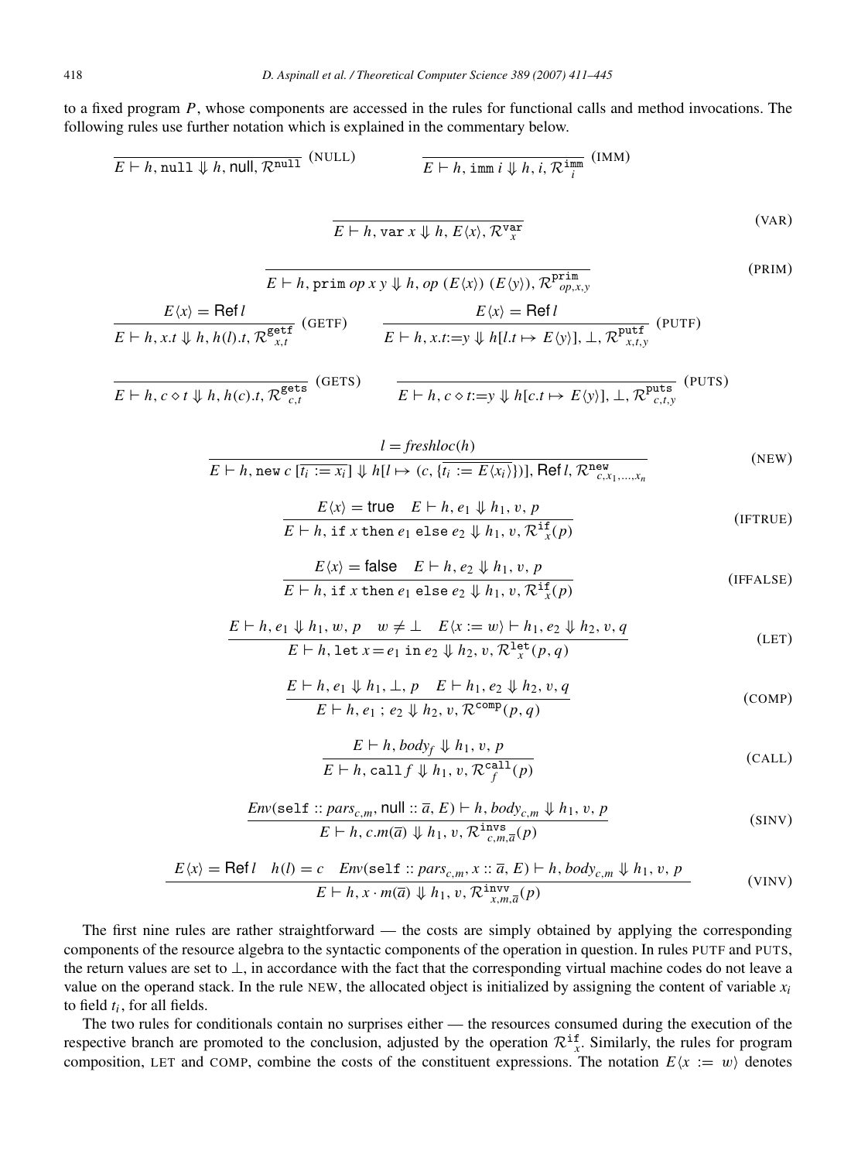to a fixed program *P*, whose components are accessed in the rules for functional calls and method invocations. The following rules use further notation which is explained in the commentary below.

$$
\overline{E} \vdash h, \text{null } \Downarrow h, \text{null}, \mathcal{R}^{\text{null}} \tag{NULL}
$$
\n
$$
\overline{E} \vdash h, \text{imm } i \Downarrow h, i, \mathcal{R}^{\text{imm}} \tag{VAR}
$$

$$
E \vdash h, \text{var } x \Downarrow h, E\langle x \rangle, \mathcal{R}_{x}^{\text{var}} \tag{var}
$$

$$
E(h, \text{prim } op \times y \Downarrow h, op (E\langle x \rangle) (E\langle y \rangle), \mathcal{R}^{\text{prim}}_{op,x,y}
$$
\n
$$
E\langle x \rangle = \text{Ref } l
$$
\n
$$
E(h, x, t \Downarrow h, h(l), t, \mathcal{R}^{\text{getf}}_{x,t} \text{ (GETF)}
$$
\n
$$
E(h, x, t \Downarrow h, h(l), t, \mathcal{R}^{\text{getf}}_{x,t} \text{ (GETF)}
$$
\n
$$
E(h, x, t := y \Downarrow h[l, t \mapsto E\langle y \rangle], \bot, \mathcal{R}^{\text{putf}}_{x,t,y} \text{ (PUTF)}
$$
\n
$$
(PUTF)
$$

$$
E \vdash h, c \diamond t \Downarrow h, h(c).t, \mathcal{R}_{c,t}^{\text{gets}} \quad (\text{GETS})
$$
\n
$$
E \vdash h, c \diamond t := y \Downarrow h[c.t \mapsto E(y)], \bot, \mathcal{R}_{c,t,y}^{\text{puts}} \quad (\text{PUTS})
$$

$$
l = \frac{I = \text{freshloc}(h)}{E + h, \text{ new } c \left[\overline{t_i := x_i}\right] \Downarrow h[l \mapsto (c, \{t_i := E\langle x_i \rangle\})], \text{Ref } l, \mathcal{R}^{\text{new}}_{c, x_1, \dots, x_n}
$$
\n(NEW)

$$
E\langle x \rangle = \text{true} \quad E \vdash h, e_1 \Downarrow h_1, v, p
$$
  

$$
E \vdash h, \text{ if } x \text{ then } e_1 \text{ else } e_2 \Downarrow h_1, v, \mathcal{R}^{\text{if}}(p)
$$
 (IFTRUE)

$$
E\langle x \rangle = \text{false} \quad E \vdash h, e_2 \Downarrow h_1, v, p
$$
  
 
$$
E \vdash h, \text{ if } x \text{ then } e_1 \text{ else } e_2 \Downarrow h_1, v, \mathcal{R}^{\text{if}}(p)
$$
 (IFFALSE)

$$
\frac{E \vdash h, e_1 \Downarrow h_1, w, p \quad w \neq \bot \quad E \langle x := w \rangle \vdash h_1, e_2 \Downarrow h_2, v, q}{E \vdash h, \text{let } x = e_1 \text{ in } e_2 \Downarrow h_2, v, \mathcal{R}^{\text{let}}(p, q)}
$$
\n(LET)

$$
E \vdash h, e_1 \Downarrow h_1, \perp, p \quad E \vdash h_1, e_2 \Downarrow h_2, v, q
$$
  
\n
$$
E \vdash h, e_1; e_2 \Downarrow h_2, v, \mathcal{R}^{\text{comp}}(p, q)
$$
 (COMP)

$$
E \vdash h, body_f \Downarrow h_1, v, p
$$
  

$$
E \vdash h, call f \Downarrow h_1, v, \mathcal{R}^{\text{call}}_f(p)
$$
 (CALL)

$$
\frac{Env(\text{self :: } pars_{c,m}, \text{null :: } \overline{a}, E) \vdash h, body_{c,m} \Downarrow h_1, v, p}{E \vdash h, c.m(\overline{a}) \Downarrow h_1, v, \mathcal{R}^{\text{invs}}_{c,m,\overline{a}}(p)}
$$
(SINV)

$$
E(x) = \text{Refl } h(l) = c \quad \text{Env}(\text{self} :: \text{pars}_{c,m}, x :: \overline{a}, E) \vdash h, \text{body}_{c,m} \Downarrow h_1, v, p
$$
\n
$$
E \vdash h, x \cdot m(\overline{a}) \Downarrow h_1, v, \mathcal{R}^{\text{invv}}_{x,m,\overline{a}}(p) \tag{VINV}
$$

The first nine rules are rather straightforward — the costs are simply obtained by applying the corresponding components of the resource algebra to the syntactic components of the operation in question. In rules PUTF and PUTS, the return values are set to ⊥, in accordance with the fact that the corresponding virtual machine codes do not leave a value on the operand stack. In the rule NEW, the allocated object is initialized by assigning the content of variable  $x_i$ to field *t<sup>i</sup>* , for all fields.

The two rules for conditionals contain no surprises either — the resources consumed during the execution of the respective branch are promoted to the conclusion, adjusted by the operation  $\mathcal{R}^{\text{if}}_{x}$ . Similarly, the rules for program composition, LET and COMP, combine the costs of the constituent expressions. The notation  $E(x := w)$  denotes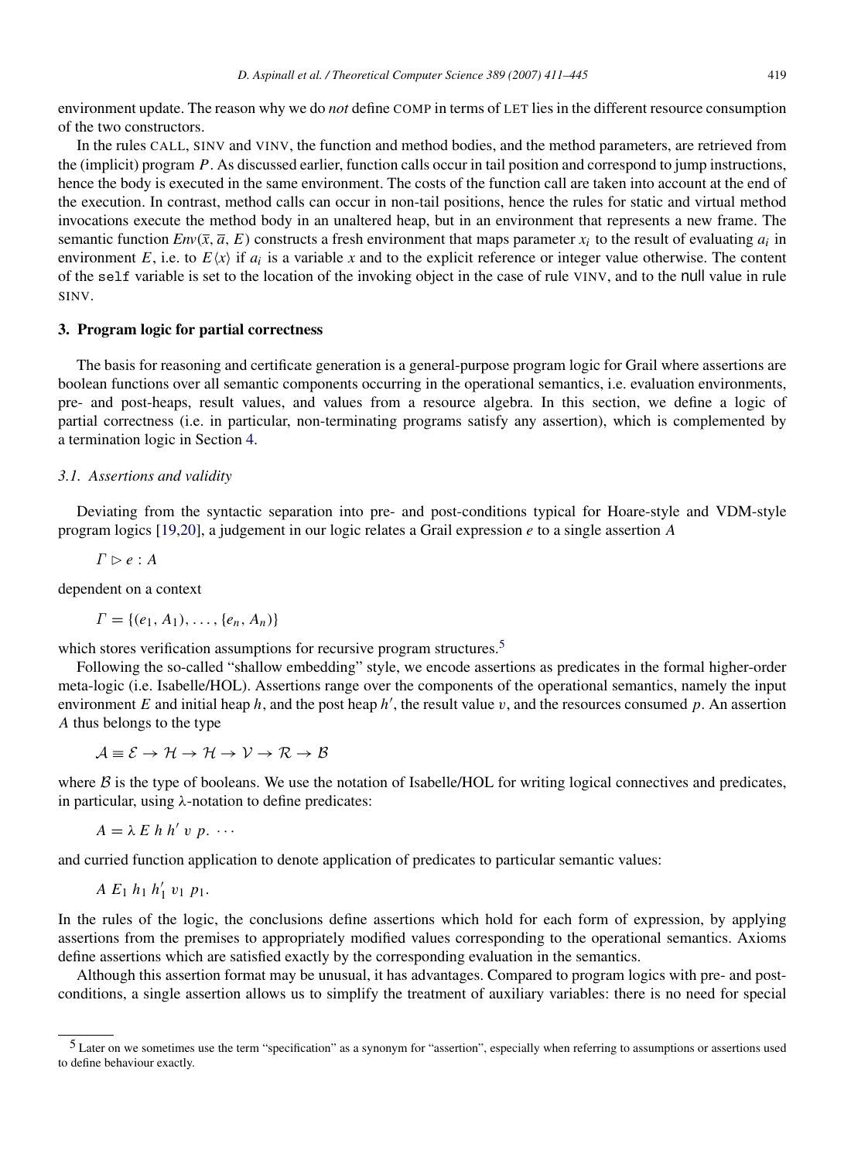environment update. The reason why we do *not* define COMP in terms of LET lies in the different resource consumption of the two constructors.

In the rules CALL, SINV and VINV, the function and method bodies, and the method parameters, are retrieved from the (implicit) program *P*. As discussed earlier, function calls occur in tail position and correspond to jump instructions, hence the body is executed in the same environment. The costs of the function call are taken into account at the end of the execution. In contrast, method calls can occur in non-tail positions, hence the rules for static and virtual method invocations execute the method body in an unaltered heap, but in an environment that represents a new frame. The semantic function  $Env(\bar{x}, \bar{a}, E)$  constructs a fresh environment that maps parameter  $x_i$  to the result of evaluating  $a_i$  in environment *E*, i.e. to  $E(x)$  if  $a_i$  is a variable *x* and to the explicit reference or integer value otherwise. The content of the self variable is set to the location of the invoking object in the case of rule VINV, and to the null value in rule SINV.

#### <span id="page-9-0"></span>3. Program logic for partial correctness

The basis for reasoning and certificate generation is a general-purpose program logic for Grail where assertions are boolean functions over all semantic components occurring in the operational semantics, i.e. evaluation environments, pre- and post-heaps, result values, and values from a resource algebra. In this section, we define a logic of partial correctness (i.e. in particular, non-terminating programs satisfy any assertion), which is complemented by a termination logic in Section [4.](#page-22-0)

#### *3.1. Assertions and validity*

Deviating from the syntactic separation into pre- and post-conditions typical for Hoare-style and VDM-style program logics [\[19](#page-33-17)[,20\]](#page-33-18), a judgement in our logic relates a Grail expression *e* to a single assertion *A*

 $\Gamma \triangleright e : A$ 

dependent on a context

 $\Gamma = \{(e_1, A_1), \ldots, \{e_n, A_n\}\}\$ 

which stores verification assumptions for recursive program structures.<sup>[5](#page-9-1)</sup>

Following the so-called "shallow embedding" style, we encode assertions as predicates in the formal higher-order meta-logic (i.e. Isabelle/HOL). Assertions range over the components of the operational semantics, namely the input environment  $E$  and initial heap  $h$ , and the post heap  $h'$ , the result value  $v$ , and the resources consumed  $p$ . An assertion *A* thus belongs to the type

 $\mathcal{A} \equiv \mathcal{E} \rightarrow \mathcal{H} \rightarrow \mathcal{H} \rightarrow \mathcal{V} \rightarrow \mathcal{R} \rightarrow \mathcal{B}$ 

where  $\beta$  is the type of booleans. We use the notation of Isabelle/HOL for writing logical connectives and predicates, in particular, using λ-notation to define predicates:

$$
A = \lambda E h h' v p. \cdots
$$

and curried function application to denote application of predicates to particular semantic values:

 $A E_1 h_1 h'_1 v_1 p_1.$ 

In the rules of the logic, the conclusions define assertions which hold for each form of expression, by applying assertions from the premises to appropriately modified values corresponding to the operational semantics. Axioms define assertions which are satisfied exactly by the corresponding evaluation in the semantics.

Although this assertion format may be unusual, it has advantages. Compared to program logics with pre- and postconditions, a single assertion allows us to simplify the treatment of auxiliary variables: there is no need for special

<span id="page-9-1"></span><sup>5</sup> Later on we sometimes use the term "specification" as a synonym for "assertion", especially when referring to assumptions or assertions used to define behaviour exactly.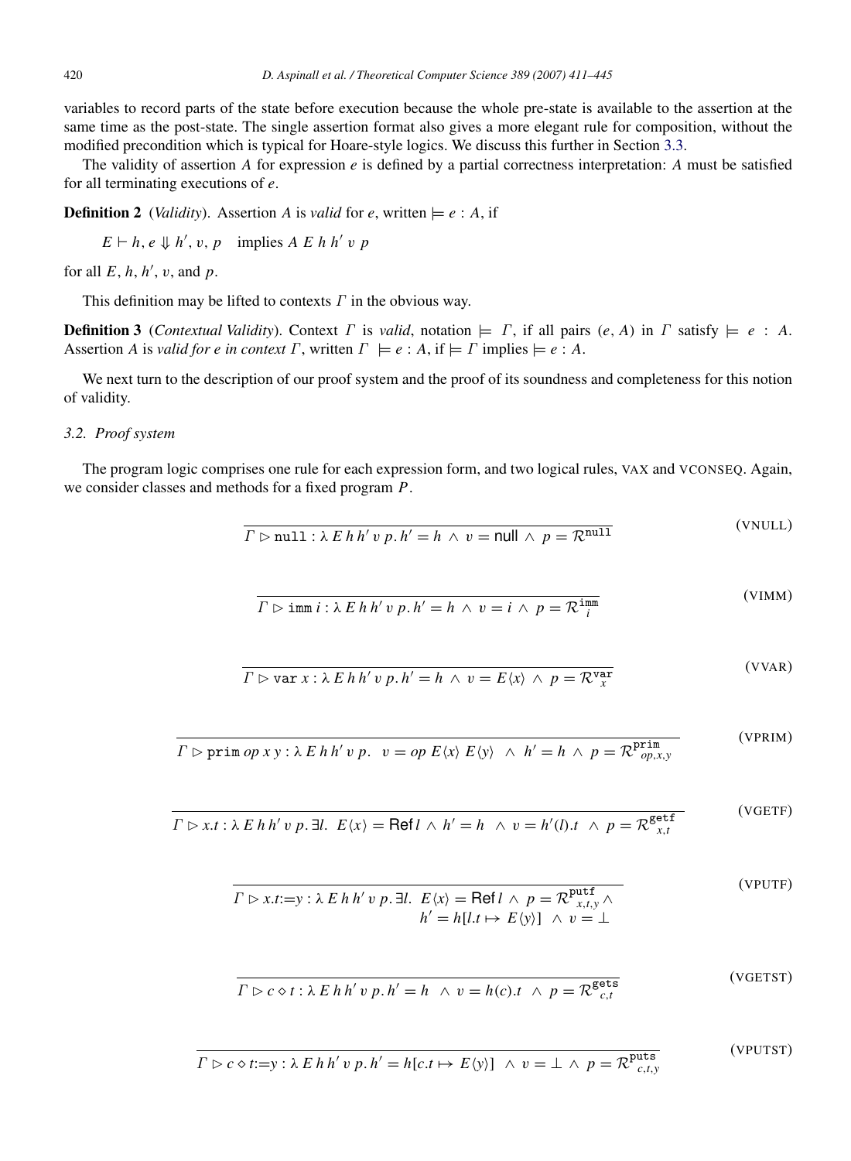variables to record parts of the state before execution because the whole pre-state is available to the assertion at the same time as the post-state. The single assertion format also gives a more elegant rule for composition, without the modified precondition which is typical for Hoare-style logics. We discuss this further in Section [3.3.](#page-12-0)

The validity of assertion *A* for expression *e* is defined by a partial correctness interpretation: *A* must be satisfied for all terminating executions of *e*.

**Definition 2** (*Validity*). Assertion *A* is *valid* for *e*, written  $\models e : A$ , if

 $E \vdash h, e \Downarrow h', v, p$  implies *A E h h' v p* 

for all  $E$ ,  $h$ ,  $h'$ ,  $v$ , and  $p$ .

This definition may be lifted to contexts  $\Gamma$  in the obvious way.

**Definition 3** (*Contextual Validity*). Context  $\Gamma$  is *valid*, notation  $\models \Gamma$ , if all pairs  $(e, A)$  in  $\Gamma$  satisfy  $\models e : A$ . Assertion *A* is *valid for e in context*  $\Gamma$ , written  $\Gamma \models e : A$ , if  $\models \Gamma$  implies  $\models e : A$ .

We next turn to the description of our proof system and the proof of its soundness and completeness for this notion of validity.

#### <span id="page-10-0"></span>*3.2. Proof system*

The program logic comprises one rule for each expression form, and two logical rules, VAX and VCONSEQ. Again, we consider classes and methods for a fixed program *P*.

$$
\Gamma \rhd \text{null}: \lambda \ E \ h \ h' \ v \ p. \ h' = h \ \land \ v = \text{null} \ \land \ p = \mathcal{R}^{\text{null}} \tag{VNULL}
$$

$$
\overline{\Gamma \rhd \text{imm } i : \lambda \ E \ h \ h' \ v \ p, h' = h \ \land \ v = i \ \land \ p = \mathcal{R}^{\text{imm}}_{i}} \tag{VIMM}
$$

 $\overline{\mathbf{v}}$ 

 $(3/3/4R)$ 

 $(VCETST)$ 

(VPUTST)

$$
\overline{\Gamma \rhd \text{var } x : \lambda \ E \ h \ h' \ v \ p. h' = h \ \land \ v = E \langle x \rangle \ \land \ p = \mathcal{R}^{\text{var}}_{x}
$$
\n(VYAK)

 $\Gamma$   $\triangleright$  prim  $op \, xy : \lambda \mathrel{E} h \, h' \, v \, p$ .  $v = op \, E \langle x \rangle \mathrel{E} \langle y \rangle \ \wedge \ h' = h \ \wedge \ p = \mathcal{R}^{\mathbf{prim}}_{op,x,y}$ (VPRIM)

$$
\overline{\Gamma \rhd x.t : \lambda \ E \ h \ h' \ v \ p. \ \exists l. \ \ E \langle x \rangle = \text{Refl} \ \land \ h' = h \ \land \ v = h'(l).t \ \land \ p = \mathcal{R}^{\text{getf}}_{x,t}}
$$
\n(VGETF)

$$
\overline{\Gamma \rhd x.t := y : \lambda \ E \ h \ h' \ v \ p. \ \exists l. \ \ E \langle x \rangle = \text{Refl} \ \land \ p = \mathcal{R}^{\text{putf}}_{x, t, y} \ \land \ \ h' = h[l.t \mapsto E \langle y \rangle] \ \land \ v = \bot \tag{VPUTE}
$$

$$
\Gamma \triangleright c \diamond t : \lambda \, E \, h \, h' \, v \, p \, . \, h' = h \quad \wedge \, v = h(c) \, . \quad \wedge \, p = \mathcal{R}^{\text{gets}}_{c, t} \tag{vol131}
$$

$$
\Gamma \rhd c \diamond t := y : \lambda \ E \ h \ h' \ v \ p \ h' = h[c.t \ \mapsto E \ \langle y \rangle] \ \land \ v = \bot \ \land \ p = \mathcal{R}^{\text{puts}}_{c,t,y}
$$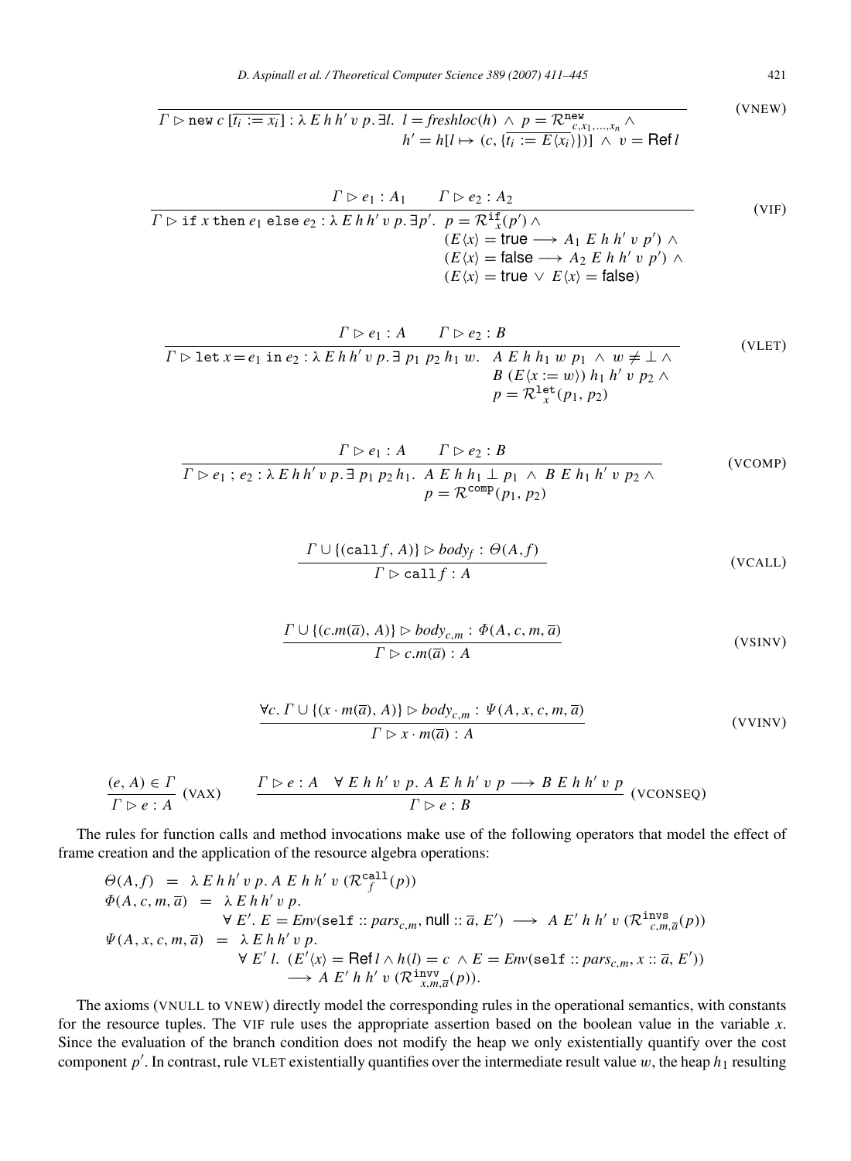$$
\overline{I \rhd \text{new } c \left[\overline{t_i := x_i}\right] : \lambda \ E \ h \ h' \ v \ p. \ \exists l. \ \ l = \text{freshloc}(h) \ \land \ p = \mathcal{R}_{c, x_1, \dots, x_n}^{\text{new}} \land \qquad \qquad \text{(VNEW)}
$$
\n
$$
h' = h[l \mapsto (c, \{\overline{t_i := E\langle x_i \rangle}\})] \ \land \ v = \text{Ref } l
$$

$$
\frac{\Gamma \rhd e_1 : A_1 \qquad \Gamma \rhd e_2 : A_2}{\Gamma \rhd \text{if } x \text{ then } e_1 \text{ else } e_2 : \lambda \ E \ h \ h' \ v \ p. \exists p'. \quad p = \mathcal{R}^{\text{if}}(p') \land
$$
\n
$$
\begin{array}{c} (VIF) \\ (E \langle x \rangle = \text{true} \longrightarrow A_1 \ E \ h \ h' \ v \ p') \land \\ (E \langle x \rangle = \text{false} \longrightarrow A_2 \ E \ h \ h' \ v \ p') \land \\ (E \langle x \rangle = \text{true} \ \lor \ E \langle x \rangle = \text{false}) \end{array} \tag{VIF}
$$

$$
\frac{\Gamma \rhd e_1: A \qquad \Gamma \rhd e_2: B}{\Gamma \rhd \text{let } x = e_1 \text{ in } e_2: \lambda \ E \ h \ h' \ v \ p. \ \exists \ p_1 \ p_2 \ h_1 \ w. \quad A \ E \ h \ h_1 \ w \ p_1 \ \land \ w \neq \bot \ \land \ B \ (E \langle x := w \rangle) \ h_1 \ h' \ v \ p_2 \ \land \ p = \mathcal{R}^{\text{let}}_{x}(p_1, p_2)
$$
\n(VLET)

$$
\frac{\Gamma \rhd e_1: A \qquad \Gamma \rhd e_2: B}{\Gamma \rhd e_1: e_2: \lambda \ E \ h \ h' \ v \ p. \ \exists \ p_1 \ p_2 \ h_1. \ A \ E \ h \ h_1 \perp p_1 \ \wedge \ B \ E \ h_1 \ h' \ v \ p_2 \ \wedge \ P = \mathcal{R}^{\text{comp}}(p_1, p_2)
$$
\n(VCOMP)

$$
\frac{\Gamma \cup \{(\text{call } f, A)\} \triangleright body_f : \Theta(A, f)}{\Gamma \triangleright \text{call } f : A}
$$
 (VCALL)

$$
\frac{\Gamma \cup \{(c.m(\overline{a}), A)\} \triangleright body_{c,m} : \Phi(A, c, m, \overline{a})}{\Gamma \triangleright c.m(\overline{a}) : A}
$$
 (VSINV)

$$
\forall c. \ \Gamma \cup \{(x \cdot m(\overline{a}), A)\} \triangleright body_{c,m} : \Psi(A, x, c, m, \overline{a})
$$
  

$$
\Gamma \triangleright x \cdot m(\overline{a}) : A
$$
 (VVINV)

$$
\frac{(e, A) \in \Gamma}{\Gamma \rhd e : A} \text{ (VAX)} \qquad \frac{\Gamma \rhd e : A \quad \forall E \; h \; h' \; v \; p. \; A \; E \; h \; h' \; v \; p \longrightarrow B \; E \; h \; h' \; v \; p}{\Gamma \rhd e : B} \text{ (VCONSEQ)}
$$

The rules for function calls and method invocations make use of the following operators that model the effect of frame creation and the application of the resource algebra operations:

$$
\begin{array}{rcl}\n\Theta(A,f) & = & \lambda \, E \, h \, h' \, v \, p. \, A \, E \, h \, h' \, v \, (\mathcal{R}_f^{\text{call}}(p)) \\
\Phi(A,c,m,\overline{a}) & = & \lambda \, E \, h \, h' \, v \, p. \\
& \forall \, E'. \, E = \text{Env}(\text{self} :: \text{pars}_{c,m}, \text{null} :: \overline{a}, E') \longrightarrow A \, E' \, h \, h' \, v \, (\mathcal{R}_c^{\text{invs}}(p)) \\
\Psi(A,x,c,m,\overline{a}) & = & \lambda \, E \, h \, h' \, v \, p. \\
& \forall \, E' \, l. \, (E'\langle x \rangle = \text{Ref} \, l \land h(l) = c \land E = \text{Env}(\text{self} :: \text{pars}_{c,m}, x :: \overline{a}, E')) \\
& \longrightarrow A \, E' \, h \, h' \, v \, (\mathcal{R}_{x,m,\overline{a}}^{\text{iniv}}(p)).\n\end{array}
$$

The axioms (VNULL to VNEW) directly model the corresponding rules in the operational semantics, with constants for the resource tuples. The VIF rule uses the appropriate assertion based on the boolean value in the variable *x*. Since the evaluation of the branch condition does not modify the heap we only existentially quantify over the cost component  $p'$ . In contrast, rule VLET existentially quantifies over the intermediate result value w, the heap  $h_1$  resulting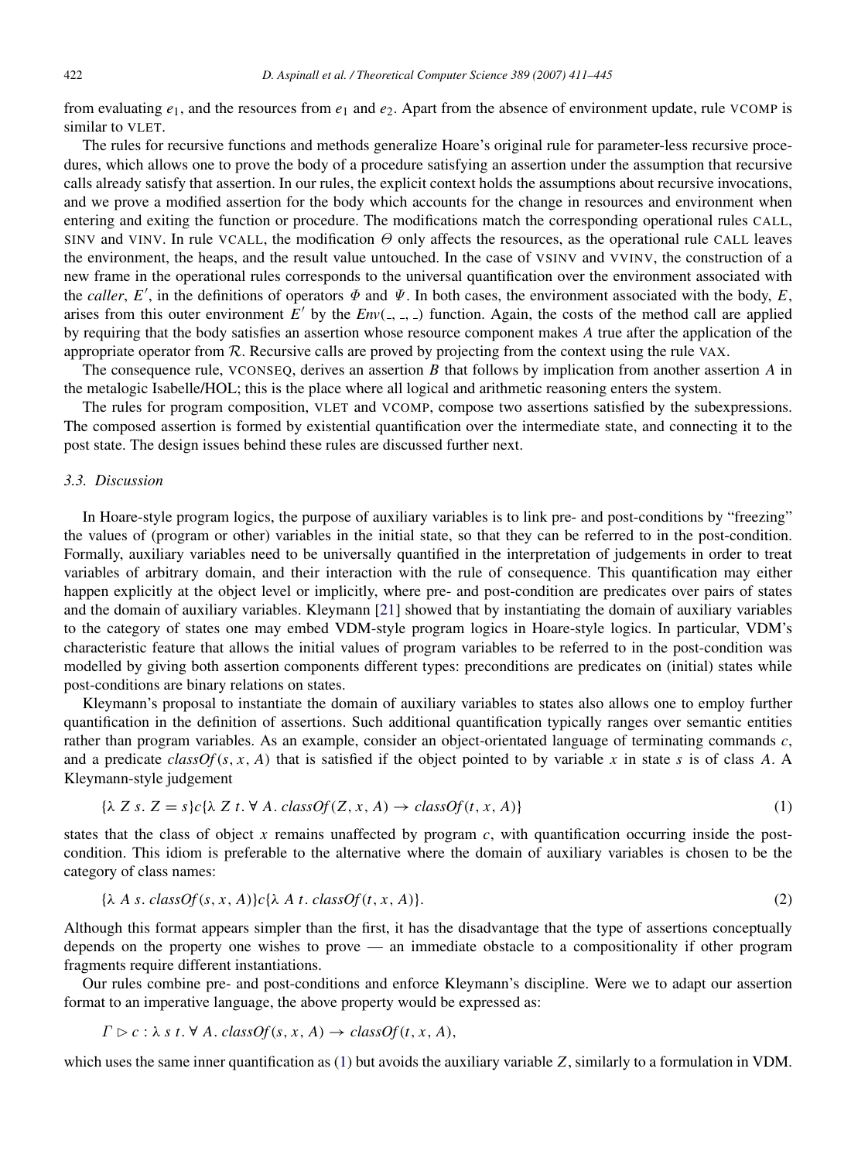from evaluating  $e_1$ , and the resources from  $e_1$  and  $e_2$ . Apart from the absence of environment update, rule VCOMP is similar to VLET.

The rules for recursive functions and methods generalize Hoare's original rule for parameter-less recursive procedures, which allows one to prove the body of a procedure satisfying an assertion under the assumption that recursive calls already satisfy that assertion. In our rules, the explicit context holds the assumptions about recursive invocations, and we prove a modified assertion for the body which accounts for the change in resources and environment when entering and exiting the function or procedure. The modifications match the corresponding operational rules CALL, SINV and VINV. In rule VCALL, the modification  $\Theta$  only affects the resources, as the operational rule CALL leaves the environment, the heaps, and the result value untouched. In the case of VSINV and VVINV, the construction of a new frame in the operational rules corresponds to the universal quantification over the environment associated with the *caller*, *E'*, in the definitions of operators  $\Phi$  and  $\Psi$ . In both cases, the environment associated with the body, *E*, arises from this outer environment  $E'$  by the  $Env($ ,  $)$ ,  $)$  function. Again, the costs of the method call are applied by requiring that the body satisfies an assertion whose resource component makes *A* true after the application of the appropriate operator from  $R$ . Recursive calls are proved by projecting from the context using the rule VAX.

The consequence rule, VCONSEQ, derives an assertion *B* that follows by implication from another assertion *A* in the metalogic Isabelle/HOL; this is the place where all logical and arithmetic reasoning enters the system.

The rules for program composition, VLET and VCOMP, compose two assertions satisfied by the subexpressions. The composed assertion is formed by existential quantification over the intermediate state, and connecting it to the post state. The design issues behind these rules are discussed further next.

#### <span id="page-12-0"></span>*3.3. Discussion*

In Hoare-style program logics, the purpose of auxiliary variables is to link pre- and post-conditions by "freezing" the values of (program or other) variables in the initial state, so that they can be referred to in the post-condition. Formally, auxiliary variables need to be universally quantified in the interpretation of judgements in order to treat variables of arbitrary domain, and their interaction with the rule of consequence. This quantification may either happen explicitly at the object level or implicitly, where pre- and post-condition are predicates over pairs of states and the domain of auxiliary variables. Kleymann [\[21\]](#page-33-19) showed that by instantiating the domain of auxiliary variables to the category of states one may embed VDM-style program logics in Hoare-style logics. In particular, VDM's characteristic feature that allows the initial values of program variables to be referred to in the post-condition was modelled by giving both assertion components different types: preconditions are predicates on (initial) states while post-conditions are binary relations on states.

Kleymann's proposal to instantiate the domain of auxiliary variables to states also allows one to employ further quantification in the definition of assertions. Such additional quantification typically ranges over semantic entities rather than program variables. As an example, consider an object-orientated language of terminating commands *c*, and a predicate  $classOf(s, x, A)$  that is satisfied if the object pointed to by variable x in state s is of class A. A Kleymann-style judgement

<span id="page-12-1"></span>
$$
\{\lambda \mid Z \leq s, \, Z = s\}c\{\lambda \mid Z \leq t, \, \forall \, A. \, classOf(Z, x, A) \to classOf(t, x, A)\}\tag{1}
$$

states that the class of object  $x$  remains unaffected by program  $c$ , with quantification occurring inside the postcondition. This idiom is preferable to the alternative where the domain of auxiliary variables is chosen to be the category of class names:

$$
\{\lambda \ A \ s. \ classOf(s, x, A)\}c\{\lambda \ A \ t. \ classOf(t, x, A)\}.
$$
\n
$$
(2)
$$

Although this format appears simpler than the first, it has the disadvantage that the type of assertions conceptually depends on the property one wishes to prove — an immediate obstacle to a compositionality if other program fragments require different instantiations.

Our rules combine pre- and post-conditions and enforce Kleymann's discipline. Were we to adapt our assertion format to an imperative language, the above property would be expressed as:

$$
\Gamma \rhd c : \lambda \ s \ t. \ \forall \ A. \ classOf(s, x, A) \rightarrow classOf(t, x, A),
$$

which uses the same inner quantification as [\(1\)](#page-12-1) but avoids the auxiliary variable *Z*, similarly to a formulation in VDM.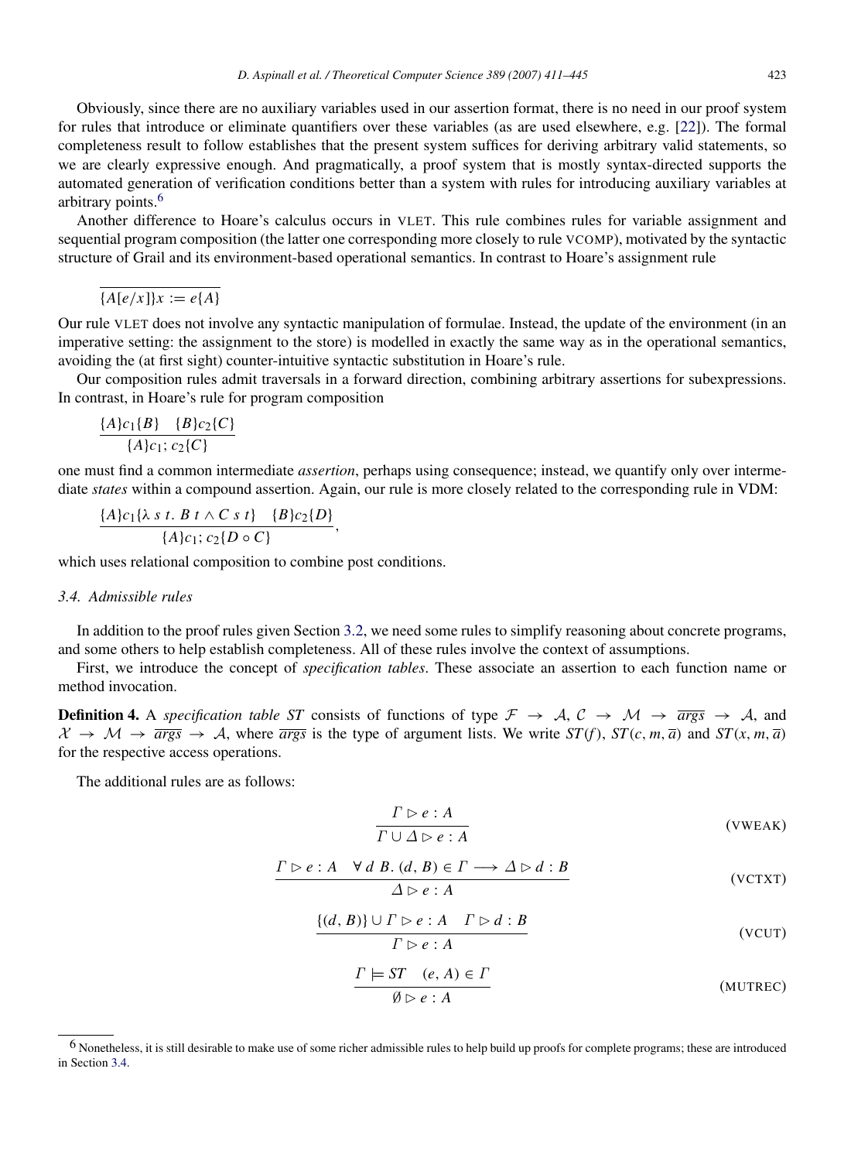Obviously, since there are no auxiliary variables used in our assertion format, there is no need in our proof system for rules that introduce or eliminate quantifiers over these variables (as are used elsewhere, e.g. [\[22\]](#page-33-20)). The formal completeness result to follow establishes that the present system suffices for deriving arbitrary valid statements, so we are clearly expressive enough. And pragmatically, a proof system that is mostly syntax-directed supports the automated generation of verification conditions better than a system with rules for introducing auxiliary variables at arbitrary points.[6](#page-13-0)

Another difference to Hoare's calculus occurs in VLET. This rule combines rules for variable assignment and sequential program composition (the latter one corresponding more closely to rule VCOMP), motivated by the syntactic structure of Grail and its environment-based operational semantics. In contrast to Hoare's assignment rule

 $\overline{A[e/x]}\mathbf{k} := e\{A\}$ 

Our rule VLET does not involve any syntactic manipulation of formulae. Instead, the update of the environment (in an imperative setting: the assignment to the store) is modelled in exactly the same way as in the operational semantics, avoiding the (at first sight) counter-intuitive syntactic substitution in Hoare's rule.

Our composition rules admit traversals in a forward direction, combining arbitrary assertions for subexpressions. In contrast, in Hoare's rule for program composition

$$
\frac{\{A\}c_1\{B\} \quad \{B\}c_2\{C\}}{\{A\}c_1;c_2\{C\}}
$$

one must find a common intermediate *assertion*, perhaps using consequence; instead, we quantify only over intermediate *states* within a compound assertion. Again, our rule is more closely related to the corresponding rule in VDM:

$$
\frac{\{A\}c_1\{\lambda \, s \, t. \, B \, t \wedge C \, s \, t\} \quad \{B\}c_2\{D\}}{\{A\}c_1; c_2\{D \circ C\}},
$$

which uses relational composition to combine post conditions.

#### <span id="page-13-1"></span>*3.4. Admissible rules*

In addition to the proof rules given Section [3.2,](#page-10-0) we need some rules to simplify reasoning about concrete programs, and some others to help establish completeness. All of these rules involve the context of assumptions.

First, we introduce the concept of *specification tables*. These associate an assertion to each function name or method invocation.

**Definition 4.** A *specification table ST* consists of functions of type  $\mathcal{F} \to \mathcal{A}, \mathcal{C} \to \mathcal{M} \to \overline{args} \to \mathcal{A}$ , and  $\mathcal{X} \rightarrow \mathcal{M} \rightarrow \overline{args} \rightarrow \mathcal{A}$ , where  $\overline{args}$  is the type of argument lists. We write  $ST(f)$ ,  $ST(c, m, \overline{a})$  and  $ST(x, m, \overline{a})$ for the respective access operations.

The additional rules are as follows:

$$
\frac{\Gamma \triangleright e : A}{\Gamma \cup \Delta \triangleright e : A}
$$
 (VWEAK)

$$
\frac{\Gamma \rhd e : A \quad \forall d \ B. (d, B) \in \Gamma \longrightarrow \Delta \rhd d : B}{\Delta \rhd e : A}
$$
 (VCTXT)

$$
\frac{\{(d, B)\} \cup \Gamma \rhd e : A \quad \Gamma \rhd d : B}{\Gamma \rhd e : A} \tag{VCUT}
$$

$$
\frac{\Gamma \models ST \quad (e, A) \in \Gamma}{\emptyset \rhd e : A}
$$
\n(MUTREC)

<span id="page-13-0"></span><sup>&</sup>lt;sup>6</sup> Nonetheless, it is still desirable to make use of some richer admissible rules to help build up proofs for complete programs; these are introduced in Section [3.4.](#page-13-1)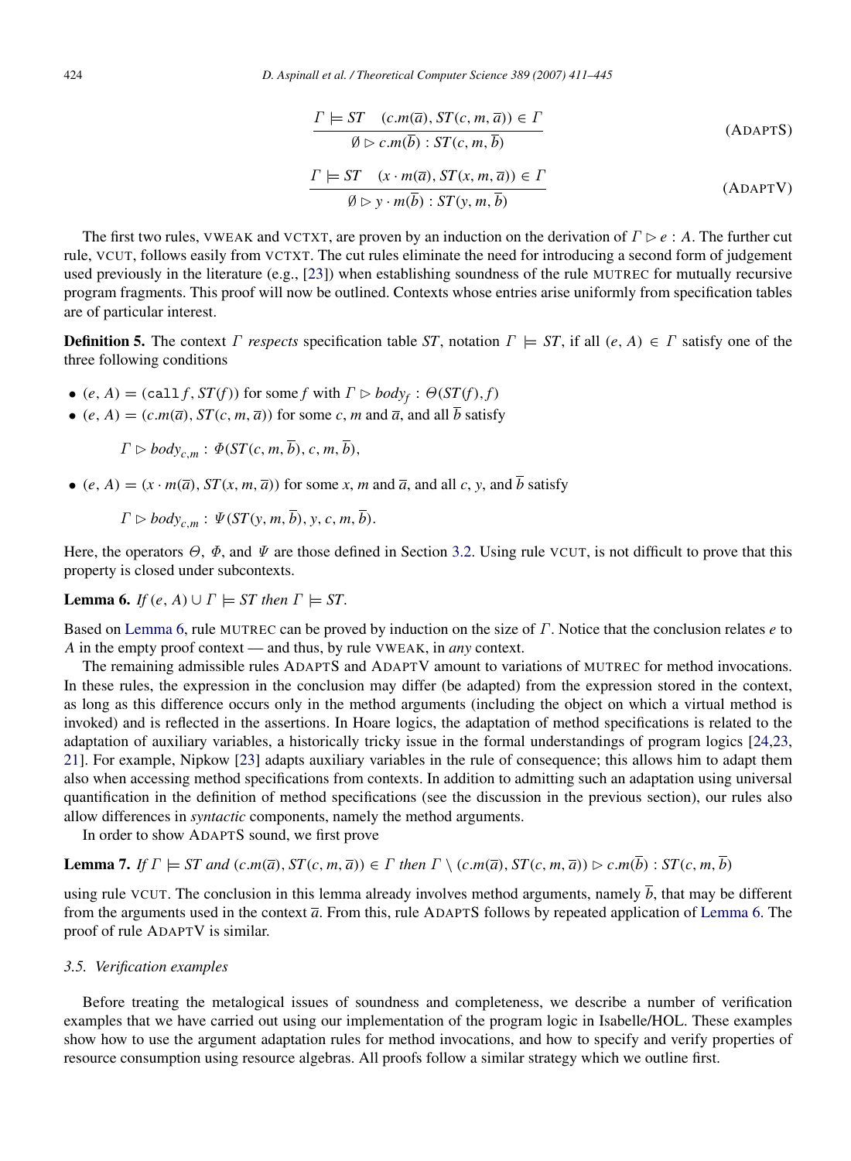$$
\frac{\Gamma \models ST \quad (c.m(\overline{a}), ST(c, m, \overline{a})) \in \Gamma}{\emptyset \rhd c.m(\overline{b}) : ST(c, m, \overline{b})}
$$
\n
$$
\frac{\Gamma \models ST \quad (x \cdot m(\overline{a}), ST(x, m, \overline{a})) \in \Gamma}{\emptyset \rhd y \cdot m(\overline{b}) : ST(y, m, \overline{b})}
$$
\n(ADAPTV)

The first two rules, VWEAK and VCTXT, are proven by an induction on the derivation of  $\Gamma \rhd e : A$ . The further cut rule, VCUT, follows easily from VCTXT. The cut rules eliminate the need for introducing a second form of judgement used previously in the literature (e.g., [\[23\]](#page-33-21)) when establishing soundness of the rule MUTREC for mutually recursive program fragments. This proof will now be outlined. Contexts whose entries arise uniformly from specification tables are of particular interest.

**Definition 5.** The context  $\Gamma$  respects specification table *ST*, notation  $\Gamma \models ST$ , if all  $(e, A) \in \Gamma$  satisfy one of the three following conditions

- $(e, A) = (call f, ST(f))$  for some *f* with  $\Gamma \triangleright body_f : \Theta(ST(f), f)$
- (*e*, *A*) = (*c*.*m*( $\overline{a}$ ), *ST*(*c*, *m*,  $\overline{a}$ )) for some *c*, *m* and  $\overline{a}$ , and all  $\overline{b}$  satisfy

 $\Gamma \triangleright body_{c,m} : \Phi(ST(c, m, \overline{b}), c, m, \overline{b}),$ 

• (*e*, *A*) =  $(x \cdot m(\overline{a}), ST(x, m, \overline{a}))$  for some *x*, *m* and  $\overline{a}$ , and all *c*, *y*, and  $\overline{b}$  satisfy

$$
\Gamma \rhd body_{c,m} : \Psi(ST(y,m,\overline{b}), y, c, m, \overline{b}).
$$

Here, the operators  $\Theta$ ,  $\Phi$ , and  $\Psi$  are those defined in Section [3.2.](#page-10-0) Using rule VCUT, is not difficult to prove that this property is closed under subcontexts.

<span id="page-14-0"></span>**Lemma 6.** *If*  $(e, A) \cup \Gamma \models ST$  *then*  $\Gamma \models ST$ .

Based on [Lemma](#page-14-0) [6,](#page-14-0) rule MUTREC can be proved by induction on the size of Γ. Notice that the conclusion relates *e* to *A* in the empty proof context — and thus, by rule VWEAK, in *any* context.

The remaining admissible rules ADAPTS and ADAPTV amount to variations of MUTREC for method invocations. In these rules, the expression in the conclusion may differ (be adapted) from the expression stored in the context, as long as this difference occurs only in the method arguments (including the object on which a virtual method is invoked) and is reflected in the assertions. In Hoare logics, the adaptation of method specifications is related to the adaptation of auxiliary variables, a historically tricky issue in the formal understandings of program logics [\[24,](#page-33-22)[23,](#page-33-21) [21\]](#page-33-19). For example, Nipkow [\[23\]](#page-33-21) adapts auxiliary variables in the rule of consequence; this allows him to adapt them also when accessing method specifications from contexts. In addition to admitting such an adaptation using universal quantification in the definition of method specifications (see the discussion in the previous section), our rules also allow differences in *syntactic* components, namely the method arguments.

In order to show ADAPTS sound, we first prove

**Lemma 7.** If 
$$
\Gamma \models ST
$$
 and  $(c.m(\overline{a}), ST(c, m, \overline{a})) \in \Gamma$  then  $\Gamma \setminus (c.m(\overline{a}), ST(c, m, \overline{a})) \rhd c.m(\overline{b}) : ST(c, m, \overline{b})$ 

using rule VCUT. The conclusion in this lemma already involves method arguments, namely  $\bar{b}$ , that may be different from the arguments used in the context *a*. From this, rule ADAPTS follows by repeated application of [Lemma](#page-14-0) [6.](#page-14-0) The proof of rule ADAPTV is similar.

#### *3.5. Verification examples*

Before treating the metalogical issues of soundness and completeness, we describe a number of verification examples that we have carried out using our implementation of the program logic in Isabelle/HOL. These examples show how to use the argument adaptation rules for method invocations, and how to specify and verify properties of resource consumption using resource algebras. All proofs follow a similar strategy which we outline first.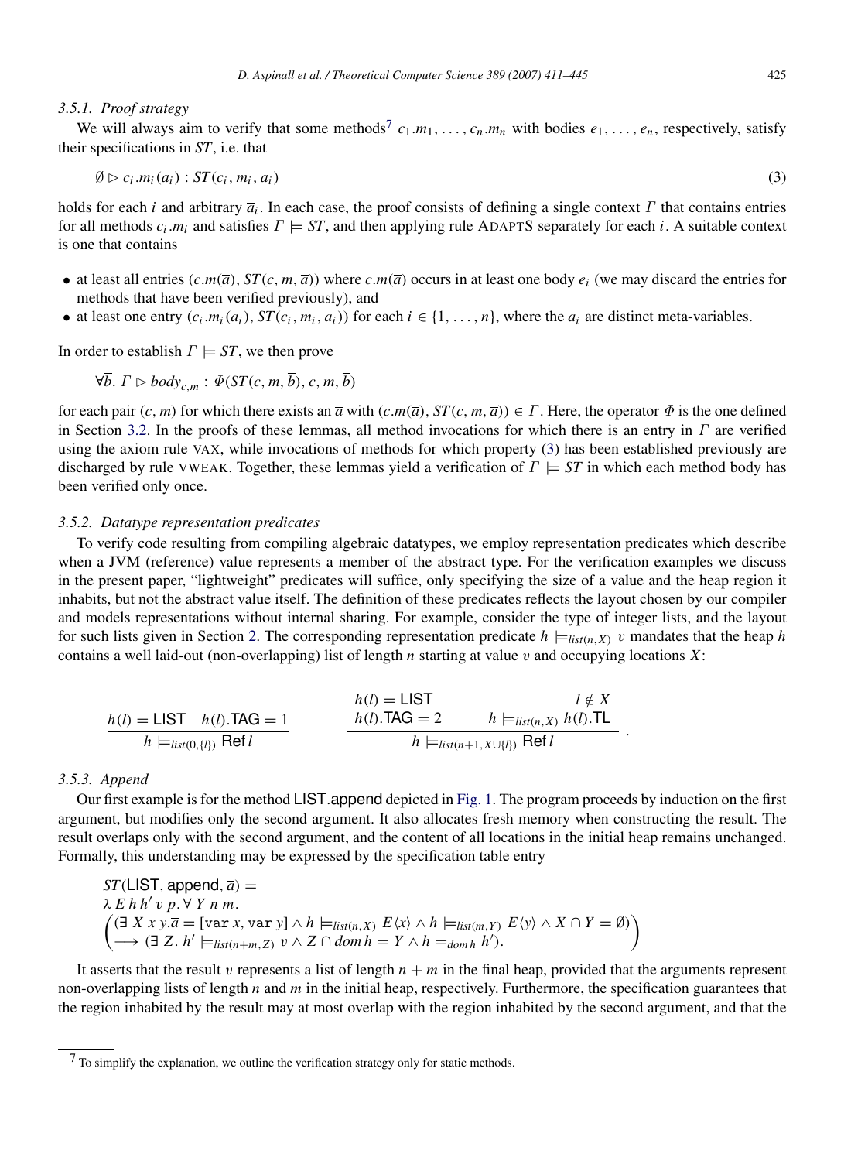#### *3.5.1. Proof strategy*

We will always aim to verify that some methods<sup>[7](#page-15-1)</sup>  $c_1.m_1, \ldots, c_n.m_n$  with bodies  $e_1, \ldots, e_n$ , respectively, satisfy their specifications in *ST*, i.e. that

<span id="page-15-2"></span>
$$
\emptyset \triangleright c_i.m_i(\overline{a}_i):ST(c_i,m_i,\overline{a}_i) \tag{3}
$$

holds for each *i* and arbitrary *a<sup>i</sup>* . In each case, the proof consists of defining a single context Γ that contains entries for all methods  $c_i$ . $m_i$  and satisfies  $\Gamma \models ST$ , and then applying rule ADAPTS separately for each *i*. A suitable context is one that contains

- at least all entries  $(c.m(\overline{a}), ST(c, m, \overline{a}))$  where  $c.m(\overline{a})$  occurs in at least one body  $e_i$  (we may discard the entries for methods that have been verified previously), and
- at least one entry  $(c_i.m_i(\overline{a}_i), ST(c_i,m_i, \overline{a}_i))$  for each  $i \in \{1, ..., n\}$ , where the  $\overline{a}_i$  are distinct meta-variables.

In order to establish  $\Gamma \models ST$ , we then prove

$$
\forall \overline{b}. \Gamma \rhd body_{c,m} : \Phi(ST(c, m, \overline{b}), c, m, \overline{b})
$$

for each pair  $(c, m)$  for which there exists an  $\overline{a}$  with  $(c.m(\overline{a}), ST(c, m, \overline{a})) \in \Gamma$ . Here, the operator  $\Phi$  is the one defined in Section [3.2.](#page-10-0) In the proofs of these lemmas, all method invocations for which there is an entry in  $\Gamma$  are verified using the axiom rule VAX, while invocations of methods for which property [\(3\)](#page-15-2) has been established previously are discharged by rule VWEAK. Together, these lemmas yield a verification of  $\Gamma \models ST$  in which each method body has been verified only once.

#### <span id="page-15-0"></span>*3.5.2. Datatype representation predicates*

To verify code resulting from compiling algebraic datatypes, we employ representation predicates which describe when a JVM (reference) value represents a member of the abstract type. For the verification examples we discuss in the present paper, "lightweight" predicates will suffice, only specifying the size of a value and the heap region it inhabits, but not the abstract value itself. The definition of these predicates reflects the layout chosen by our compiler and models representations without internal sharing. For example, consider the type of integer lists, and the layout for such lists given in Section [2.](#page-3-0) The corresponding representation predicate  $h \models_{list(n,X)} v$  mandates that the heap *h* contains a well laid-out (non-overlapping) list of length *n* starting at value v and occupying locations *X*:

$$
h(l) = \text{LIST} \quad h(l). \text{TAG} = 1
$$
\n
$$
h(l) = \text{LIST} \quad l \notin X
$$
\n
$$
h(l). \text{TAG} = 2 \quad h \models_{list(n, X)} h(l). \text{TL}
$$
\n
$$
h \models_{list(n+1, X \cup \{l\})} \text{Ref } l.
$$

#### *3.5.3. Append*

Our first example is for the method LIST.append depicted in [Fig.](#page-5-0) [1.](#page-5-0) The program proceeds by induction on the first argument, but modifies only the second argument. It also allocates fresh memory when constructing the result. The result overlaps only with the second argument, and the content of all locations in the initial heap remains unchanged. Formally, this understanding may be expressed by the specification table entry

$$
ST(\text{LIST, append}, \overline{a}) =
$$
\n
$$
\lambda E h h' v p. \forall Y n m.
$$
\n
$$
\left( \exists X x y. \overline{a} = [\text{var } x, \text{var } y] \land h \models_{\text{list}(n, X)} E \langle x \rangle \land h \models_{\text{list}(m, Y)} E \langle y \rangle \land X \cap Y = \emptyset \right)
$$
\n
$$
\left( \rightarrow \exists Z. h' \models_{\text{list}(n+m, Z)} v \land Z \cap \text{dom } h = Y \land h =_{\text{dom } h} h').
$$

It asserts that the result v represents a list of length  $n + m$  in the final heap, provided that the arguments represent non-overlapping lists of length *n* and *m* in the initial heap, respectively. Furthermore, the specification guarantees that the region inhabited by the result may at most overlap with the region inhabited by the second argument, and that the

<span id="page-15-1"></span> $7$  To simplify the explanation, we outline the verification strategy only for static methods.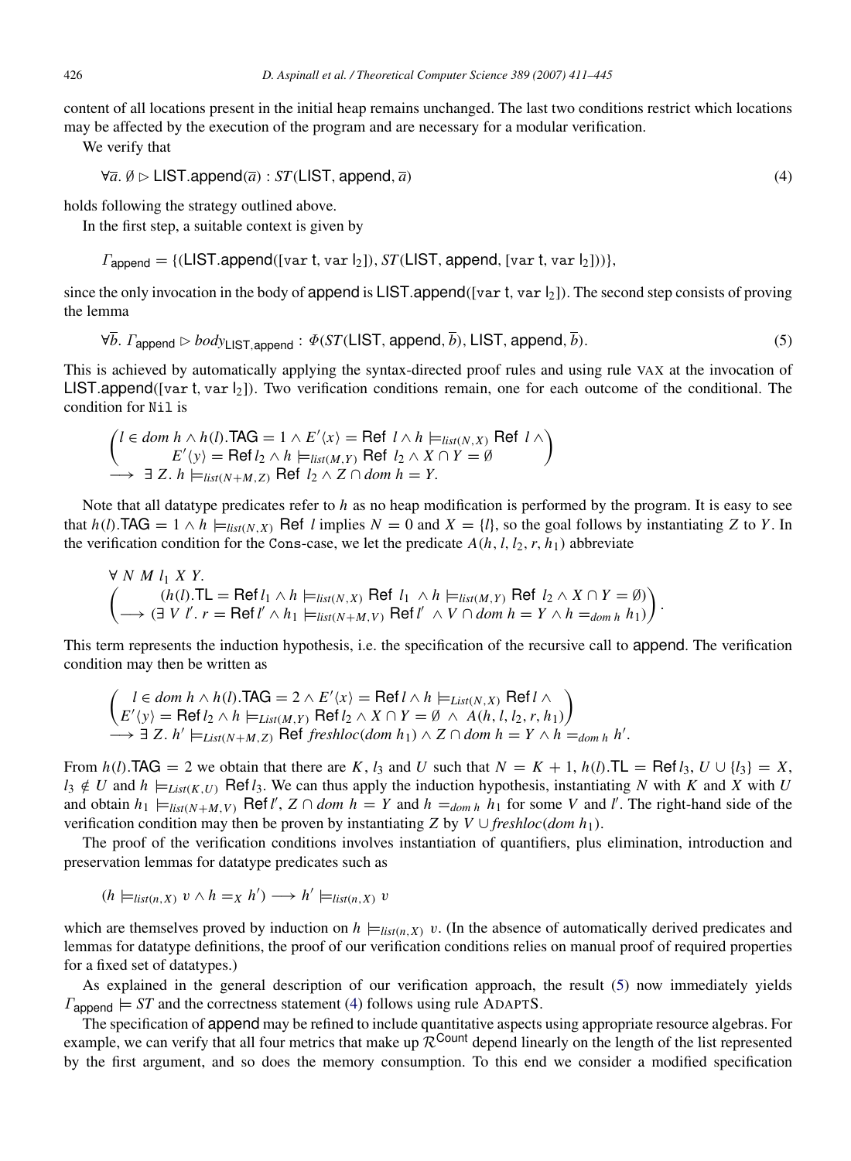content of all locations present in the initial heap remains unchanged. The last two conditions restrict which locations may be affected by the execution of the program and are necessary for a modular verification.

We verify that

<span id="page-16-1"></span> $\forall \bar{a}, \emptyset \triangleright \mathsf{LIST.append}(\bar{a}) : ST(\mathsf{LIST}, \mathsf{append}, \bar{a})$  (4)

holds following the strategy outlined above.

In the first step, a suitable context is given by

 $\Gamma_{\text{aopend}} = \{ (LIST.append([var t, var l_2]), ST(LIST, append, [var t, var l_2])) \},\$ 

since the only invocation in the body of append is LIST.append([var t, var  $|_2$ ]). The second step consists of proving the lemma

<span id="page-16-0"></span> $\forall \overline{b}$ .  $\Gamma_{\text{annend}} \rhd \text{body}_{\text{LIST} \text{annend}} : \Phi(\text{ST}(\text{LIST}, \text{append}, \overline{b}), \text{LIST}, \text{append}, \overline{b}).$  (5)

This is achieved by automatically applying the syntax-directed proof rules and using rule VAX at the invocation of LIST.append([var t, var  $\vert_2$ ]). Two verification conditions remain, one for each outcome of the conditional. The condition for Nil is

$$
\begin{pmatrix} l \in dom \ h \land h(l). \text{TAG} = 1 \land E' \langle x \rangle = \text{Ref } l \land h \models_{list(N,X)} \text{Ref } l \land \\ E' \langle y \rangle = \text{Ref } l_2 \land h \models_{list(M,Y)} \text{Ref } l_2 \land X \cap Y = \emptyset \end{pmatrix}
$$
  
\n
$$
\rightarrow \exists Z. h \models_{list(N+M,Z)} \text{Ref } l_2 \land Z \cap dom \ h = Y.
$$

Note that all datatype predicates refer to *h* as no heap modification is performed by the program. It is easy to see that  $h(l)$ .TAG =  $1 \wedge h$   $\models$   $_{list(N,X)}$  Ref *l* implies  $N = 0$  and  $X = \{l\}$ , so the goal follows by instantiating *Z* to *Y*. In the verification condition for the Cons-case, we let the predicate  $A(h, l, l_2, r, h_1)$  abbreviate

$$
\forall N \ M \ l_1 \ X \ Y.
$$
\n
$$
\begin{pmatrix}\n(h(l).TL = Ref l_1 \land h \models_{list(N,X)} Ref l_1 \land h \models_{list(M,Y)} Ref l_2 \land X \cap Y = \emptyset) \\
\to (\exists V \ l'.r = Ref l' \land h_1 \models_{list(N+M,V)} Ref l' \land V \cap dom h = Y \land h =_{dom h} h_1)\n\end{pmatrix}.
$$

This term represents the induction hypothesis, i.e. the specification of the recursive call to append. The verification condition may then be written as

$$
\begin{aligned}\n\left( \begin{array}{c} l \in dom \ h \land h(l). \text{TAG} = 2 \land E' \langle x \rangle = \text{Ref } l \land h \models_{List(N,X)} \text{Ref } l \land \\
E' \langle y \rangle = \text{Ref } l_2 \land h \models_{List(M,Y)} \text{Ref } l_2 \land X \cap Y = \emptyset \land A(h, l, l_2, r, h_1) \\
\longrightarrow \exists Z. \ h' \models_{List(N+M,Z)} \text{Ref } freshloc(dom \ h_1) \land Z \cap dom \ h = Y \land h =_{dom \ h} h'.\n\end{array} \right)\n\end{aligned}
$$

From  $h(l)$ .TAG = 2 we obtain that there are *K*,  $l_3$  and *U* such that  $N = K + 1$ ,  $h(l)$ .TL = Ref  $l_3$ ,  $U \cup \{l_3\} = X$ ,  $l_3 \notin U$  and  $h \models_{List(K, U)} \text{Ref } l_3$ . We can thus apply the induction hypothesis, instantiating *N* with *K* and *X* with *U* and obtain  $h_1 \models_{list(N+M,V)} \text{Ref } l'$ ,  $Z \cap dom \ h = Y$  and  $h =_{dom h} h_1$  for some *V* and *l'*. The right-hand side of the verification condition may then be proven by instantiating *Z* by *V* ∪ *freshloc*(*dom h*<sub>1</sub>).

The proof of the verification conditions involves instantiation of quantifiers, plus elimination, introduction and preservation lemmas for datatype predicates such as

$$
(h \models_{list(n,X)} v \land h =_X h') \longrightarrow h' \models_{list(n,X)} v
$$

which are themselves proved by induction on  $h \models_{list(n,X)} v$ . (In the absence of automatically derived predicates and lemmas for datatype definitions, the proof of our verification conditions relies on manual proof of required properties for a fixed set of datatypes.)

As explained in the general description of our verification approach, the result [\(5\)](#page-16-0) now immediately yields  $\Gamma_{\text{aopend}} \models$  *ST* and the correctness statement [\(4\)](#page-16-1) follows using rule ADAPTS.

The specification of append may be refined to include quantitative aspects using appropriate resource algebras. For example, we can verify that all four metrics that make up  $\mathcal{R}^{\text{Count}}$  depend linearly on the length of the list represented by the first argument, and so does the memory consumption. To this end we consider a modified specification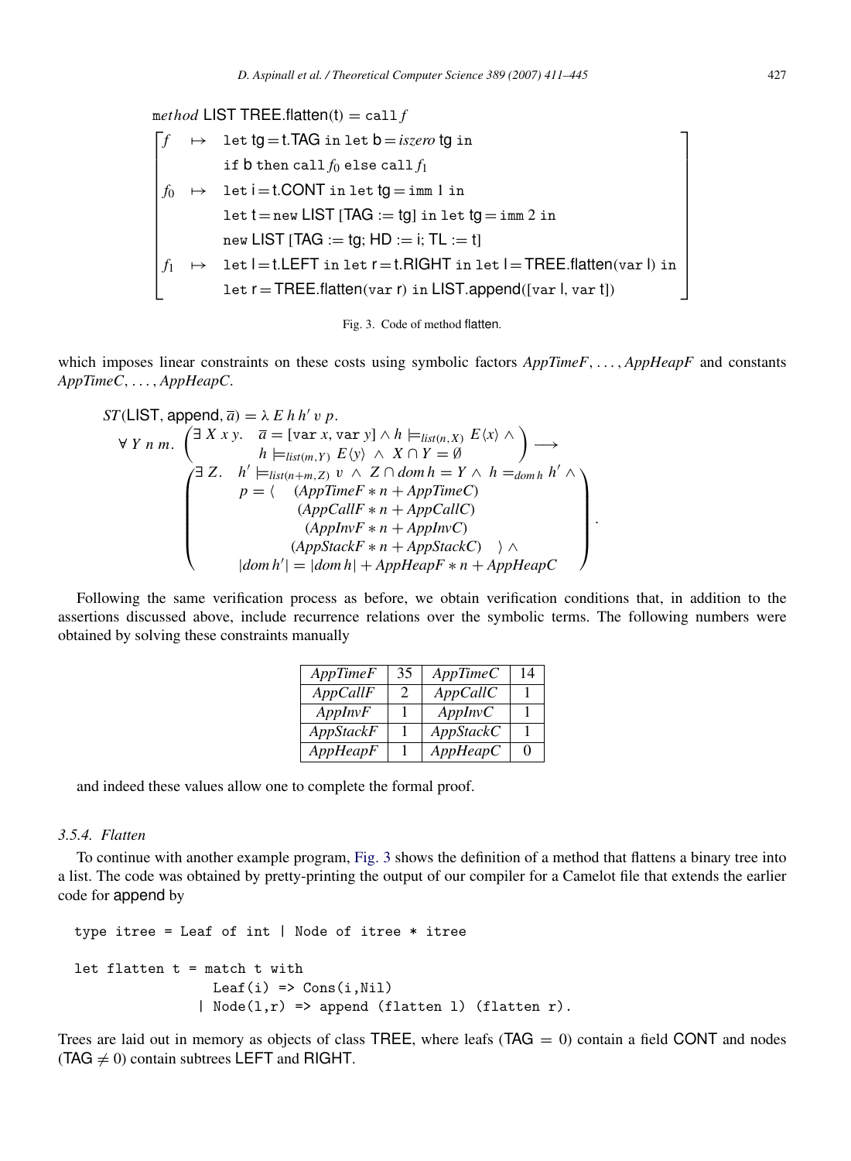<span id="page-17-0"></span> $method$  LIST TREE.flatten(t) = call *f* Г.  $\begin{bmatrix} \cdot & \cdot & \cdot \\ \cdot & \cdot & \cdot \\ \cdot & \cdot & \cdot \end{bmatrix},$  $f \mapsto 1$ et  $tg = t$ .TAG in let  $b = \textit{iszero}$  tg in if  $b$  then call  $f_0$  else call  $f_1$  $f_0 \rightarrow$  let  $i = t$ .CONT in let  $tg = \text{imm } 1$  in  $\texttt{let}~\texttt{t}\!=\!\texttt{new}~\textsf{LIST}~[\texttt{TAG}:=\texttt{tg}]~\texttt{in}~\texttt{let}~\texttt{tg} \!=\!\texttt{imm}~\!2~\texttt{in}$  $new$  LIST [TAG  $:=$  tg; HD  $:=$  i; TL  $:=$  t]  $f_1 \rightarrow 1$ et l=t.LEFT in let  $r = t$ .RIGHT in let l=TREE.flatten(var l) in let r = TREE.flatten(var r) in LIST.append([var l, var t]) ٦ 



which imposes linear constraints on these costs using symbolic factors  $AppTimeF, \ldots$ ,  $AppHeapF$  and constants *AppTimeC*, . . . , *AppHeapC*.

$$
ST(\text{LIST, append}, \overline{a}) = \lambda E h h' v p.
$$
\n
$$
\forall Y n m. \begin{pmatrix} \exists X x y. & \overline{a} = [\text{var } x, \text{var } y] \land h \models_{list(n, X)} E \langle x \rangle \land \\ h \models_{list(m, Y)} E \langle y \rangle \land X \cap Y = \emptyset \end{pmatrix} \longrightarrow
$$
\n
$$
\begin{pmatrix} \exists Z. & h' \models_{list(n+m, Z)} v \land Z \cap dom h = Y \land h =_{dom h} h' \land \\ p = \langle (AppTimeF * n + AppTimeC) \\ (AppCallF * n + AppCallC) \\ (AppStackF * n + AppStackC) \land \\ |dom h'| = |dom h| + AppHeapF * n + AppHeapC \end{pmatrix}.
$$

Following the same verification process as before, we obtain verification conditions that, in addition to the assertions discussed above, include recurrence relations over the symbolic terms. The following numbers were obtained by solving these constraints manually

| AppTimeF  | 35 | AppTimeC  | 14 |
|-----------|----|-----------|----|
| AppCallF  | 2  | AppCallC  |    |
| AppInvF   |    | AppInvC   |    |
| AppStackF |    | AppStackC |    |
| AppHeapF  |    | AppHeapC  | 0  |

and indeed these values allow one to complete the formal proof.

#### *3.5.4. Flatten*

To continue with another example program, [Fig.](#page-17-0) [3](#page-17-0) shows the definition of a method that flattens a binary tree into a list. The code was obtained by pretty-printing the output of our compiler for a Camelot file that extends the earlier code for append by

```
type itree = Leaf of int | Node of itree * itree
let flatten t = match t with
                  Leaf(i) \Rightarrow Cons(i, Nil)| Node(l,r) => append (flatten 1) (flatten r).
```
Trees are laid out in memory as objects of class TREE, where leafs  $(TAG = 0)$  contain a field CONT and nodes (TAG  $\neq$  0) contain subtrees LEFT and RIGHT.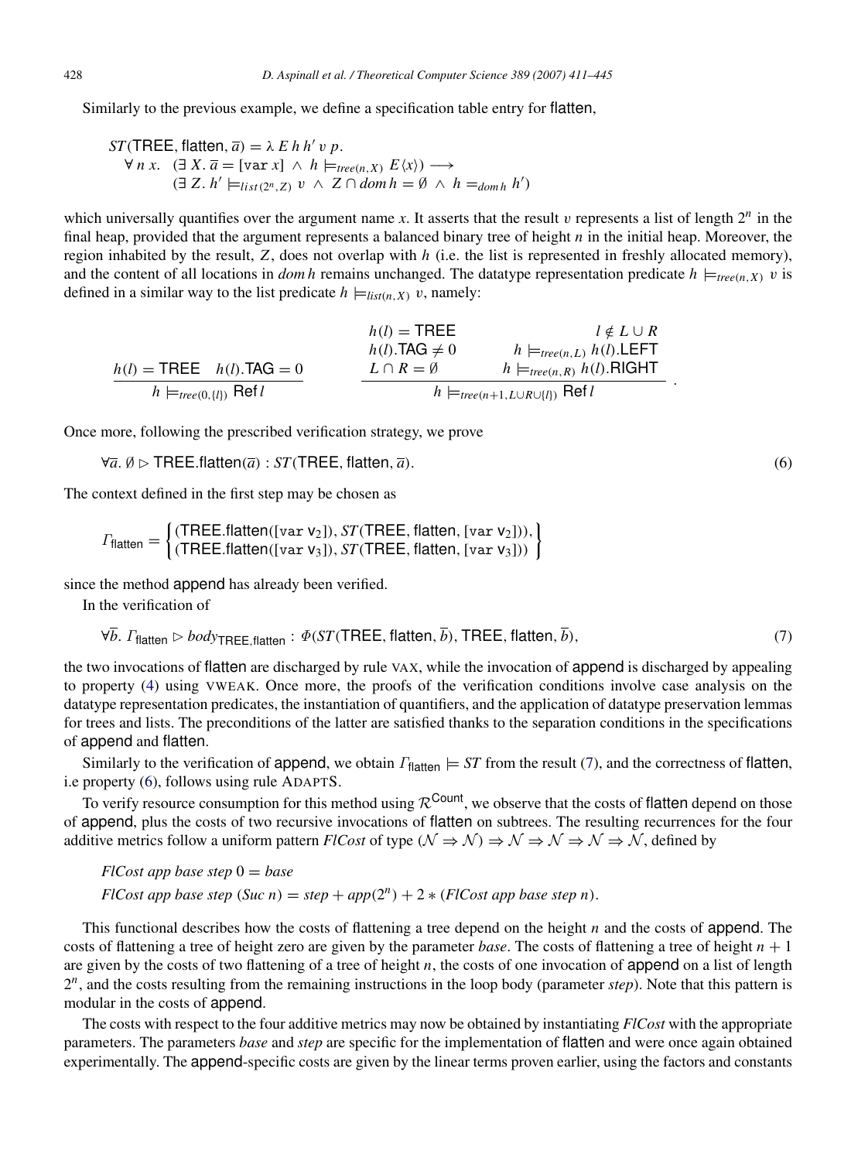Similarly to the previous example, we define a specification table entry for flatten,

$$
ST(\text{TREE}, \text{flatten}, \overline{a}) = \lambda \, E \, h \, h' \, v \, p.
$$
\n
$$
\forall \, n \, x. \quad (\exists \, X. \, \overline{a} = [\text{var } x] \, \land \, h \models_{\text{tree}(n, X)} E \langle x \rangle) \longrightarrow
$$
\n
$$
(\exists \, Z. \, h' \models_{\text{list}(2^n, Z)} v \, \land \, Z \cap \text{dom } h = \emptyset \, \land \, h =_{\text{dom } h} h')
$$

which universally quantifies over the argument name  $x$ . It asserts that the result  $v$  represents a list of length  $2^n$  in the final heap, provided that the argument represents a balanced binary tree of height *n* in the initial heap. Moreover, the region inhabited by the result, *Z*, does not overlap with *h* (i.e. the list is represented in freshly allocated memory), and the content of all locations in *dom h* remains unchanged. The datatype representation predicate  $h \models_{tree(n,X)} v$  is defined in a similar way to the list predicate  $h \models_{list(n, X)} v$ , namely:

$$
h(l) = \text{TREE} \qquad l \notin L \cup R
$$
\n
$$
h(l) = \text{TREE} \qquad h(l). \text{TAG} \neq 0 \qquad h \models_{tree(n,L)} h(l). \text{LEFT}
$$
\n
$$
h(l) = \text{TREE} \qquad h(l). \text{TAG} \neq 0 \qquad h \models_{tree(n,R)} h(l). \text{LEFT}
$$
\n
$$
h \models_{tree(0,\{l\})} \text{Ref } l \qquad h \models_{tree(n+1, L \cup R \cup \{l\})} \text{Ref } l \qquad h \models_{tree(n+1, L \cup R \cup \{l\})} \text{Ref } l \qquad (l \neq L \cup R \text{ for } l \neq l)
$$

Once more, following the prescribed verification strategy, we prove

```
\forall \overline{a}, \emptyset \triangleright \mathsf{TREE}.\mathsf{flatten}(\overline{a}) : \mathsf{ST}(\mathsf{TREE}, \mathsf{flatten}, \overline{a}). (6)
```
The context defined in the first step may be chosen as

$$
\Gamma_{\text{flatten}} = \begin{cases}\n(\text{THEE-flatten}([var \ v_2]), \text{ST}(\text{THEE, flatten}, [var \ v_2])), \\
(\text{THEE-flatten}([var \ v_3]), \text{ST}(\text{THEE, flatten}, [var \ v_3]))\n\end{cases}
$$

since the method append has already been verified.

In the verification of

<span id="page-18-0"></span>
$$
\forall \overline{b}. \ \Gamma_{\text{flatten}} \triangleright \text{body}_{\text{THEE},\text{flatten}} : \Phi(\text{ST}(\text{THEE}, \text{flatten}, \overline{b}), \text{THEE}, \text{flatten}, \overline{b}), \tag{7}
$$

the two invocations of flatten are discharged by rule VAX, while the invocation of append is discharged by appealing to property [\(4\)](#page-16-1) using VWEAK. Once more, the proofs of the verification conditions involve case analysis on the datatype representation predicates, the instantiation of quantifiers, and the application of datatype preservation lemmas for trees and lists. The preconditions of the latter are satisfied thanks to the separation conditions in the specifications of append and flatten.

Similarly to the verification of append, we obtain  $\Gamma_{\text{flatten}} \models ST$  from the result [\(7\)](#page-18-0), and the correctness of flatten, i.e property [\(6\)](#page-18-1), follows using rule ADAPTS.

To verify resource consumption for this method using  $\mathcal{R}^{\text{Count}}$ , we observe that the costs of flatten depend on those of append, plus the costs of two recursive invocations of flatten on subtrees. The resulting recurrences for the four additive metrics follow a uniform pattern *FlCost* of type ( $\mathcal{N} \Rightarrow \mathcal{N} \Rightarrow \mathcal{N} \Rightarrow \mathcal{N} \Rightarrow \mathcal{N}$ , defined by

 $Flcost$  *app base step*  $0 = base$ *FlCost app base step*  $(Suc\ n) = step + app(2^n) + 2 * (FlCost\ app\ base\ step\ n)$ .

This functional describes how the costs of flattening a tree depend on the height *n* and the costs of append. The costs of flattening a tree of height zero are given by the parameter *base*. The costs of flattening a tree of height  $n + 1$ are given by the costs of two flattening of a tree of height *n*, the costs of one invocation of append on a list of length 2 *n* , and the costs resulting from the remaining instructions in the loop body (parameter *step*). Note that this pattern is modular in the costs of append.

The costs with respect to the four additive metrics may now be obtained by instantiating *FlCost* with the appropriate parameters. The parameters *base* and *step* are specific for the implementation of flatten and were once again obtained experimentally. The append-specific costs are given by the linear terms proven earlier, using the factors and constants

<span id="page-18-1"></span>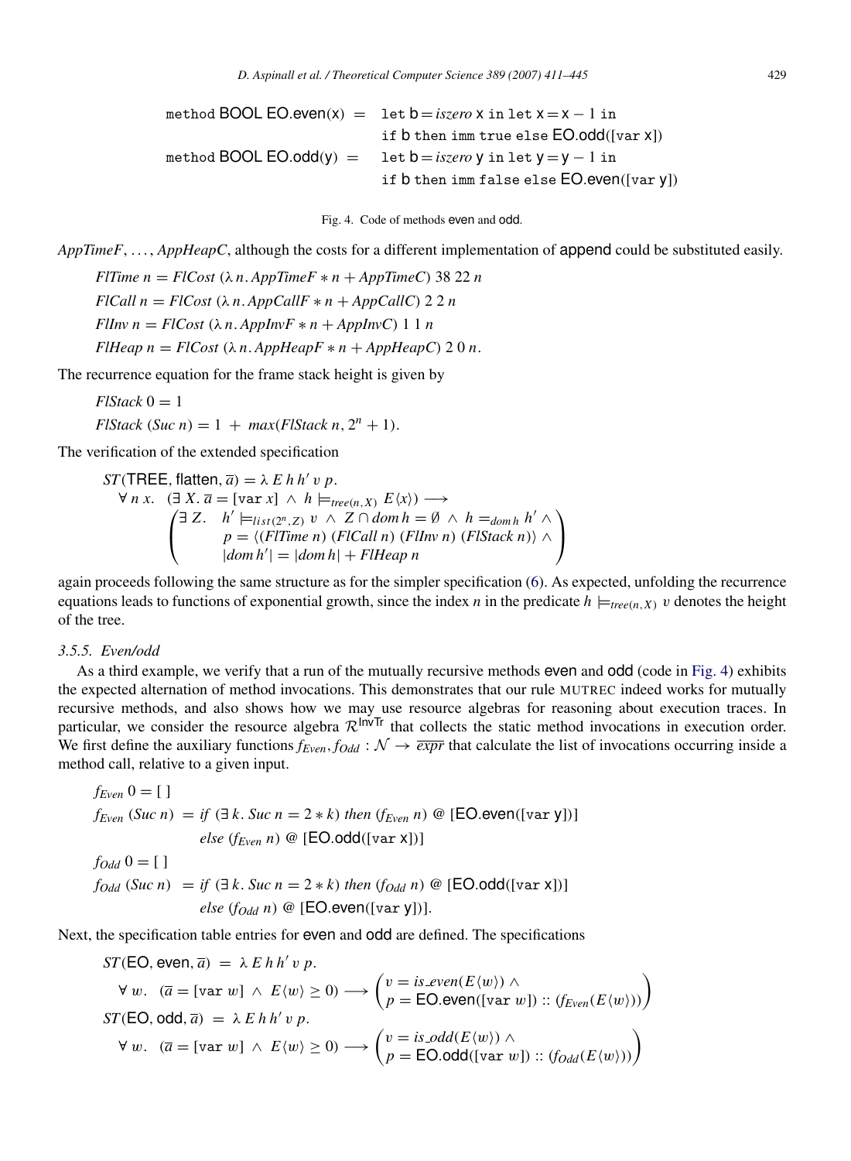<span id="page-19-0"></span>method BOOL EO.even(x) = let  $b = i$ *szero* x in let  $x = x - 1$  in if b then imm true else EO.odd([var x]) method BOOL EO.odd(y) = let  $b = iszero$  y in let  $y = y - 1$  in if b then imm false else EO.even([var y])

Fig. 4. Code of methods even and odd.

*AppTimeF*, ..., *AppHeapC*, although the costs for a different implementation of **append** could be substituted easily.

*FlTime n* =  $FlCost(\lambda n. AppTimeF * n + AppTimeC)$  38 22 *n FICall n* =  $FICost$  ( $\lambda n$ .  $AppCallF * n + AppCallC$ ) 2 2 *n FlInv n* =  $Flcost$  ( $\lambda n$ .  $AppInvF * n + AppInvC$ ) 1 1 *n*  $F$ *Heap*  $n = F$ *ICost*  $(\lambda n \cdot AppHeapF * n + AppHeapC)$  2 0 *n*.

The recurrence equation for the frame stack height is given by

 $FlStack$ <sup>0</sup> = 1

 $FlStack(Suc n) = 1 + max(FlStack n, 2<sup>n</sup> + 1).$ 

The verification of the extended specification

*ST*(TREE, flatten,  $\overline{a}$ ) =  $\lambda$  *E h h' v p.*  $\forall n \ x. \quad (\exists X. \overline{a} = [\text{var } x] \ \land \ h \models_{\text{tree}(n, X)} E\langle x \rangle) \longrightarrow$  $\sqrt{ }$  $\mathbf{I}$  $\exists Z. \quad h' \models_{list(2^n, Z)} v \land Z \cap dom \, h = \emptyset \land h =_{dom h} h' \land$ *p* =  $\langle$ (*FlTime n*) (*FlCall n*) (*FlInv n*) (*FlStack n*) $\rangle$  ∧  $|dom h'| = |dom h| + FlHeap$  $\setminus$  $\overline{1}$ 

again proceeds following the same structure as for the simpler specification [\(6\)](#page-18-1). As expected, unfolding the recurrence equations leads to functions of exponential growth, since the index *n* in the predicate  $h \models_{tree(n,X)} v$  denotes the height of the tree.

#### <span id="page-19-1"></span>*3.5.5. Even/odd*

As a third example, we verify that a run of the mutually recursive methods even and odd (code in [Fig.](#page-19-0) [4\)](#page-19-0) exhibits the expected alternation of method invocations. This demonstrates that our rule MUTREC indeed works for mutually recursive methods, and also shows how we may use resource algebras for reasoning about execution traces. In particular, we consider the resource algebra  $\mathcal{R}^{\text{InvTr}}$  that collects the static method invocations in execution order. We first define the auxiliary functions  $f_{Even}$ ,  $f_{Odd}$  :  $\mathcal{N} \rightarrow \overline{expr}$  that calculate the list of invocations occurring inside a method call, relative to a given input.

$$
f_{Even} \t 0 = [ ]
$$
  
\n
$$
f_{Even} \t (Suc n) = if \t (∃ k. \t Succ n = 2 * k) \t then \t (f_{Even} n) @ [EO.event([var y]])]
$$
  
\n
$$
else \t (f_{Even} n) @ [EO.add([var x]])]
$$
  
\n
$$
fodd \t 0 = [ ]
$$
  
\n
$$
fodd \t (Suc n) = if \t (∃ k. \t Succ n = 2 * k) \t then \t (fodd \t n) @ [EO.add([var x]])]
$$
  
\n
$$
else \t (fodd \t n) @ [EO.event([var y]])
$$

Next, the specification table entries for even and odd are defined. The specifications

$$
ST(EO, even, \overline{a}) = \lambda E h h' v p.
$$
  
\n
$$
\forall w. \quad (\overline{a} = [\text{var } w] \land E(w) \ge 0) \longrightarrow \begin{pmatrix} v = is\_even(E\langle w \rangle) \land \\ p = EO.even([\text{var } w]) :: (f_{Even}(E\langle w \rangle)) \end{pmatrix}
$$
  
\n
$$
ST(EO, odd, \overline{a}) = \lambda E h h' v p.
$$
  
\n
$$
\forall w. \quad (\overline{a} = [\text{var } w] \land E\langle w \rangle \ge 0) \longrightarrow \begin{pmatrix} v = is\_odd(E\langle w \rangle) \land \\ p = EO.odd([\text{var } w]) :: (f_{Odd}(E\langle w \rangle)) \end{pmatrix}
$$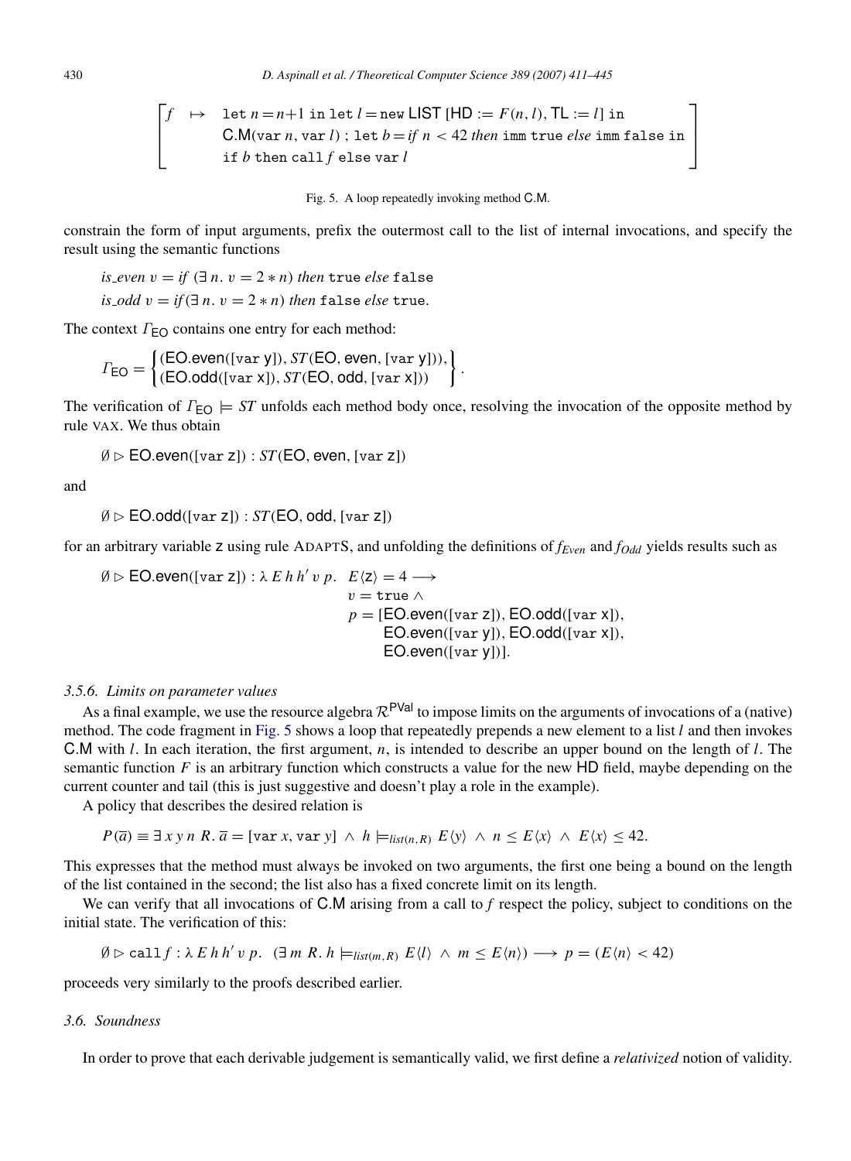$$
\begin{bmatrix} f & \mapsto & \text{let } n = n + 1 \text{ in } \text{let } l = \text{new } \text{LIST } [\text{HD} := F(n, l), \text{TL} := l] \text{ in} \\ \text{C.M}(\text{var } n, \text{var } l) ; \text{ let } b = if n < 42 \text{ then } \text{imm true } else \text{ imm } \text{false in} \\ \text{if } b \text{ then call } f \text{ else } \text{var } l \end{bmatrix}
$$

Fig. 5. A loop repeatedly invoking method C.M.

constrain the form of input arguments, prefix the outermost call to the list of internal invocations, and specify the result using the semantic functions

*is*  $\angle$ *even*  $v =$  *if*  $(\exists n, v = 2 * n)$  *then* true *else* false *is*  $\Delta$ *odd*  $v = \text{if } (\exists n, v = 2 * n)$  *then* false *else* true.

The context  $\Gamma_{\text{EO}}$  contains one entry for each method:

$$
\Gamma_{\text{EO}} = \begin{cases}\n(\text{EO}.\text{even}([\text{var } y]), ST(\text{EO}, \text{even}, [\text{var } y]), \\
(\text{EO}.\text{odd}([\text{var } x]), ST(\text{EO}, \text{odd}, [\text{var } x]))\n\end{cases}.
$$

The verification of  $\Gamma_{\text{EO}} \models ST$  unfolds each method body once, resolving the invocation of the opposite method by rule VAX. We thus obtain

 $\emptyset \triangleright$  EO.even([var z]) : *ST*(EO, even, [var z])

and

```
\emptyset \triangleright EO.odd([var z]) : ST(EO, odd, [var z])
```
for an arbitrary variable z using rule ADAPTS, and unfolding the definitions of *fEven* and *fOdd* yields results such as

 $\emptyset \triangleright$  **EO.even**([var z]) :  $\lambda$  *E h h' v p. E* $\langle z \rangle = 4 \longrightarrow$  $v = \text{true} \wedge$  $p = [EO.event([var z]), EO.odd([var x]),$  $EO. even([var y]), EO. odd([var x]),$ EO.even([var y])].

#### *3.5.6. Limits on parameter values*

As a final example, we use the resource algebra  $\mathcal{R}^{PVal}$  to impose limits on the arguments of invocations of a (native) method. The code fragment in [Fig.](#page-20-0) [5](#page-20-0) shows a loop that repeatedly prepends a new element to a list *l* and then invokes C.M with *l*. In each iteration, the first argument, *n*, is intended to describe an upper bound on the length of *l*. The semantic function  $F$  is an arbitrary function which constructs a value for the new HD field, maybe depending on the current counter and tail (this is just suggestive and doesn't play a role in the example).

A policy that describes the desired relation is

$$
P(\overline{a}) \equiv \exists x \, y \, n \, R. \overline{a} = [\text{var } x, \text{var } y] \land h \models_{\text{list}(n, R)} E \langle y \rangle \land n \le E \langle x \rangle \land E \langle x \rangle \le 42.
$$

This expresses that the method must always be invoked on two arguments, the first one being a bound on the length of the list contained in the second; the list also has a fixed concrete limit on its length.

We can verify that all invocations of C.M arising from a call to f respect the policy, subject to conditions on the initial state. The verification of this:

$$
\emptyset \rhd \text{call } f: \lambda \ E \ h \ h' \ v \ p. \ (\exists \ m \ R \ldotp h \models_{\text{list}(m, R)} E \langle l \rangle \ \land \ m \leq E \langle n \rangle) \longrightarrow p = (E \langle n \rangle < 42)
$$

proceeds very similarly to the proofs described earlier.

#### *3.6. Soundness*

<span id="page-20-1"></span>In order to prove that each derivable judgement is semantically valid, we first define a *relativized* notion of validity.

<span id="page-20-0"></span>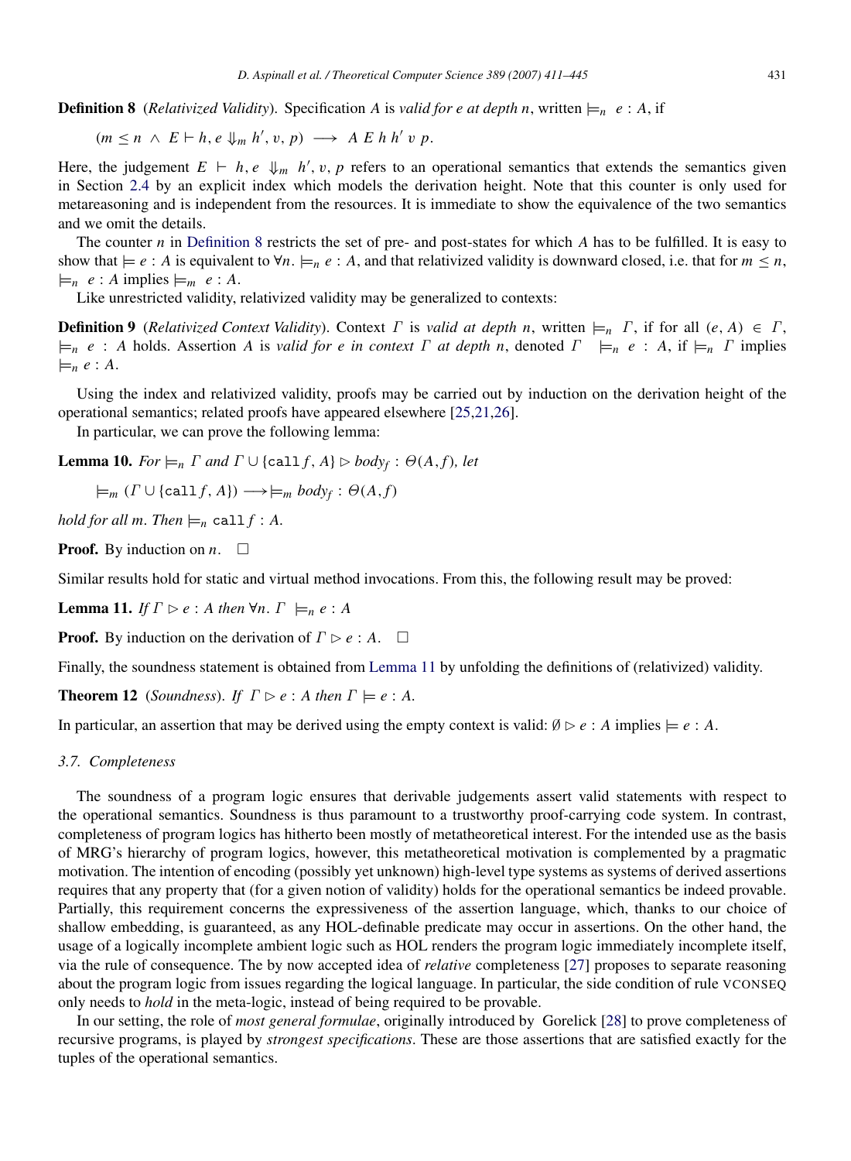**Definition 8** (*Relativized Validity*). Specification *A* is *valid for e at depth n*, written  $\models n$  *e* : *A*, if

$$
(m \leq n \ \land \ E \vdash h, e \Downarrow_m h', v, p) \longrightarrow A \ E \ h \ h' \ v \ p.
$$

Here, the judgement  $E \vdash h, e \Downarrow_m h', v, p$  refers to an operational semantics that extends the semantics given in Section [2.4](#page-7-1) by an explicit index which models the derivation height. Note that this counter is only used for metareasoning and is independent from the resources. It is immediate to show the equivalence of the two semantics and we omit the details.

The counter *n* in [Definition](#page-20-1) [8](#page-20-1) restricts the set of pre- and post-states for which *A* has to be fulfilled. It is easy to show that  $\models e : A$  is equivalent to  $\forall n. \models_n e : A$ , and that relativized validity is downward closed, i.e. that for  $m \leq n$ ,  $\models_n e: A \text{ implies } \models_m e: A.$ 

Like unrestricted validity, relativized validity may be generalized to contexts:

**Definition 9** (*Relativized Context Validity*). Context  $\Gamma$  is *valid at depth n*, written  $\models_n \Gamma$ , if for all  $(e, A) \in \Gamma$ ,  $\models n \ e : A$  holds. Assertion *A* is *valid for e in context*  $\Gamma$  *at depth n*, denoted  $\Gamma \models_n e : A$ , if  $\models_n \Gamma$  implies  $\models_n e:A.$ 

Using the index and relativized validity, proofs may be carried out by induction on the derivation height of the operational semantics; related proofs have appeared elsewhere [\[25](#page-33-23)[,21,](#page-33-19)[26\]](#page-33-24).

In particular, we can prove the following lemma:

**Lemma 10.** *For*  $\models$ *n*</sub>  $\Gamma$  *and*  $\Gamma$   $\cup$  {call  $f$ *, A*}  $\triangleright$  *body<sub>f</sub>* :  $\Theta(A, f)$ *, let* 

 $\models_m ( \Gamma \cup \{ \text{call } f, A \}) \longrightarrow \models_m body_f : \Theta(A, f)$ 

*hold for all m. Then*  $\models_n$  call  $f : A$ .

**Proof.** By induction on *n*.  $\Box$ 

Similar results hold for static and virtual method invocations. From this, the following result may be proved:

<span id="page-21-0"></span>**Lemma 11.** *If*  $\Gamma \triangleright e : A$  *then*  $\forall n$ .  $\Gamma \models_n e : A$ 

**Proof.** By induction on the derivation of  $\Gamma \triangleright e : A$ .  $\Box$ 

Finally, the soundness statement is obtained from [Lemma](#page-21-0) [11](#page-21-0) by unfolding the definitions of (relativized) validity.

**Theorem 12** (*Soundness*). *If*  $\Gamma \triangleright e : A$  *then*  $\Gamma \models e : A$ .

In particular, an assertion that may be derived using the empty context is valid:  $\emptyset \triangleright e : A$  implies  $\models e : A$ .

#### *3.7. Completeness*

The soundness of a program logic ensures that derivable judgements assert valid statements with respect to the operational semantics. Soundness is thus paramount to a trustworthy proof-carrying code system. In contrast, completeness of program logics has hitherto been mostly of metatheoretical interest. For the intended use as the basis of MRG's hierarchy of program logics, however, this metatheoretical motivation is complemented by a pragmatic motivation. The intention of encoding (possibly yet unknown) high-level type systems as systems of derived assertions requires that any property that (for a given notion of validity) holds for the operational semantics be indeed provable. Partially, this requirement concerns the expressiveness of the assertion language, which, thanks to our choice of shallow embedding, is guaranteed, as any HOL-definable predicate may occur in assertions. On the other hand, the usage of a logically incomplete ambient logic such as HOL renders the program logic immediately incomplete itself, via the rule of consequence. The by now accepted idea of *relative* completeness [\[27\]](#page-33-25) proposes to separate reasoning about the program logic from issues regarding the logical language. In particular, the side condition of rule VCONSEQ only needs to *hold* in the meta-logic, instead of being required to be provable.

In our setting, the role of *most general formulae*, originally introduced by Gorelick [\[28\]](#page-33-26) to prove completeness of recursive programs, is played by *strongest specifications*. These are those assertions that are satisfied exactly for the tuples of the operational semantics.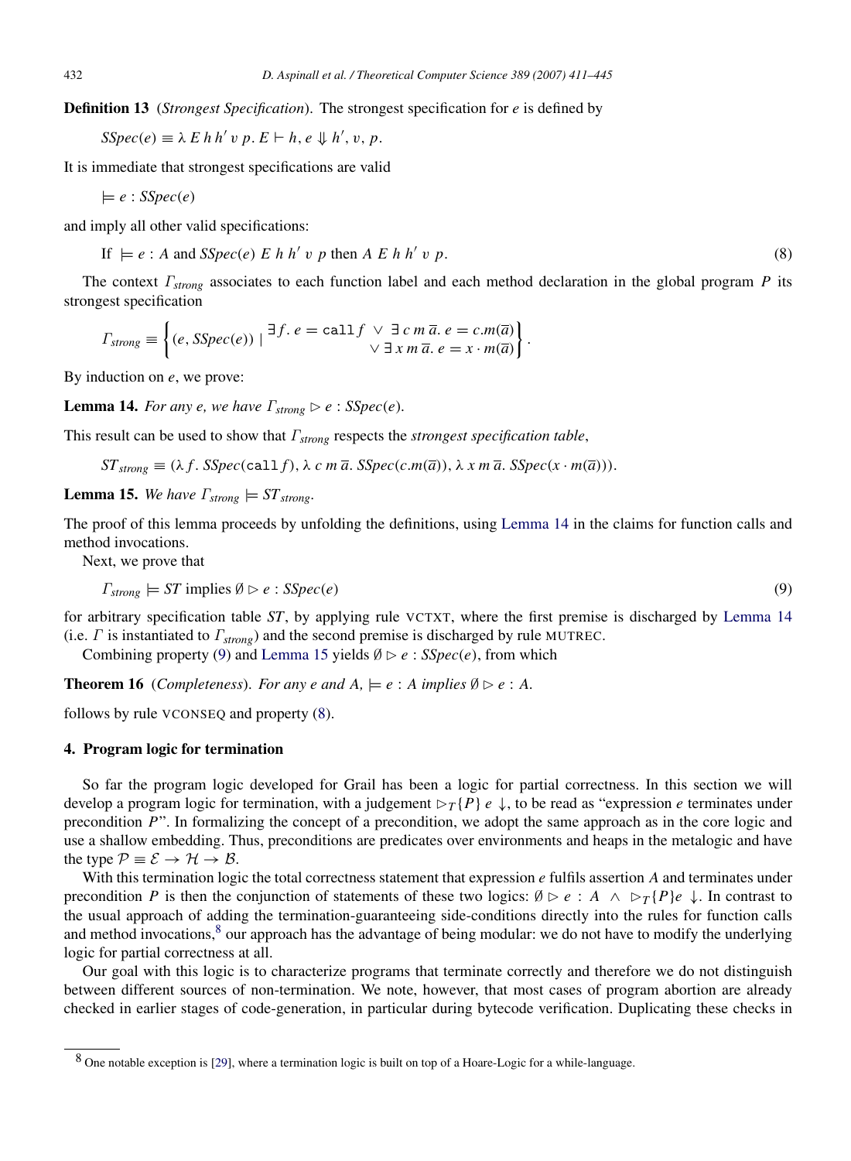Definition 13 (*Strongest Specification*). The strongest specification for *e* is defined by

 $SSpec(e) \equiv \lambda E h h' v p. E \vdash h, e \Downarrow h', v, p.$ 

It is immediate that strongest specifications are valid

 $\models e : SSpec(e)$ 

and imply all other valid specifications:

<span id="page-22-4"></span>If  $\models e : A$  and *SSpec*(*e*)  $E h h' v p$  then  $A E h h'$ v *p*. (8)

The context Γ*strong* associates to each function label and each method declaration in the global program *P* its strongest specification

$$
T_{strong} \equiv \left\{ (e, SSpec(e)) \mid \exists f. \ e = call \ f \lor \exists \ c \ m \ \overline{a}. \ e = c.m(\overline{a}) \right\}.
$$

By induction on *e*, we prove:

<span id="page-22-1"></span>**Lemma 14.** *For any e, we have*  $\Gamma_{\text{strong}} \triangleright e$  :  $SSpec(e)$ *.* 

This result can be used to show that Γ*strong* respects the *strongest specification table*,

 $ST_{strong} \equiv (\lambda f. SSpec(call f), \lambda c m \overline{a}. SSpec(c.m(\overline{a})), \lambda x m \overline{a}. SSpec(x \cdot m(\overline{a}))).$ 

<span id="page-22-3"></span>**Lemma 15.** We have  $\Gamma_{\text{strong}} \models ST_{\text{strong}}$ .

The proof of this lemma proceeds by unfolding the definitions, using [Lemma](#page-22-1) [14](#page-22-1) in the claims for function calls and method invocations.

Next, we prove that

<span id="page-22-2"></span>
$$
\Gamma_{strong} \models ST \text{ implies } \emptyset \triangleright e : SSpec(e) \tag{9}
$$

for arbitrary specification table *ST*, by applying rule VCTXT, where the first premise is discharged by [Lemma](#page-22-1) [14](#page-22-1) (i.e. Γ is instantiated to Γ*strong*) and the second premise is discharged by rule MUTREC.

Combining property [\(9\)](#page-22-2) and [Lemma](#page-22-3) [15](#page-22-3) yields  $\emptyset \triangleright e$  : *SSpec(e)*, from which

**Theorem 16** (*Completeness*). *For any e and A*,  $\models e : A$  *implies*  $\emptyset \triangleright e : A$ .

follows by rule VCONSEQ and property [\(8\)](#page-22-4).

#### <span id="page-22-0"></span>4. Program logic for termination

So far the program logic developed for Grail has been a logic for partial correctness. In this section we will develop a program logic for termination, with a judgement  $\triangleright_T \{P\}$  *e*  $\downarrow$ , to be read as "expression *e* terminates under precondition *P*". In formalizing the concept of a precondition, we adopt the same approach as in the core logic and use a shallow embedding. Thus, preconditions are predicates over environments and heaps in the metalogic and have the type  $P = \mathcal{E} \rightarrow \mathcal{H} \rightarrow \mathcal{B}$ .

With this termination logic the total correctness statement that expression *e* fulfils assertion *A* and terminates under precondition *P* is then the conjunction of statements of these two logics:  $\emptyset \triangleright e : A \land \triangleright_T \{P\}e \downarrow$ . In contrast to the usual approach of adding the termination-guaranteeing side-conditions directly into the rules for function calls and method invocations, $8$  our approach has the advantage of being modular: we do not have to modify the underlying logic for partial correctness at all.

Our goal with this logic is to characterize programs that terminate correctly and therefore we do not distinguish between different sources of non-termination. We note, however, that most cases of program abortion are already checked in earlier stages of code-generation, in particular during bytecode verification. Duplicating these checks in

<span id="page-22-5"></span><sup>8</sup> One notable exception is [\[29\]](#page-33-27), where a termination logic is built on top of a Hoare-Logic for a while-language.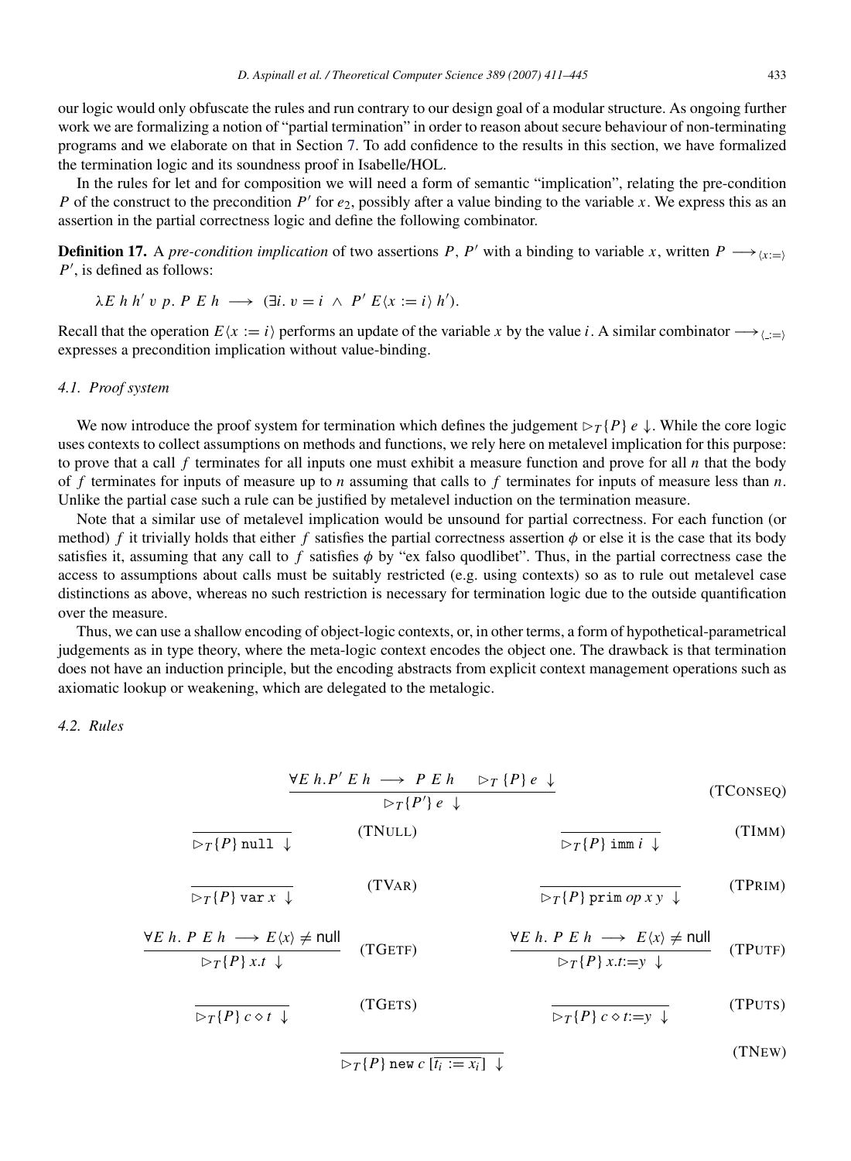our logic would only obfuscate the rules and run contrary to our design goal of a modular structure. As ongoing further work we are formalizing a notion of "partial termination" in order to reason about secure behaviour of non-terminating programs and we elaborate on that in Section [7.](#page-31-0) To add confidence to the results in this section, we have formalized the termination logic and its soundness proof in Isabelle/HOL.

In the rules for let and for composition we will need a form of semantic "implication", relating the pre-condition *P* of the construct to the precondition  $P'$  for  $e_2$ , possibly after a value binding to the variable *x*. We express this as an assertion in the partial correctness logic and define the following combinator.

**Definition 17.** A *pre-condition implication* of two assertions *P*, *P'* with a binding to variable *x*, written  $P \longrightarrow_{(x:=)}$  $P'$ , is defined as follows:

$$
\lambda E \; h \; h' \; v \; p. \; P \; E \; h \; \longrightarrow \; (\exists i. \; v = i \; \wedge \; P' \; E \langle x := i \rangle \; h').
$$

Recall that the operation  $E(x := i)$  performs an update of the variable x by the value *i*. A similar combinator  $\rightarrow$ expresses a precondition implication without value-binding.

#### *4.1. Proof system*

We now introduce the proof system for termination which defines the judgement  $\triangleright_T \{P\}$  *e*  $\downarrow$ . While the core logic uses contexts to collect assumptions on methods and functions, we rely here on metalevel implication for this purpose: to prove that a call  $f$  terminates for all inputs one must exhibit a measure function and prove for all  $n$  that the body of *f* terminates for inputs of measure up to *n* assuming that calls to *f* terminates for inputs of measure less than *n*. Unlike the partial case such a rule can be justified by metalevel induction on the termination measure.

Note that a similar use of metalevel implication would be unsound for partial correctness. For each function (or method) *f* it trivially holds that either *f* satisfies the partial correctness assertion  $\phi$  or else it is the case that its body satisfies it, assuming that any call to  $f$  satisfies  $\phi$  by "ex falso quodlibet". Thus, in the partial correctness case the access to assumptions about calls must be suitably restricted (e.g. using contexts) so as to rule out metalevel case distinctions as above, whereas no such restriction is necessary for termination logic due to the outside quantification over the measure.

Thus, we can use a shallow encoding of object-logic contexts, or, in other terms, a form of hypothetical-parametrical judgements as in type theory, where the meta-logic context encodes the object one. The drawback is that termination does not have an induction principle, but the encoding abstracts from explicit context management operations such as axiomatic lookup or weakening, which are delegated to the metalogic.

#### <span id="page-23-0"></span>*4.2. Rules*

$$
\frac{\forall E \ h. P' \ E \ h \longrightarrow P \ E \ h \quad \triangleright_T \{P\} \ e \ \downarrow}{\triangleright_T \{P'\} \ e \ \downarrow}
$$
 (TConseg)

$$
\frac{1}{\triangleright_T \{P\} \text{ null } \downarrow} \qquad \qquad \text{(TNULL)} \qquad \qquad \frac{1}{\triangleright_T \{P\} \text{ imm } i \downarrow} \qquad \qquad \text{(TIM)}
$$

$$
\frac{1}{\triangleright_T \{P\} \text{ var } x \downarrow} \qquad \qquad (\text{TVAR}) \qquad \qquad \frac{1}{\triangleright_T \{P\} \text{ prim } op xy \downarrow} \qquad (\text{TPRIM})
$$

$$
\frac{\forall E \ h. \ P \ E \ h \longrightarrow E \langle x \rangle \neq \text{null}}{\triangleright_T \{P\} \ x.t \ \downarrow} \qquad (\text{TGETF}) \qquad \frac{\forall E \ h. \ P \ E \ h \longrightarrow E \langle x \rangle \neq \text{null}}{\triangleright_T \{P\} \ x.t := y \ \downarrow} \qquad (\text{TPUTF})
$$

$$
\overline{\triangleright_T\{P\}c \diamond t \downarrow}
$$
 (TGETS) (TQETS) (TPUTS)

 $\sqrt{P}$  new  $c$   $[\overline{t_i := x_i}] \downarrow$ 

(TNEW)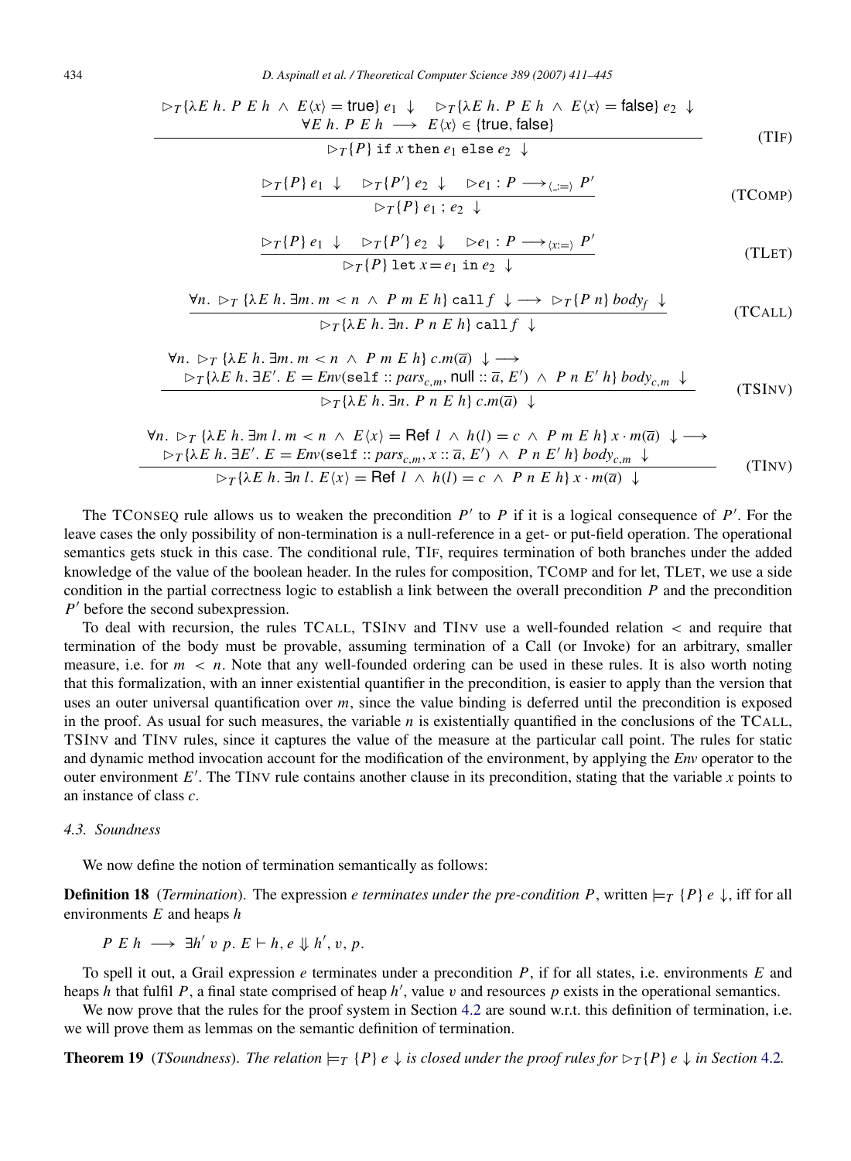$$
\triangleright_T \{\lambda E \ h. \ P \ E \ h \ \wedge \ E \langle x \rangle = \text{true} \} \ e_1 \ \downarrow \quad \triangleright_T \{\lambda E \ h. \ P \ E \ h \ \wedge \ E \langle x \rangle = \text{false} \} \ e_2 \ \downarrow
$$
  
 
$$
\forall E \ h. \ P \ E \ h \longrightarrow \ E \langle x \rangle \in \{\text{true}, \text{false}\}
$$
 (TIF)

 $\triangleright_T \{P\}$  if *x* then  $e_1$  else  $e_2 \downarrow$ 

$$
\frac{\triangleright_T\{P\} e_1 \downarrow \triangleright_T\{P'\} e_2 \downarrow \triangleright e_1 : P \longrightarrow_{\langle \dots = \rangle} P'}{\triangleright_T\{P\} e_1 : e_2 \downarrow}
$$
 (TCOMP)

$$
\frac{\triangleright_T\{P\} e_1 \downarrow \triangleright_T\{P'\} e_2 \downarrow \triangleright e_1 : P \longrightarrow_{\langle x = \rangle} P'}{\triangleright_T\{P\} \text{ let } x = e_1 \text{ in } e_2 \downarrow}
$$
\n(TLET)

$$
\forall n. \; \triangleright_T \{ \lambda E \; h. \; \exists m. \; m < n \; \wedge \; P \; m \; E \; h \} \; \text{call} \; f \; \downarrow \; \longrightarrow \; \triangleright_T \{ P \; n \} \; body_f \; \downarrow
$$
\n
$$
\triangleright_T \{ \lambda E \; h. \; \exists n. \; P \; n \; E \; h \} \; \text{call} \; f \; \downarrow \tag{TCALL}
$$

$$
\forall n. \triangleright_T \{\lambda E \ h. \exists m. m < n \land P \ m \ E \ h\} \ c.m(\overline{a}) \downarrow \longrightarrow
$$
\n
$$
\triangleright_T \{\lambda E \ h. \exists E'. \ E = \text{Env}(\text{self} :: \text{pars}_{c,m}, \text{null} :: \overline{a}, E') \land P \ n \ E' \ h\} \text{ body}_{c,m} \ \downarrow
$$
\n
$$
\triangleright_T \{\lambda E \ h. \exists n. P \ n \ E \ h\} \ c.m(\overline{a}) \ \downarrow
$$
\n(TSINV)

$$
\forall n. \; \rhd_T \{\lambda E \ h. \exists m \ l. \ m < n \ \wedge \ E\langle x \rangle = \text{Ref } l \ \wedge \ h(l) = c \ \wedge \ P \ m \ E \ h \} \ x \cdot m(\overline{a}) \ \downarrow \longrightarrow
$$
\n
$$
\rhd_T \{\lambda E \ h. \ \exists E'. \ E = Env(\text{self} :: pars_{c,m}, x :: \overline{a}, E') \ \wedge \ P \ n \ E' \ h\} \ body_{c,m} \ \downarrow
$$
\n
$$
\rhd_T \{\lambda E \ h. \ \exists n \ l. \ E\langle x \rangle = \text{Ref } l \ \wedge \ h(l) = c \ \wedge \ P \ n \ E \ h\} \ x \cdot m(\overline{a}) \ \downarrow
$$
\n(TInv)

The TCONSEQ rule allows us to weaken the precondition  $P'$  to  $P$  if it is a logical consequence of  $P'$ . For the leave cases the only possibility of non-termination is a null-reference in a get- or put-field operation. The operational semantics gets stuck in this case. The conditional rule, TIF, requires termination of both branches under the added knowledge of the value of the boolean header. In the rules for composition, TCOMP and for let, TLET, we use a side condition in the partial correctness logic to establish a link between the overall precondition *P* and the precondition  $P'$  before the second subexpression.

To deal with recursion, the rules TCALL, TSINV and TINV use a well-founded relation < and require that termination of the body must be provable, assuming termination of a Call (or Invoke) for an arbitrary, smaller measure, i.e. for  $m < n$ . Note that any well-founded ordering can be used in these rules. It is also worth noting that this formalization, with an inner existential quantifier in the precondition, is easier to apply than the version that uses an outer universal quantification over *m*, since the value binding is deferred until the precondition is exposed in the proof. As usual for such measures, the variable *n* is existentially quantified in the conclusions of the TCALL, TSINV and TINV rules, since it captures the value of the measure at the particular call point. The rules for static and dynamic method invocation account for the modification of the environment, by applying the *Env* operator to the outer environment  $E'$ . The TINV rule contains another clause in its precondition, stating that the variable *x* points to an instance of class *c*.

#### *4.3. Soundness*

We now define the notion of termination semantically as follows:

**Definition 18** (*Termination*). The expression *e terminates under the pre-condition P*, written  $\models_T \{P\} e \downarrow$ , iff for all environments *E* and heaps *h*

 $P E h \longrightarrow \exists h' v p. E \vdash h, e \Downarrow h', v, p.$ 

To spell it out, a Grail expression *e* terminates under a precondition *P*, if for all states, i.e. environments *E* and heaps  $h$  that fulfil  $P$ , a final state comprised of heap  $h'$ , value  $v$  and resources  $p$  exists in the operational semantics.

We now prove that the rules for the proof system in Section [4.2](#page-23-0) are sound w.r.t. this definition of termination, i.e. we will prove them as lemmas on the semantic definition of termination.

**Theorem 19** (*TSoundness*). *The relation*  $\models T \{P\} e \downarrow$  *is closed under the proof rules for*  $\models T \{P\} e \downarrow$  *in Section* [4.2](#page-23-0)*.*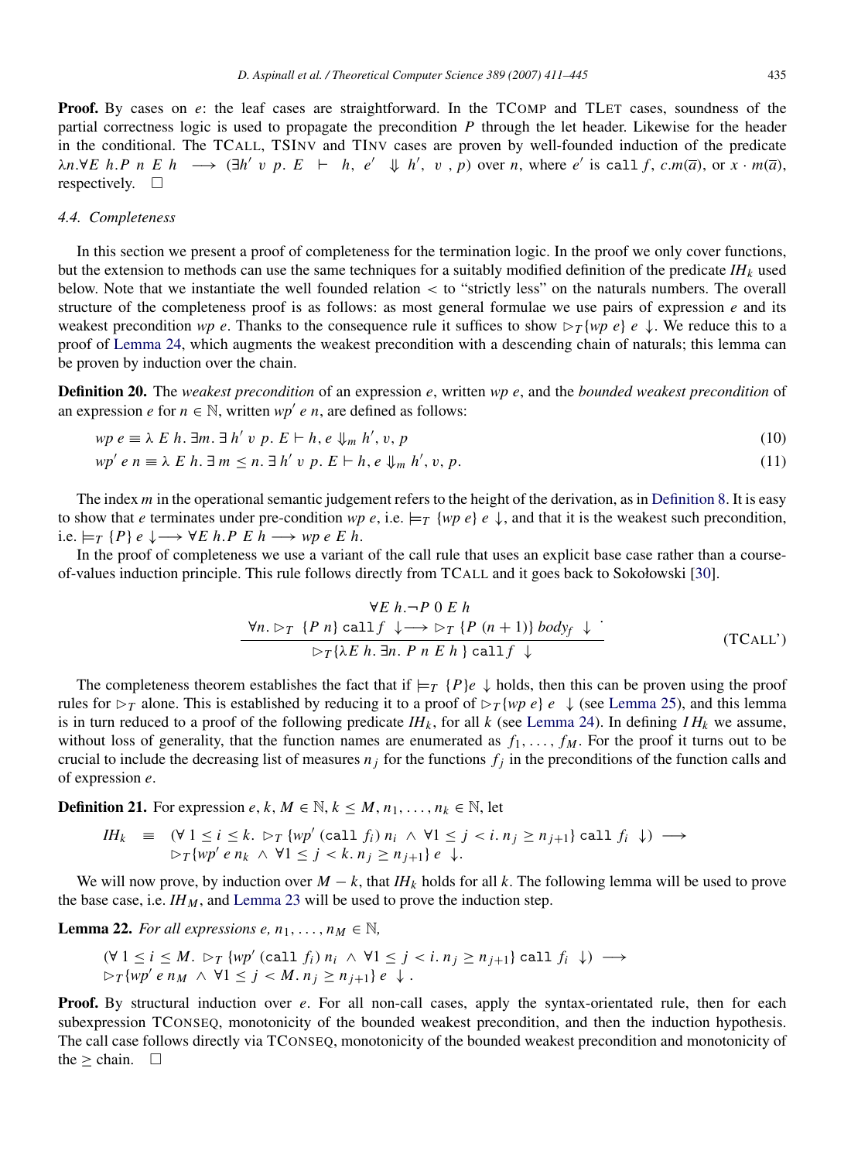**Proof.** By cases on *e*: the leaf cases are straightforward. In the TCOMP and TLET cases, soundness of the partial correctness logic is used to propagate the precondition *P* through the let header. Likewise for the header in the conditional. The TCALL, TSINV and TINV cases are proven by well-founded induction of the predicate  $\lambda n.\forall E$  h.P n E h  $\longrightarrow$   $(\exists h' \ v \ p. E + h, e' \ \Downarrow h', v, p)$  over n, where e' is call f, c.m(a), or  $x \cdot m(\overline{a})$ , respectively.  $\square$ 

#### *4.4. Completeness*

In this section we present a proof of completeness for the termination logic. In the proof we only cover functions, but the extension to methods can use the same techniques for a suitably modified definition of the predicate *IH<sup>k</sup>* used below. Note that we instantiate the well founded relation < to "strictly less" on the naturals numbers. The overall structure of the completeness proof is as follows: as most general formulae we use pairs of expression *e* and its weakest precondition *wp e*. Thanks to the consequence rule it suffices to show  $\triangleright_T \{wp \mid e \downarrow\}$ . We reduce this to a proof of [Lemma](#page-26-0) [24,](#page-26-0) which augments the weakest precondition with a descending chain of naturals; this lemma can be proven by induction over the chain.

Definition 20. The *weakest precondition* of an expression *e*, written *wp e*, and the *bounded weakest precondition* of an expression *e* for  $n \in \mathbb{N}$ , written *wp' e n*, are defined as follows:

$$
wp \in \mathbb{R} \land E \land h. \exists m. \exists h' \lor p. E \vdash h, e \Downarrow_m h', v, p \tag{10}
$$

$$
wp' e n \equiv \lambda E h. \exists m \le n. \exists h' v p. E \vdash h, e \Downarrow_m h', v, p. \tag{11}
$$

The index *m* in the operational semantic judgement refers to the height of the derivation, as in [Definition](#page-20-1) [8.](#page-20-1) It is easy to show that *e* terminates under pre-condition *wp e*, i.e.  $\models T \{wp \mid e \}$ , and that it is the weakest such precondition, i.e.  $\models$ *T* {*P*} *e* ↓→  $∀E$  *h*.*P E h* → *wp e E h*.

In the proof of completeness we use a variant of the call rule that uses an explicit base case rather than a courseof-values induction principle. This rule follows directly from TCALL and it goes back to Sokołowski [\[30\]](#page-33-28).

$$
\forall E \ h.\neg P \ 0 \ E \ h
$$
  
\n
$$
\forall n. \ \triangleright_T \ \{P \ n\} \ \text{call} \ f \ \downarrow \longrightarrow \ \triangleright_T \ \{P \ (n+1)\} \ \text{body} \ f \ \downarrow
$$
  
\n
$$
\triangleright_T \{\lambda E \ h.\ \exists n. \ P \ n \ E \ h\} \ \text{call} \ f \ \downarrow
$$
\n(TCALV)

The completeness theorem establishes the fact that if  $\models T \{P\}e \downarrow$  holds, then this can be proven using the proof rules for  $\triangleright_T$  alone. This is established by reducing it to a proof of  $\triangleright_T \{wp \mid e \}$  (see [Lemma](#page-26-1) [25\)](#page-26-1), and this lemma is in turn reduced to a proof of the following predicate  $IH_k$ , for all  $k$  (see [Lemma](#page-26-0) [24\)](#page-26-0). In defining  $IH_k$  we assume, without loss of generality, that the function names are enumerated as  $f_1, \ldots, f_M$ . For the proof it turns out to be crucial to include the decreasing list of measures  $n_j$  for the functions  $f_j$  in the preconditions of the function calls and of expression *e*.

**Definition 21.** For expression *e*, *k*, *M*  $\in \mathbb{N}$ ,  $k \leq M, n_1, \ldots, n_k \in \mathbb{N}$ , let

$$
IH_k \equiv (\forall 1 \le i \le k. \; \triangleright_T \{wp' \text{ (call } f_i) \; n_i \; \wedge \; \forall 1 \le j < i. \; n_j \ge n_{j+1} \} \text{ call } f_i \; \downarrow) \; \longrightarrow \\ \triangleright_T \{wp' \; e \; n_k \; \wedge \; \forall 1 \le j < k. \; n_j \ge n_{j+1} \} \; e \; \downarrow.
$$

We will now prove, by induction over  $M - k$ , that  $I H_k$  holds for all k. The following lemma will be used to prove the base case, i.e.  $I H_M$ , and [Lemma](#page-26-2) [23](#page-26-2) will be used to prove the induction step.

<span id="page-25-0"></span>**Lemma 22.** *For all expressions e,*  $n_1, \ldots, n_M \in \mathbb{N}$ ,

$$
(\forall 1 \le i \le M. \; \triangleright_T \{ wp' \; (\text{call } f_i) \; n_i \; \wedge \; \forall 1 \le j < i. \; n_j \ge n_{j+1} \} \; \text{call } f_i \; \downarrow) \; \longrightarrow \\ \triangleright_T \{ wp' \; e \; n_M \; \wedge \; \forall 1 \le j < M. \; n_j \ge n_{j+1} \} \; e \; \downarrow .
$$

**Proof.** By structural induction over *e*. For all non-call cases, apply the syntax-orientated rule, then for each subexpression TCONSEQ, monotonicity of the bounded weakest precondition, and then the induction hypothesis. The call case follows directly via TCONSEQ, monotonicity of the bounded weakest precondition and monotonicity of the  $\geq$  chain.  $\square$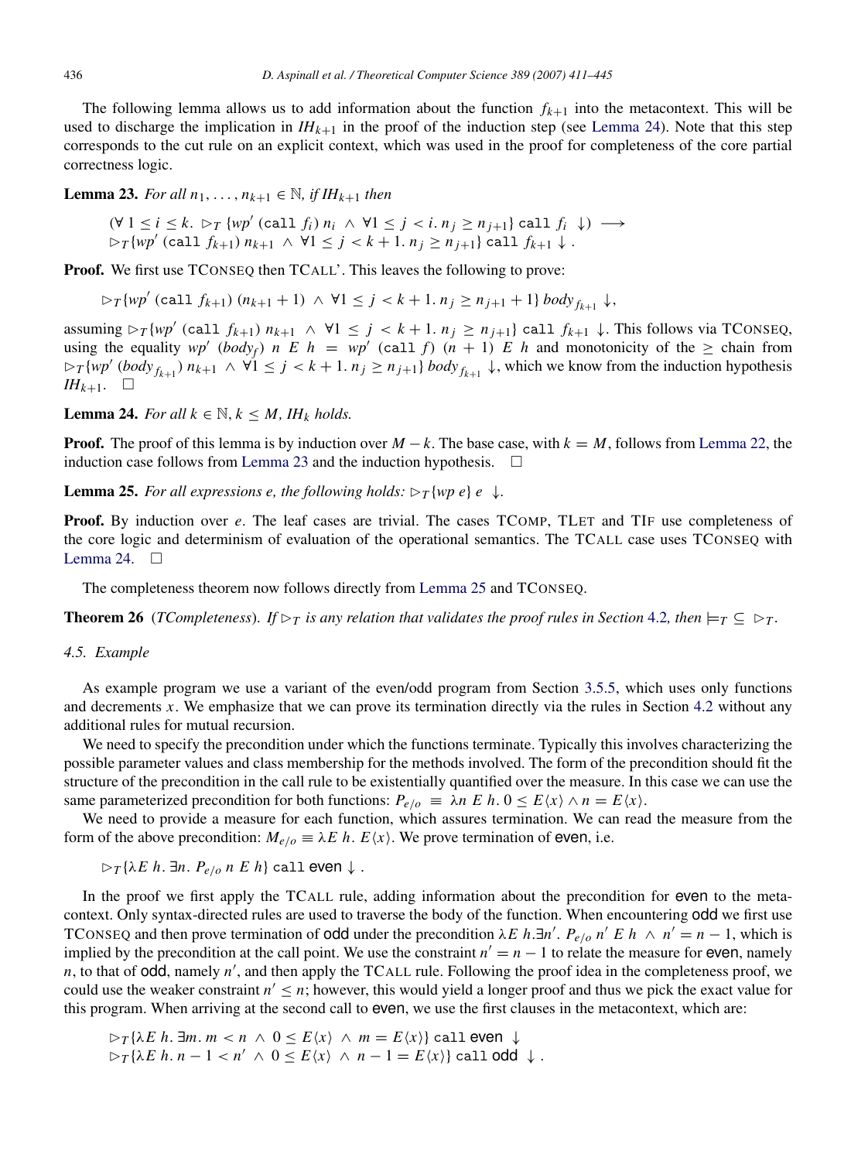The following lemma allows us to add information about the function  $f_{k+1}$  into the metacontext. This will be used to discharge the implication in  $IH_{k+1}$  in the proof of the induction step (see [Lemma](#page-26-0) [24\)](#page-26-0). Note that this step corresponds to the cut rule on an explicit context, which was used in the proof for completeness of the core partial correctness logic.

<span id="page-26-2"></span>**Lemma 23.** *For all*  $n_1, ..., n_{k+1} \in \mathbb{N}$ *, if*  $IH_{k+1}$  *then* 

 $(\forall 1 \leq i \leq k. \; \rhd_T \{wp' \text{ (call } f_i) \mid n_i \land \forall 1 \leq j \leq i. \; n_j \geq n_{j+1} \} \text{ call } f_i \ \ \downarrow) \ \longrightarrow$  $\triangleright$ *T*{*wp'* (call  $f_{k+1}$ )  $n_{k+1} \wedge \forall 1 \leq j < k+1$ .  $n_j \geq n_{j+1}$ } call  $f_{k+1} \downarrow$ .

Proof. We first use TCONSEQ then TCALL'. This leaves the following to prove:

 $\triangleright$ *T*{*wp'* (call  $f_{k+1}$ ) ( $n_{k+1} + 1$ )  $\land \forall 1 \leq j < k+1$ .  $n_j \geq n_{j+1} + 1$ }  $body_{f_{k+1}} \downarrow$ ,

assuming  $\rho_T\{wp'$  (call  $f_{k+1}$ )  $n_{k+1} \wedge \forall 1 \leq j \leq k+1$ .  $n_j \geq n_{j+1}\}$  call  $f_{k+1} \downarrow$ . This follows via TCONSEQ, using the equality  $wp'(body_f)$  *n* E h =  $wp'(call f)$  ( $n + 1$ ) E h and monotonicity of the  $\ge$  chain from  $\triangleright_T \{wp' \ (body_{f_{k+1}}) \ n_{k+1} \land \forall 1 \leq j \leq k+1, n_j \geq n_{j+1} \} \ body_{f_{k+1}} \downarrow$ , which we know from the induction hypothesis *IH*<sub>*k*+1</sub>.  $\Box$ 

<span id="page-26-0"></span>**Lemma 24.** *For all*  $k \in \mathbb{N}$ ,  $k \leq M$ , *IH<sub>k</sub> holds.* 

**Proof.** The proof of this lemma is by induction over  $M - k$ . The base case, with  $k = M$ , follows from [Lemma](#page-25-0) [22,](#page-25-0) the induction case follows from [Lemma](#page-26-2) [23](#page-26-2) and the induction hypothesis.  $\Box$ 

<span id="page-26-1"></span>**Lemma 25.** For all expressions e, the following holds:  $\triangleright_T \{wp \mid e \}$ .

**Proof.** By induction over *e*. The leaf cases are trivial. The cases TCOMP, TLET and TIF use completeness of the core logic and determinism of evaluation of the operational semantics. The TCALL case uses TCONSEQ with [Lemma](#page-26-0) [24.](#page-26-0)  $\square$ 

The completeness theorem now follows directly from [Lemma](#page-26-1) [25](#page-26-1) and TCONSEQ.

**Theorem 26** (*TCompleteness*). *If*  $\triangleright_T$  *is any relation that validates the proof rules in Section* [4.2](#page-23-0)*, then*  $\models_T \subseteq \triangleright_T$ .

#### *4.5. Example*

As example program we use a variant of the even/odd program from Section [3.5.5,](#page-19-1) which uses only functions and decrements *x*. We emphasize that we can prove its termination directly via the rules in Section [4.2](#page-23-0) without any additional rules for mutual recursion.

We need to specify the precondition under which the functions terminate. Typically this involves characterizing the possible parameter values and class membership for the methods involved. The form of the precondition should fit the structure of the precondition in the call rule to be existentially quantified over the measure. In this case we can use the same parameterized precondition for both functions:  $P_{e/o} \equiv \lambda n E h$ .  $0 \leq E \langle x \rangle \wedge n = E \langle x \rangle$ .

We need to provide a measure for each function, which assures termination. We can read the measure from the form of the above precondition:  $M_{e/o} \equiv \lambda E \ h$ .  $E(x)$ . We prove termination of even, i.e.

 $\triangleright_T \{\lambda E \ h. \ \exists n. \ P_{e/o} \ n \ E \ h\}$  call even  $\downarrow$ .

In the proof we first apply the TCALL rule, adding information about the precondition for even to the metacontext. Only syntax-directed rules are used to traverse the body of the function. When encountering odd we first use TCONSEQ and then prove termination of **odd** under the precondition  $\lambda E$  *h*. $\exists n'$ .  $P_{e/o}$  *n'*  $E$  *h*  $\wedge$  *n'* = *n* − 1, which is implied by the precondition at the call point. We use the constraint  $n' = n - 1$  to relate the measure for even, namely  $n$ , to that of odd, namely  $n'$ , and then apply the TCALL rule. Following the proof idea in the completeness proof, we could use the weaker constraint  $n' \leq n$ ; however, this would yield a longer proof and thus we pick the exact value for this program. When arriving at the second call to even, we use the first clauses in the metacontext, which are:

$$
\rhd_T\{\lambda E \ h. \ \exists m. \ m < n \ \land \ 0 \le E\langle x \rangle \ \land \ m = E\langle x \rangle\} \ \text{call even} \ \downarrow \\
 \rhd_T\{\lambda E \ h. \ n - 1 < n' \ \land \ 0 \le E\langle x \rangle \ \land \ n - 1 = E\langle x \rangle\} \ \text{call odd} \ \downarrow.
$$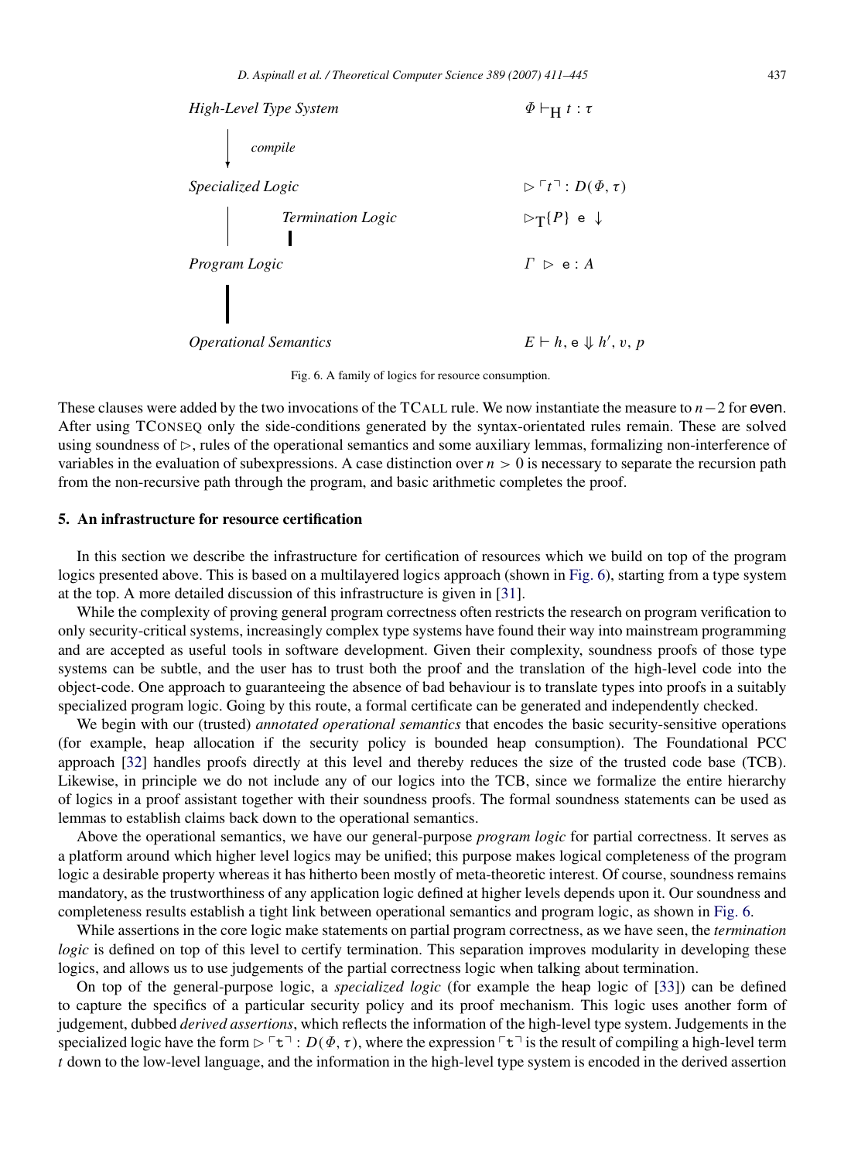<span id="page-27-1"></span>

Fig. 6. A family of logics for resource consumption.

These clauses were added by the two invocations of the TCALL rule. We now instantiate the measure to *n*−2 for even. After using TCONSEQ only the side-conditions generated by the syntax-orientated rules remain. These are solved using soundness of  $\triangleright$ , rules of the operational semantics and some auxiliary lemmas, formalizing non-interference of variables in the evaluation of subexpressions. A case distinction over  $n > 0$  is necessary to separate the recursion path from the non-recursive path through the program, and basic arithmetic completes the proof.

#### <span id="page-27-0"></span>5. An infrastructure for resource certification

In this section we describe the infrastructure for certification of resources which we build on top of the program logics presented above. This is based on a multilayered logics approach (shown in [Fig.](#page-27-1) [6\)](#page-27-1), starting from a type system at the top. A more detailed discussion of this infrastructure is given in [\[31\]](#page-33-29).

While the complexity of proving general program correctness often restricts the research on program verification to only security-critical systems, increasingly complex type systems have found their way into mainstream programming and are accepted as useful tools in software development. Given their complexity, soundness proofs of those type systems can be subtle, and the user has to trust both the proof and the translation of the high-level code into the object-code. One approach to guaranteeing the absence of bad behaviour is to translate types into proofs in a suitably specialized program logic. Going by this route, a formal certificate can be generated and independently checked.

We begin with our (trusted) *annotated operational semantics* that encodes the basic security-sensitive operations (for example, heap allocation if the security policy is bounded heap consumption). The Foundational PCC approach [\[32\]](#page-33-30) handles proofs directly at this level and thereby reduces the size of the trusted code base (TCB). Likewise, in principle we do not include any of our logics into the TCB, since we formalize the entire hierarchy of logics in a proof assistant together with their soundness proofs. The formal soundness statements can be used as lemmas to establish claims back down to the operational semantics.

Above the operational semantics, we have our general-purpose *program logic* for partial correctness. It serves as a platform around which higher level logics may be unified; this purpose makes logical completeness of the program logic a desirable property whereas it has hitherto been mostly of meta-theoretic interest. Of course, soundness remains mandatory, as the trustworthiness of any application logic defined at higher levels depends upon it. Our soundness and completeness results establish a tight link between operational semantics and program logic, as shown in [Fig.](#page-27-1) [6.](#page-27-1)

While assertions in the core logic make statements on partial program correctness, as we have seen, the *termination logic* is defined on top of this level to certify termination. This separation improves modularity in developing these logics, and allows us to use judgements of the partial correctness logic when talking about termination.

On top of the general-purpose logic, a *specialized logic* (for example the heap logic of [\[33\]](#page-34-0)) can be defined to capture the specifics of a particular security policy and its proof mechanism. This logic uses another form of judgement, dubbed *derived assertions*, which reflects the information of the high-level type system. Judgements in the specialized logic have the form  $\triangleright \ulcorner \tau \urcorner : D(\varPhi, \tau)$ , where the expression  $\ulcorner \tau \urcorner$  is the result of compiling a high-level term *t* down to the low-level language, and the information in the high-level type system is encoded in the derived assertion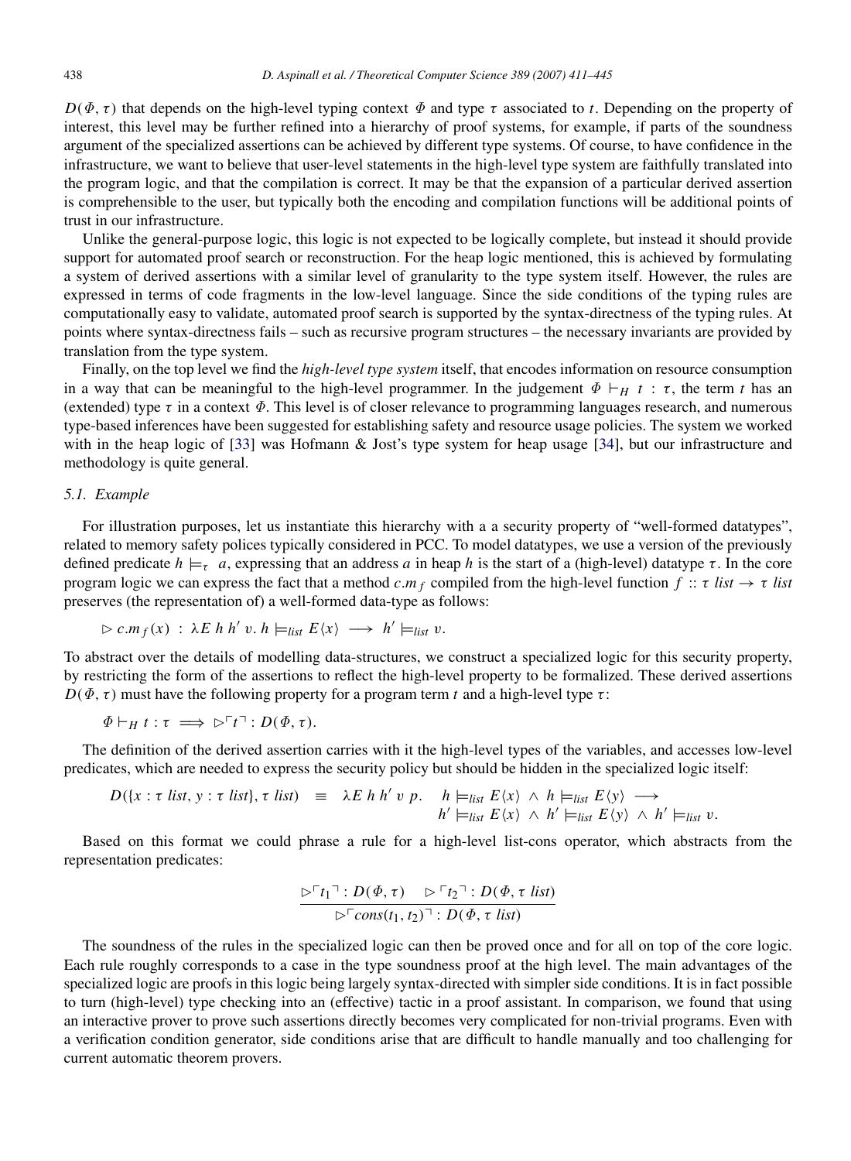$D(\Phi, \tau)$  that depends on the high-level typing context  $\Phi$  and type  $\tau$  associated to *t*. Depending on the property of interest, this level may be further refined into a hierarchy of proof systems, for example, if parts of the soundness argument of the specialized assertions can be achieved by different type systems. Of course, to have confidence in the infrastructure, we want to believe that user-level statements in the high-level type system are faithfully translated into the program logic, and that the compilation is correct. It may be that the expansion of a particular derived assertion is comprehensible to the user, but typically both the encoding and compilation functions will be additional points of trust in our infrastructure.

Unlike the general-purpose logic, this logic is not expected to be logically complete, but instead it should provide support for automated proof search or reconstruction. For the heap logic mentioned, this is achieved by formulating a system of derived assertions with a similar level of granularity to the type system itself. However, the rules are expressed in terms of code fragments in the low-level language. Since the side conditions of the typing rules are computationally easy to validate, automated proof search is supported by the syntax-directness of the typing rules. At points where syntax-directness fails – such as recursive program structures – the necessary invariants are provided by translation from the type system.

Finally, on the top level we find the *high-level type system* itself, that encodes information on resource consumption in a way that can be meaningful to the high-level programmer. In the judgement  $\Phi \vdash_H t : \tau$ , the term *t* has an (extended) type  $\tau$  in a context  $\Phi$ . This level is of closer relevance to programming languages research, and numerous type-based inferences have been suggested for establishing safety and resource usage policies. The system we worked with in the heap logic of [\[33\]](#page-34-0) was Hofmann & Jost's type system for heap usage [\[34\]](#page-34-1), but our infrastructure and methodology is quite general.

#### *5.1. Example*

For illustration purposes, let us instantiate this hierarchy with a a security property of "well-formed datatypes", related to memory safety polices typically considered in PCC. To model datatypes, we use a version of the previously defined predicate  $h \models_{\tau} a$ , expressing that an address *a* in heap *h* is the start of a (high-level) datatype  $\tau$ . In the core program logic we can express the fact that a method  $c.m_f$  compiled from the high-level function  $f :: \tau$  *list*  $\rightarrow \tau$  *list* preserves (the representation of) a well-formed data-type as follows:

$$
\triangleright c.mf(x) : \lambda E h h' v. h \models_{list} E\langle x \rangle \longrightarrow h' \models_{list} v.
$$

To abstract over the details of modelling data-structures, we construct a specialized logic for this security property, by restricting the form of the assertions to reflect the high-level property to be formalized. These derived assertions  $D(\Phi, \tau)$  must have the following property for a program term *t* and a high-level type  $\tau$ :

$$
\Phi \vdash_H t : \tau \implies \triangleright^{\ulcorner} t \urcorner : D(\varPhi, \tau).
$$

The definition of the derived assertion carries with it the high-level types of the variables, and accesses low-level predicates, which are needed to express the security policy but should be hidden in the specialized logic itself:

$$
D(\lbrace x : \tau \text{ list}, y : \tau \text{ list} \rbrace, \tau \text{ list}) \equiv \lambda E \ h \ h' \ v \ p. \quad h \models_{list} E \langle x \rangle \land h \models_{list} E \langle y \rangle \longrightarrow
$$
  

$$
h' \models_{list} E \langle x \rangle \land h' \models_{list} E \langle y \rangle \land h' \models_{list} v.
$$

Based on this format we could phrase a rule for a high-level list-cons operator, which abstracts from the representation predicates:

$$
\frac{\triangleright^{\sqcap} t_1 \urcorner : D(\Phi, \tau) \quad \triangleright^{\sqcap} t_2 \urcorner : D(\Phi, \tau \text{ list})}{\triangleright^{\sqcap} \text{cons}(t_1, t_2) \urcorner : D(\Phi, \tau \text{ list})}
$$

The soundness of the rules in the specialized logic can then be proved once and for all on top of the core logic. Each rule roughly corresponds to a case in the type soundness proof at the high level. The main advantages of the specialized logic are proofs in this logic being largely syntax-directed with simpler side conditions. It is in fact possible to turn (high-level) type checking into an (effective) tactic in a proof assistant. In comparison, we found that using an interactive prover to prove such assertions directly becomes very complicated for non-trivial programs. Even with a verification condition generator, side conditions arise that are difficult to handle manually and too challenging for current automatic theorem provers.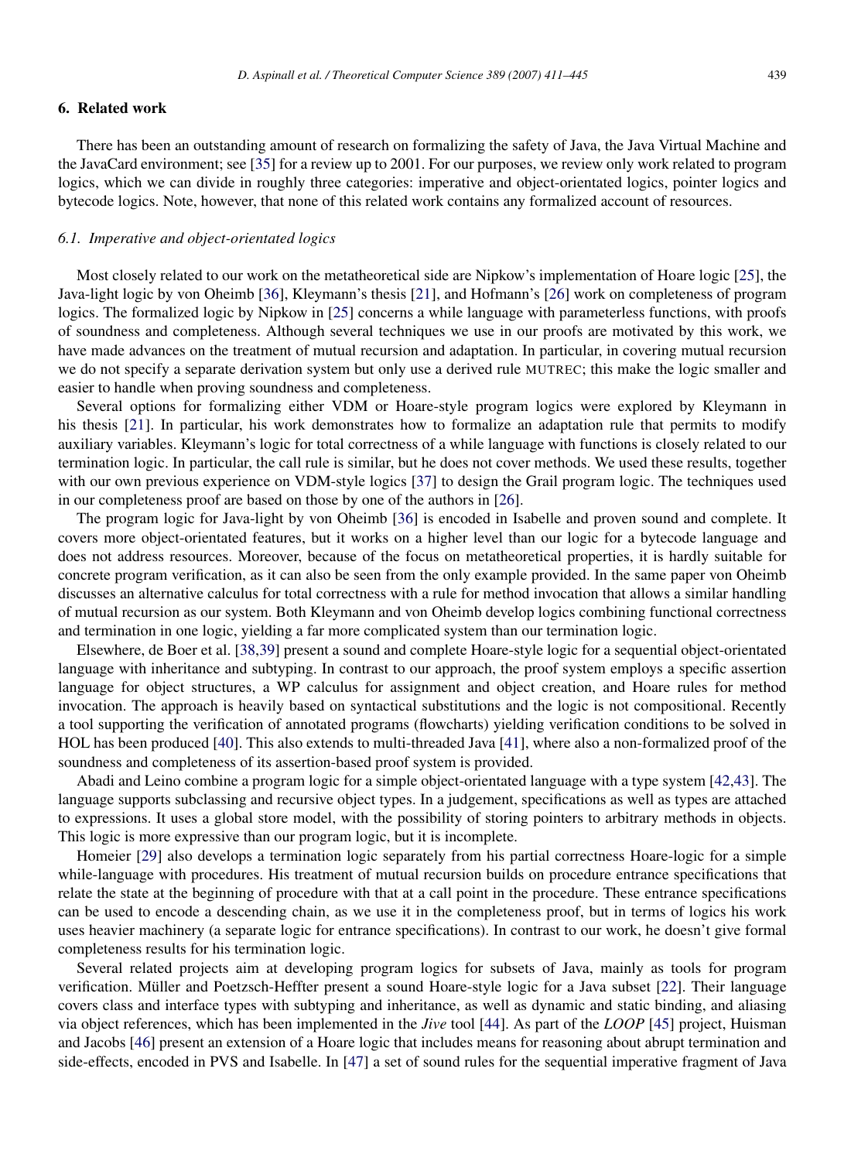#### <span id="page-29-0"></span>6. Related work

There has been an outstanding amount of research on formalizing the safety of Java, the Java Virtual Machine and the JavaCard environment; see [\[35\]](#page-34-2) for a review up to 2001. For our purposes, we review only work related to program logics, which we can divide in roughly three categories: imperative and object-orientated logics, pointer logics and bytecode logics. Note, however, that none of this related work contains any formalized account of resources.

#### *6.1. Imperative and object-orientated logics*

Most closely related to our work on the metatheoretical side are Nipkow's implementation of Hoare logic [\[25\]](#page-33-23), the Java-light logic by von Oheimb [\[36\]](#page-34-3), Kleymann's thesis [\[21\]](#page-33-19), and Hofmann's [\[26\]](#page-33-24) work on completeness of program logics. The formalized logic by Nipkow in [\[25\]](#page-33-23) concerns a while language with parameterless functions, with proofs of soundness and completeness. Although several techniques we use in our proofs are motivated by this work, we have made advances on the treatment of mutual recursion and adaptation. In particular, in covering mutual recursion we do not specify a separate derivation system but only use a derived rule MUTREC; this make the logic smaller and easier to handle when proving soundness and completeness.

Several options for formalizing either VDM or Hoare-style program logics were explored by Kleymann in his thesis [\[21\]](#page-33-19). In particular, his work demonstrates how to formalize an adaptation rule that permits to modify auxiliary variables. Kleymann's logic for total correctness of a while language with functions is closely related to our termination logic. In particular, the call rule is similar, but he does not cover methods. We used these results, together with our own previous experience on VDM-style logics [\[37\]](#page-34-4) to design the Grail program logic. The techniques used in our completeness proof are based on those by one of the authors in [\[26\]](#page-33-24).

The program logic for Java-light by von Oheimb [\[36\]](#page-34-3) is encoded in Isabelle and proven sound and complete. It covers more object-orientated features, but it works on a higher level than our logic for a bytecode language and does not address resources. Moreover, because of the focus on metatheoretical properties, it is hardly suitable for concrete program verification, as it can also be seen from the only example provided. In the same paper von Oheimb discusses an alternative calculus for total correctness with a rule for method invocation that allows a similar handling of mutual recursion as our system. Both Kleymann and von Oheimb develop logics combining functional correctness and termination in one logic, yielding a far more complicated system than our termination logic.

Elsewhere, de Boer et al. [\[38,](#page-34-5)[39\]](#page-34-6) present a sound and complete Hoare-style logic for a sequential object-orientated language with inheritance and subtyping. In contrast to our approach, the proof system employs a specific assertion language for object structures, a WP calculus for assignment and object creation, and Hoare rules for method invocation. The approach is heavily based on syntactical substitutions and the logic is not compositional. Recently a tool supporting the verification of annotated programs (flowcharts) yielding verification conditions to be solved in HOL has been produced [\[40\]](#page-34-7). This also extends to multi-threaded Java [\[41\]](#page-34-8), where also a non-formalized proof of the soundness and completeness of its assertion-based proof system is provided.

Abadi and Leino combine a program logic for a simple object-orientated language with a type system [\[42](#page-34-9)[,43\]](#page-34-10). The language supports subclassing and recursive object types. In a judgement, specifications as well as types are attached to expressions. It uses a global store model, with the possibility of storing pointers to arbitrary methods in objects. This logic is more expressive than our program logic, but it is incomplete.

Homeier [\[29\]](#page-33-27) also develops a termination logic separately from his partial correctness Hoare-logic for a simple while-language with procedures. His treatment of mutual recursion builds on procedure entrance specifications that relate the state at the beginning of procedure with that at a call point in the procedure. These entrance specifications can be used to encode a descending chain, as we use it in the completeness proof, but in terms of logics his work uses heavier machinery (a separate logic for entrance specifications). In contrast to our work, he doesn't give formal completeness results for his termination logic.

Several related projects aim at developing program logics for subsets of Java, mainly as tools for program verification. Müller and Poetzsch-Heffter present a sound Hoare-style logic for a Java subset [[22\]](#page-33-20). Their language covers class and interface types with subtyping and inheritance, as well as dynamic and static binding, and aliasing via object references, which has been implemented in the *Jive* tool [\[44\]](#page-34-11). As part of the *LOOP* [\[45\]](#page-34-12) project, Huisman and Jacobs [\[46\]](#page-34-13) present an extension of a Hoare logic that includes means for reasoning about abrupt termination and side-effects, encoded in PVS and Isabelle. In [\[47\]](#page-34-14) a set of sound rules for the sequential imperative fragment of Java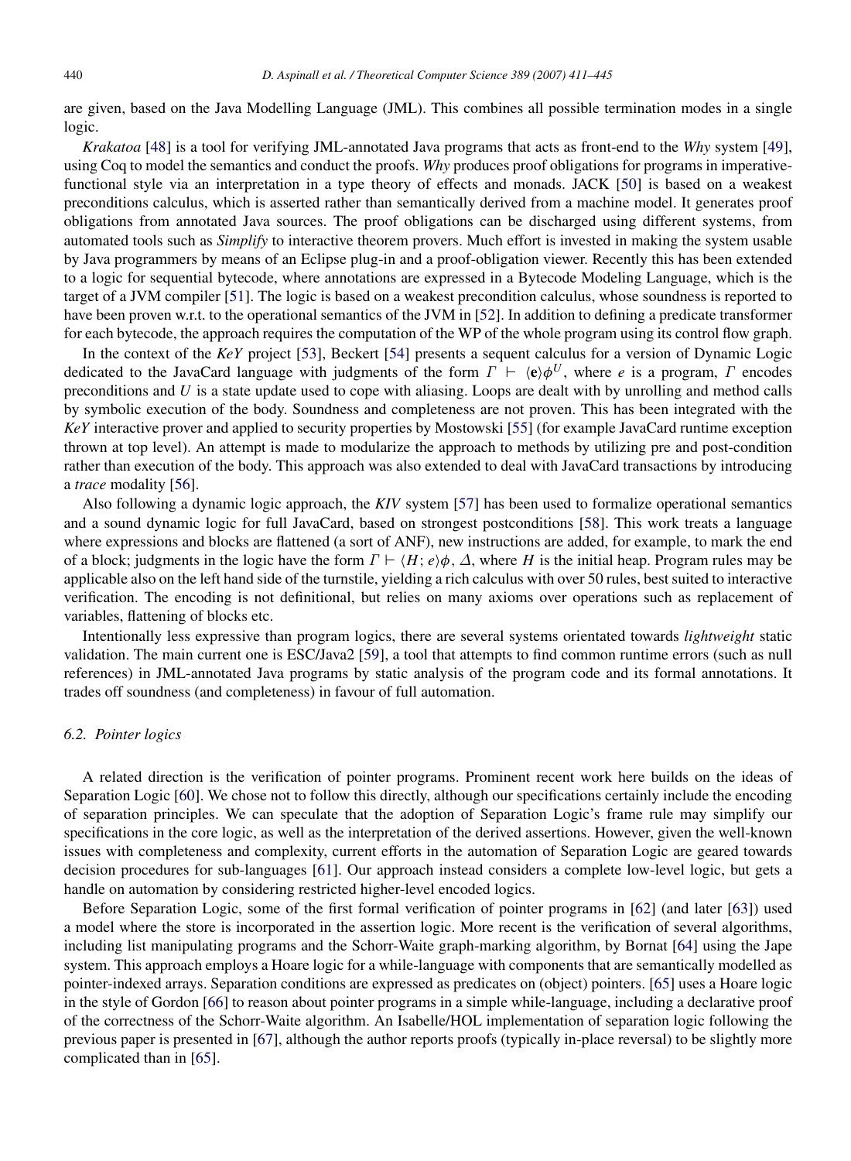are given, based on the Java Modelling Language (JML). This combines all possible termination modes in a single logic.

*Krakatoa* [\[48\]](#page-34-15) is a tool for verifying JML-annotated Java programs that acts as front-end to the *Why* system [\[49\]](#page-34-16), using Coq to model the semantics and conduct the proofs. *Why* produces proof obligations for programs in imperativefunctional style via an interpretation in a type theory of effects and monads. JACK [\[50\]](#page-34-17) is based on a weakest preconditions calculus, which is asserted rather than semantically derived from a machine model. It generates proof obligations from annotated Java sources. The proof obligations can be discharged using different systems, from automated tools such as *Simplify* to interactive theorem provers. Much effort is invested in making the system usable by Java programmers by means of an Eclipse plug-in and a proof-obligation viewer. Recently this has been extended to a logic for sequential bytecode, where annotations are expressed in a Bytecode Modeling Language, which is the target of a JVM compiler [\[51\]](#page-34-18). The logic is based on a weakest precondition calculus, whose soundness is reported to have been proven w.r.t. to the operational semantics of the JVM in [\[52\]](#page-34-19). In addition to defining a predicate transformer for each bytecode, the approach requires the computation of the WP of the whole program using its control flow graph.

In the context of the *KeY* project [\[53\]](#page-34-20), Beckert [\[54\]](#page-34-21) presents a sequent calculus for a version of Dynamic Logic dedicated to the JavaCard language with judgments of the form  $\Gamma \vdash \langle e \rangle \phi^U$ , where *e* is a program,  $\Gamma$  encodes preconditions and *U* is a state update used to cope with aliasing. Loops are dealt with by unrolling and method calls by symbolic execution of the body. Soundness and completeness are not proven. This has been integrated with the *KeY* interactive prover and applied to security properties by Mostowski [\[55\]](#page-34-22) (for example JavaCard runtime exception thrown at top level). An attempt is made to modularize the approach to methods by utilizing pre and post-condition rather than execution of the body. This approach was also extended to deal with JavaCard transactions by introducing a *trace* modality [\[56\]](#page-34-23).

Also following a dynamic logic approach, the *KIV* system [\[57\]](#page-34-24) has been used to formalize operational semantics and a sound dynamic logic for full JavaCard, based on strongest postconditions [\[58\]](#page-34-25). This work treats a language where expressions and blocks are flattened (a sort of ANF), new instructions are added, for example, to mark the end of a block; judgments in the logic have the form  $\Gamma \vdash \langle H; e \rangle \phi$ ,  $\Delta$ , where *H* is the initial heap. Program rules may be applicable also on the left hand side of the turnstile, yielding a rich calculus with over 50 rules, best suited to interactive verification. The encoding is not definitional, but relies on many axioms over operations such as replacement of variables, flattening of blocks etc.

Intentionally less expressive than program logics, there are several systems orientated towards *lightweight* static validation. The main current one is ESC/Java2 [\[59\]](#page-34-26), a tool that attempts to find common runtime errors (such as null references) in JML-annotated Java programs by static analysis of the program code and its formal annotations. It trades off soundness (and completeness) in favour of full automation.

#### *6.2. Pointer logics*

A related direction is the verification of pointer programs. Prominent recent work here builds on the ideas of Separation Logic [\[60\]](#page-34-27). We chose not to follow this directly, although our specifications certainly include the encoding of separation principles. We can speculate that the adoption of Separation Logic's frame rule may simplify our specifications in the core logic, as well as the interpretation of the derived assertions. However, given the well-known issues with completeness and complexity, current efforts in the automation of Separation Logic are geared towards decision procedures for sub-languages [\[61\]](#page-34-28). Our approach instead considers a complete low-level logic, but gets a handle on automation by considering restricted higher-level encoded logics.

Before Separation Logic, some of the first formal verification of pointer programs in [\[62\]](#page-35-0) (and later [\[63\]](#page-35-1)) used a model where the store is incorporated in the assertion logic. More recent is the verification of several algorithms, including list manipulating programs and the Schorr-Waite graph-marking algorithm, by Bornat [\[64\]](#page-35-2) using the Jape system. This approach employs a Hoare logic for a while-language with components that are semantically modelled as pointer-indexed arrays. Separation conditions are expressed as predicates on (object) pointers. [\[65\]](#page-35-3) uses a Hoare logic in the style of Gordon [\[66\]](#page-35-4) to reason about pointer programs in a simple while-language, including a declarative proof of the correctness of the Schorr-Waite algorithm. An Isabelle/HOL implementation of separation logic following the previous paper is presented in [\[67\]](#page-35-5), although the author reports proofs (typically in-place reversal) to be slightly more complicated than in [\[65\]](#page-35-3).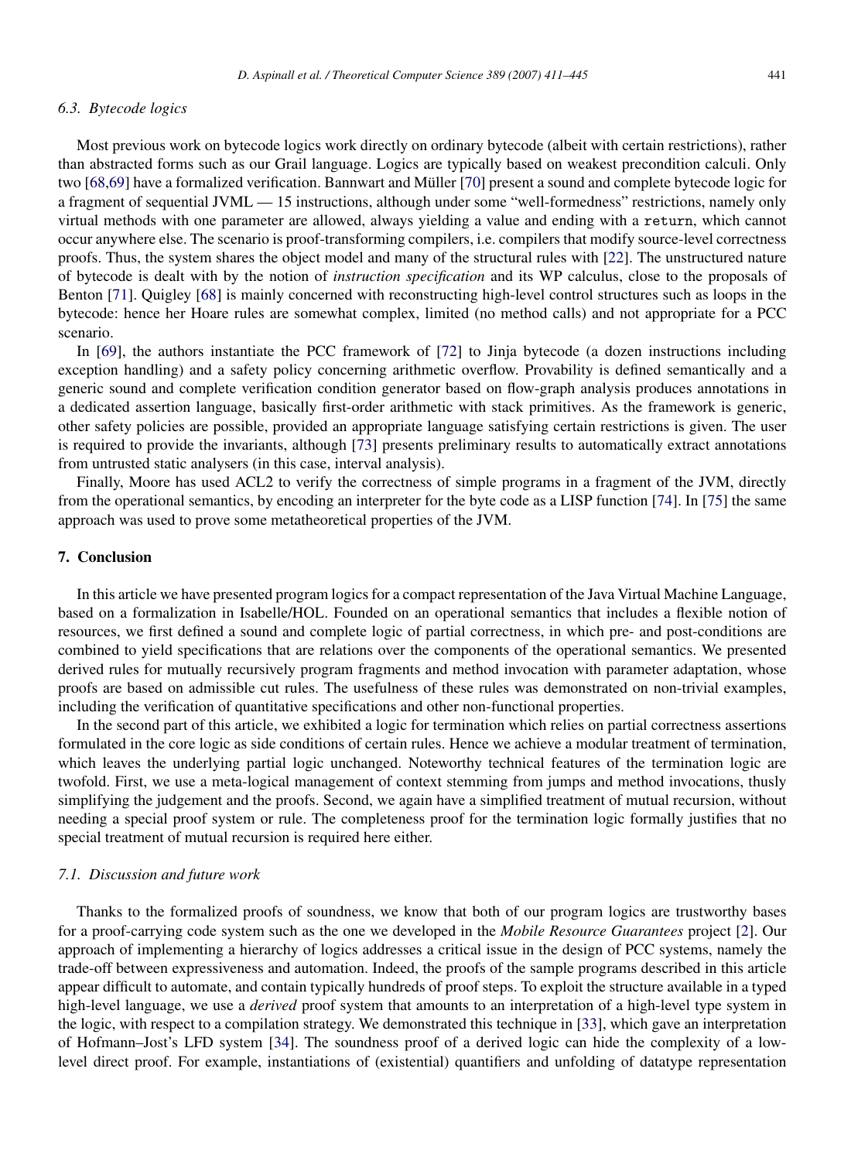#### *6.3. Bytecode logics*

Most previous work on bytecode logics work directly on ordinary bytecode (albeit with certain restrictions), rather than abstracted forms such as our Grail language. Logics are typically based on weakest precondition calculi. Only two [\[68](#page-35-6)[,69\]](#page-35-7) have a formalized verification. Bannwart and Müller [[70\]](#page-35-8) present a sound and complete bytecode logic for a fragment of sequential JVML — 15 instructions, although under some "well-formedness" restrictions, namely only virtual methods with one parameter are allowed, always yielding a value and ending with a return, which cannot occur anywhere else. The scenario is proof-transforming compilers, i.e. compilers that modify source-level correctness proofs. Thus, the system shares the object model and many of the structural rules with [\[22\]](#page-33-20). The unstructured nature of bytecode is dealt with by the notion of *instruction specification* and its WP calculus, close to the proposals of Benton [\[71\]](#page-35-9). Quigley [\[68\]](#page-35-6) is mainly concerned with reconstructing high-level control structures such as loops in the bytecode: hence her Hoare rules are somewhat complex, limited (no method calls) and not appropriate for a PCC scenario.

In [\[69\]](#page-35-7), the authors instantiate the PCC framework of [\[72\]](#page-35-10) to Jinja bytecode (a dozen instructions including exception handling) and a safety policy concerning arithmetic overflow. Provability is defined semantically and a generic sound and complete verification condition generator based on flow-graph analysis produces annotations in a dedicated assertion language, basically first-order arithmetic with stack primitives. As the framework is generic, other safety policies are possible, provided an appropriate language satisfying certain restrictions is given. The user is required to provide the invariants, although [\[73\]](#page-35-11) presents preliminary results to automatically extract annotations from untrusted static analysers (in this case, interval analysis).

Finally, Moore has used ACL2 to verify the correctness of simple programs in a fragment of the JVM, directly from the operational semantics, by encoding an interpreter for the byte code as a LISP function [\[74\]](#page-35-12). In [\[75\]](#page-35-13) the same approach was used to prove some metatheoretical properties of the JVM.

#### <span id="page-31-0"></span>7. Conclusion

In this article we have presented program logics for a compact representation of the Java Virtual Machine Language, based on a formalization in Isabelle/HOL. Founded on an operational semantics that includes a flexible notion of resources, we first defined a sound and complete logic of partial correctness, in which pre- and post-conditions are combined to yield specifications that are relations over the components of the operational semantics. We presented derived rules for mutually recursively program fragments and method invocation with parameter adaptation, whose proofs are based on admissible cut rules. The usefulness of these rules was demonstrated on non-trivial examples, including the verification of quantitative specifications and other non-functional properties.

In the second part of this article, we exhibited a logic for termination which relies on partial correctness assertions formulated in the core logic as side conditions of certain rules. Hence we achieve a modular treatment of termination, which leaves the underlying partial logic unchanged. Noteworthy technical features of the termination logic are twofold. First, we use a meta-logical management of context stemming from jumps and method invocations, thusly simplifying the judgement and the proofs. Second, we again have a simplified treatment of mutual recursion, without needing a special proof system or rule. The completeness proof for the termination logic formally justifies that no special treatment of mutual recursion is required here either.

#### *7.1. Discussion and future work*

Thanks to the formalized proofs of soundness, we know that both of our program logics are trustworthy bases for a proof-carrying code system such as the one we developed in the *Mobile Resource Guarantees* project [\[2\]](#page-33-1). Our approach of implementing a hierarchy of logics addresses a critical issue in the design of PCC systems, namely the trade-off between expressiveness and automation. Indeed, the proofs of the sample programs described in this article appear difficult to automate, and contain typically hundreds of proof steps. To exploit the structure available in a typed high-level language, we use a *derived* proof system that amounts to an interpretation of a high-level type system in the logic, with respect to a compilation strategy. We demonstrated this technique in [\[33\]](#page-34-0), which gave an interpretation of Hofmann–Jost's LFD system [\[34\]](#page-34-1). The soundness proof of a derived logic can hide the complexity of a lowlevel direct proof. For example, instantiations of (existential) quantifiers and unfolding of datatype representation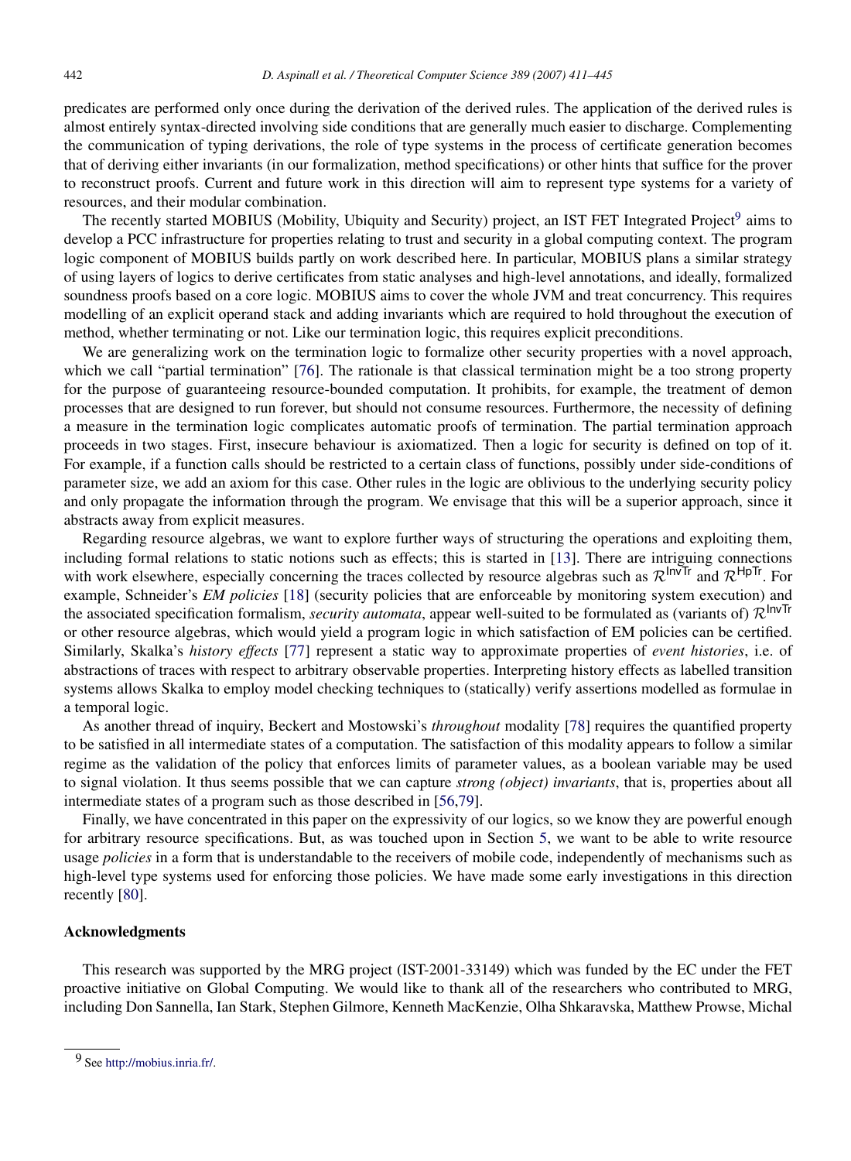predicates are performed only once during the derivation of the derived rules. The application of the derived rules is almost entirely syntax-directed involving side conditions that are generally much easier to discharge. Complementing the communication of typing derivations, the role of type systems in the process of certificate generation becomes that of deriving either invariants (in our formalization, method specifications) or other hints that suffice for the prover to reconstruct proofs. Current and future work in this direction will aim to represent type systems for a variety of resources, and their modular combination.

The recently started MOBIUS (Mobility, Ubiquity and Security) project, an IST FET Integrated Project<sup>[9](#page-32-0)</sup> aims to develop a PCC infrastructure for properties relating to trust and security in a global computing context. The program logic component of MOBIUS builds partly on work described here. In particular, MOBIUS plans a similar strategy of using layers of logics to derive certificates from static analyses and high-level annotations, and ideally, formalized soundness proofs based on a core logic. MOBIUS aims to cover the whole JVM and treat concurrency. This requires modelling of an explicit operand stack and adding invariants which are required to hold throughout the execution of method, whether terminating or not. Like our termination logic, this requires explicit preconditions.

We are generalizing work on the termination logic to formalize other security properties with a novel approach, which we call "partial termination" [\[76\]](#page-35-14). The rationale is that classical termination might be a too strong property for the purpose of guaranteeing resource-bounded computation. It prohibits, for example, the treatment of demon processes that are designed to run forever, but should not consume resources. Furthermore, the necessity of defining a measure in the termination logic complicates automatic proofs of termination. The partial termination approach proceeds in two stages. First, insecure behaviour is axiomatized. Then a logic for security is defined on top of it. For example, if a function calls should be restricted to a certain class of functions, possibly under side-conditions of parameter size, we add an axiom for this case. Other rules in the logic are oblivious to the underlying security policy and only propagate the information through the program. We envisage that this will be a superior approach, since it abstracts away from explicit measures.

Regarding resource algebras, we want to explore further ways of structuring the operations and exploiting them, including formal relations to static notions such as effects; this is started in [\[13\]](#page-33-13). There are intriguing connections with work elsewhere, especially concerning the traces collected by resource algebras such as  $\mathcal{R}^{\text{InvTr}}$  and  $\mathcal{R}^{\text{HpTr}}$ . For example, Schneider's *EM policies* [\[18\]](#page-33-16) (security policies that are enforceable by monitoring system execution) and the associated specification formalism, *security automata*, appear well-suited to be formulated as (variants of)  $\mathcal{R}^{InvTr}$ or other resource algebras, which would yield a program logic in which satisfaction of EM policies can be certified. Similarly, Skalka's *history effects* [\[77\]](#page-35-15) represent a static way to approximate properties of *event histories*, i.e. of abstractions of traces with respect to arbitrary observable properties. Interpreting history effects as labelled transition systems allows Skalka to employ model checking techniques to (statically) verify assertions modelled as formulae in a temporal logic.

As another thread of inquiry, Beckert and Mostowski's *throughout* modality [\[78\]](#page-35-16) requires the quantified property to be satisfied in all intermediate states of a computation. The satisfaction of this modality appears to follow a similar regime as the validation of the policy that enforces limits of parameter values, as a boolean variable may be used to signal violation. It thus seems possible that we can capture *strong (object) invariants*, that is, properties about all intermediate states of a program such as those described in [\[56](#page-34-23)[,79\]](#page-35-17).

Finally, we have concentrated in this paper on the expressivity of our logics, so we know they are powerful enough for arbitrary resource specifications. But, as was touched upon in Section [5,](#page-27-0) we want to be able to write resource usage *policies* in a form that is understandable to the receivers of mobile code, independently of mechanisms such as high-level type systems used for enforcing those policies. We have made some early investigations in this direction recently [\[80\]](#page-35-18).

#### Acknowledgments

This research was supported by the MRG project (IST-2001-33149) which was funded by the EC under the FET proactive initiative on Global Computing. We would like to thank all of the researchers who contributed to MRG, including Don Sannella, Ian Stark, Stephen Gilmore, Kenneth MacKenzie, Olha Shkaravska, Matthew Prowse, Michal

<span id="page-32-0"></span><sup>9</sup> See [http://mobius.inria.fr/.](http://mobius.inria.fr/)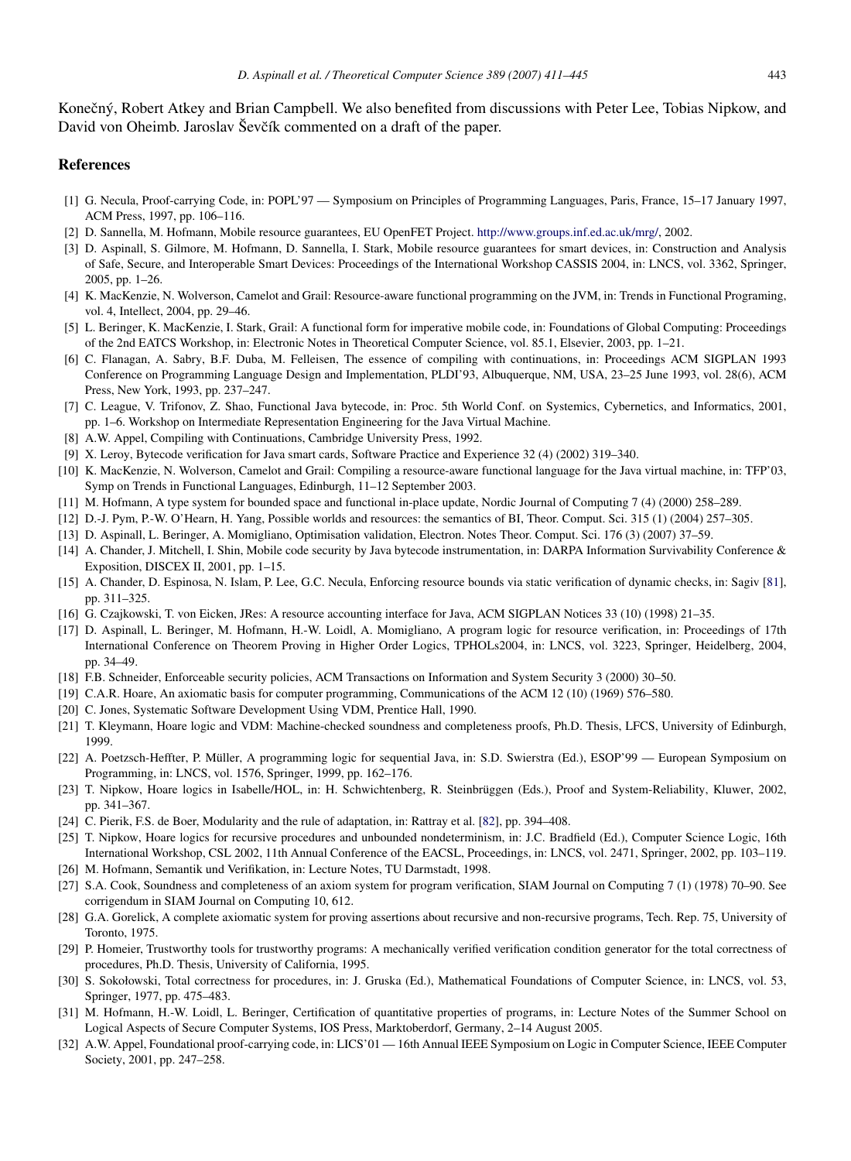Konečný, Robert Atkey and Brian Campbell. We also benefited from discussions with Peter Lee, Tobias Nipkow, and David von Oheimb. Jaroslav Ševčík commented on a draft of the paper.

#### References

- <span id="page-33-0"></span>[1] G. Necula, Proof-carrying Code, in: POPL'97 — Symposium on Principles of Programming Languages, Paris, France, 15–17 January 1997, ACM Press, 1997, pp. 106–116.
- <span id="page-33-1"></span>[2] D. Sannella, M. Hofmann, Mobile resource guarantees, EU OpenFET Project. [http://www.groups.inf.ed.ac.uk/mrg/,](http://www.groups.inf.ed.ac.uk/mrg/) 2002.
- <span id="page-33-2"></span>[3] D. Aspinall, S. Gilmore, M. Hofmann, D. Sannella, I. Stark, Mobile resource guarantees for smart devices, in: Construction and Analysis of Safe, Secure, and Interoperable Smart Devices: Proceedings of the International Workshop CASSIS 2004, in: LNCS, vol. 3362, Springer, 2005, pp. 1–26.
- <span id="page-33-3"></span>[4] K. MacKenzie, N. Wolverson, Camelot and Grail: Resource-aware functional programming on the JVM, in: Trends in Functional Programing, vol. 4, Intellect, 2004, pp. 29–46.
- <span id="page-33-4"></span>[5] L. Beringer, K. MacKenzie, I. Stark, Grail: A functional form for imperative mobile code, in: Foundations of Global Computing: Proceedings of the 2nd EATCS Workshop, in: Electronic Notes in Theoretical Computer Science, vol. 85.1, Elsevier, 2003, pp. 1–21.
- <span id="page-33-5"></span>[6] C. Flanagan, A. Sabry, B.F. Duba, M. Felleisen, The essence of compiling with continuations, in: Proceedings ACM SIGPLAN 1993 Conference on Programming Language Design and Implementation, PLDI'93, Albuquerque, NM, USA, 23–25 June 1993, vol. 28(6), ACM Press, New York, 1993, pp. 237–247.
- <span id="page-33-6"></span>[7] C. League, V. Trifonov, Z. Shao, Functional Java bytecode, in: Proc. 5th World Conf. on Systemics, Cybernetics, and Informatics, 2001, pp. 1–6. Workshop on Intermediate Representation Engineering for the Java Virtual Machine.
- <span id="page-33-7"></span>[8] A.W. Appel, Compiling with Continuations, Cambridge University Press, 1992.
- <span id="page-33-8"></span>[9] X. Leroy, Bytecode verification for Java smart cards, Software Practice and Experience 32 (4) (2002) 319–340.
- <span id="page-33-9"></span>[10] K. MacKenzie, N. Wolverson, Camelot and Grail: Compiling a resource-aware functional language for the Java virtual machine, in: TFP'03, Symp on Trends in Functional Languages, Edinburgh, 11–12 September 2003.
- <span id="page-33-10"></span>[11] M. Hofmann, A type system for bounded space and functional in-place update, Nordic Journal of Computing 7 (4) (2000) 258–289.
- <span id="page-33-14"></span>[12] D.-J. Pym, P.-W. O'Hearn, H. Yang, Possible worlds and resources: the semantics of BI, Theor. Comput. Sci. 315 (1) (2004) 257–305.
- <span id="page-33-13"></span>[13] D. Aspinall, L. Beringer, A. Momigliano, Optimisation validation, Electron. Notes Theor. Comput. Sci. 176 (3) (2007) 37–59.
- <span id="page-33-11"></span>[14] A. Chander, J. Mitchell, I. Shin, Mobile code security by Java bytecode instrumentation, in: DARPA Information Survivability Conference & Exposition, DISCEX II, 2001, pp. 1–15.
- [15] A. Chander, D. Espinosa, N. Islam, P. Lee, G.C. Necula, Enforcing resource bounds via static verification of dynamic checks, in: Sagiv [\[81\]](#page-35-19), pp. 311–325.
- <span id="page-33-12"></span>[16] G. Czajkowski, T. von Eicken, JRes: A resource accounting interface for Java, ACM SIGPLAN Notices 33 (10) (1998) 21–35.
- <span id="page-33-15"></span>[17] D. Aspinall, L. Beringer, M. Hofmann, H.-W. Loidl, A. Momigliano, A program logic for resource verification, in: Proceedings of 17th International Conference on Theorem Proving in Higher Order Logics, TPHOLs2004, in: LNCS, vol. 3223, Springer, Heidelberg, 2004, pp. 34–49.
- <span id="page-33-16"></span>[18] F.B. Schneider, Enforceable security policies, ACM Transactions on Information and System Security 3 (2000) 30–50.
- <span id="page-33-17"></span>[19] C.A.R. Hoare, An axiomatic basis for computer programming, Communications of the ACM 12 (10) (1969) 576–580.
- <span id="page-33-18"></span>[20] C. Jones, Systematic Software Development Using VDM, Prentice Hall, 1990.
- <span id="page-33-19"></span>[21] T. Kleymann, Hoare logic and VDM: Machine-checked soundness and completeness proofs, Ph.D. Thesis, LFCS, University of Edinburgh, 1999.
- <span id="page-33-20"></span>[22] A. Poetzsch-Heffter, P. Müller, A programming logic for sequential Java, in: S.D. Swierstra (Ed.), ESOP'99 — European Symposium on Programming, in: LNCS, vol. 1576, Springer, 1999, pp. 162–176.
- <span id="page-33-21"></span>[23] T. Nipkow, Hoare logics in Isabelle/HOL, in: H. Schwichtenberg, R. Steinbrüggen (Eds.), Proof and System-Reliability, Kluwer, 2002, pp. 341–367.
- <span id="page-33-22"></span>[24] C. Pierik, F.S. de Boer, Modularity and the rule of adaptation, in: Rattray et al. [\[82\]](#page-35-20), pp. 394–408.
- <span id="page-33-23"></span>[25] T. Nipkow, Hoare logics for recursive procedures and unbounded nondeterminism, in: J.C. Bradfield (Ed.), Computer Science Logic, 16th International Workshop, CSL 2002, 11th Annual Conference of the EACSL, Proceedings, in: LNCS, vol. 2471, Springer, 2002, pp. 103–119.
- <span id="page-33-24"></span>[26] M. Hofmann, Semantik und Verifikation, in: Lecture Notes, TU Darmstadt, 1998.
- <span id="page-33-25"></span>[27] S.A. Cook, Soundness and completeness of an axiom system for program verification, SIAM Journal on Computing 7 (1) (1978) 70–90. See corrigendum in SIAM Journal on Computing 10, 612.
- <span id="page-33-26"></span>[28] G.A. Gorelick, A complete axiomatic system for proving assertions about recursive and non-recursive programs, Tech. Rep. 75, University of Toronto, 1975.
- <span id="page-33-27"></span>[29] P. Homeier, Trustworthy tools for trustworthy programs: A mechanically verified verification condition generator for the total correctness of procedures, Ph.D. Thesis, University of California, 1995.
- <span id="page-33-28"></span>[30] S. Sokołowski, Total correctness for procedures, in: J. Gruska (Ed.), Mathematical Foundations of Computer Science, in: LNCS, vol. 53, Springer, 1977, pp. 475–483.
- <span id="page-33-29"></span>[31] M. Hofmann, H.-W. Loidl, L. Beringer, Certification of quantitative properties of programs, in: Lecture Notes of the Summer School on Logical Aspects of Secure Computer Systems, IOS Press, Marktoberdorf, Germany, 2–14 August 2005.
- <span id="page-33-30"></span>[32] A.W. Appel, Foundational proof-carrying code, in: LICS'01 — 16th Annual IEEE Symposium on Logic in Computer Science, IEEE Computer Society, 2001, pp. 247–258.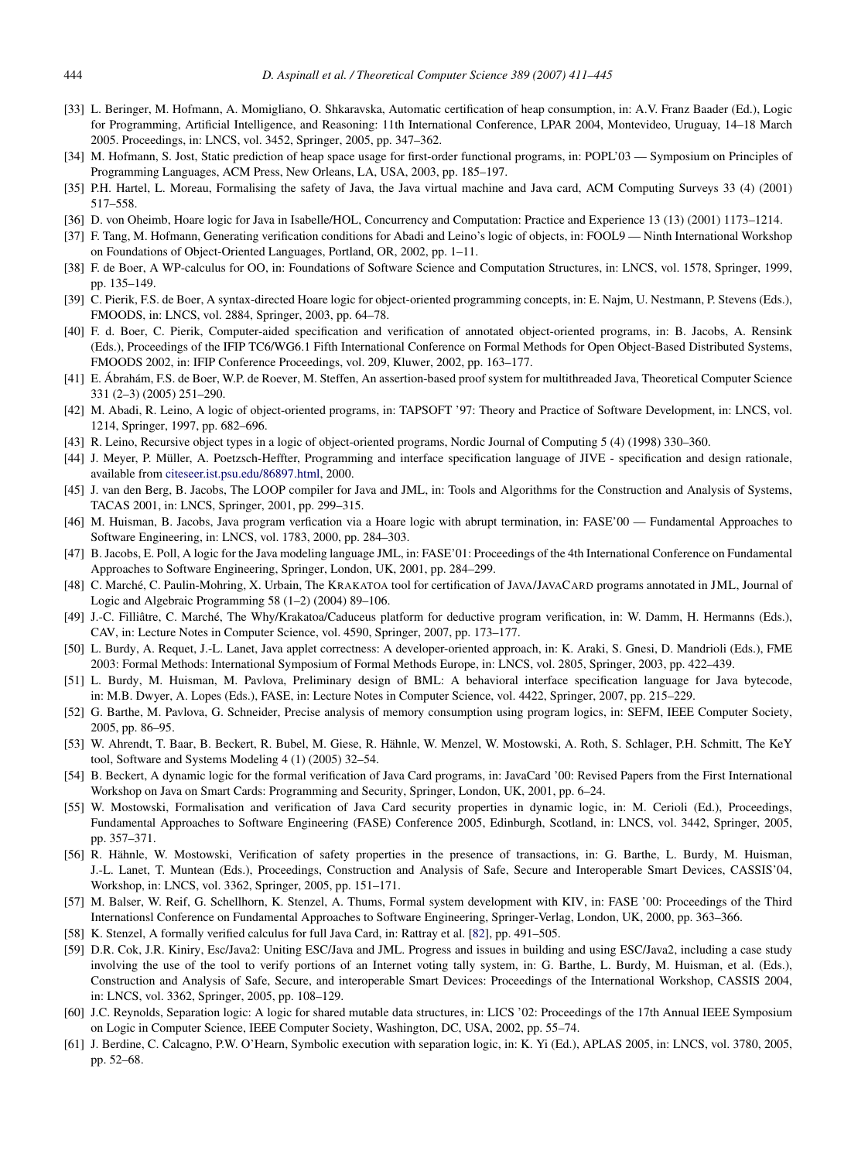- <span id="page-34-0"></span>[33] L. Beringer, M. Hofmann, A. Momigliano, O. Shkaravska, Automatic certification of heap consumption, in: A.V. Franz Baader (Ed.), Logic for Programming, Artificial Intelligence, and Reasoning: 11th International Conference, LPAR 2004, Montevideo, Uruguay, 14–18 March 2005. Proceedings, in: LNCS, vol. 3452, Springer, 2005, pp. 347–362.
- <span id="page-34-1"></span>[34] M. Hofmann, S. Jost, Static prediction of heap space usage for first-order functional programs, in: POPL'03 — Symposium on Principles of Programming Languages, ACM Press, New Orleans, LA, USA, 2003, pp. 185–197.
- <span id="page-34-2"></span>[35] P.H. Hartel, L. Moreau, Formalising the safety of Java, the Java virtual machine and Java card, ACM Computing Surveys 33 (4) (2001) 517–558.
- <span id="page-34-3"></span>[36] D. von Oheimb, Hoare logic for Java in Isabelle/HOL, Concurrency and Computation: Practice and Experience 13 (13) (2001) 1173–1214.
- <span id="page-34-4"></span>[37] F. Tang, M. Hofmann, Generating verification conditions for Abadi and Leino's logic of objects, in: FOOL9 — Ninth International Workshop on Foundations of Object-Oriented Languages, Portland, OR, 2002, pp. 1–11.
- <span id="page-34-5"></span>[38] F. de Boer, A WP-calculus for OO, in: Foundations of Software Science and Computation Structures, in: LNCS, vol. 1578, Springer, 1999, pp. 135–149.
- <span id="page-34-6"></span>[39] C. Pierik, F.S. de Boer, A syntax-directed Hoare logic for object-oriented programming concepts, in: E. Najm, U. Nestmann, P. Stevens (Eds.), FMOODS, in: LNCS, vol. 2884, Springer, 2003, pp. 64–78.
- <span id="page-34-7"></span>[40] F. d. Boer, C. Pierik, Computer-aided specification and verification of annotated object-oriented programs, in: B. Jacobs, A. Rensink (Eds.), Proceedings of the IFIP TC6/WG6.1 Fifth International Conference on Formal Methods for Open Object-Based Distributed Systems, FMOODS 2002, in: IFIP Conference Proceedings, vol. 209, Kluwer, 2002, pp. 163–177.
- <span id="page-34-8"></span>[41] E. Ábrahám, F.S. de Boer, W.P. de Roever, M. Steffen, An assertion-based proof system for multithreaded Java, Theoretical Computer Science 331 (2–3) (2005) 251–290.
- <span id="page-34-9"></span>[42] M. Abadi, R. Leino, A logic of object-oriented programs, in: TAPSOFT '97: Theory and Practice of Software Development, in: LNCS, vol. 1214, Springer, 1997, pp. 682–696.
- <span id="page-34-10"></span>[43] R. Leino, Recursive object types in a logic of object-oriented programs, Nordic Journal of Computing 5 (4) (1998) 330–360.
- <span id="page-34-11"></span>[44] J. Meyer, P. Müller, A. Poetzsch-Heffter, Programming and interface specification language of JIVE - specification and design rationale, available from [citeseer.ist.psu.edu/86897.html,](citeseer.ist.psu.edu/86897.html) 2000.
- <span id="page-34-12"></span>[45] J. van den Berg, B. Jacobs, The LOOP compiler for Java and JML, in: Tools and Algorithms for the Construction and Analysis of Systems, TACAS 2001, in: LNCS, Springer, 2001, pp. 299–315.
- <span id="page-34-13"></span>[46] M. Huisman, B. Jacobs, Java program verfication via a Hoare logic with abrupt termination, in: FASE'00 — Fundamental Approaches to Software Engineering, in: LNCS, vol. 1783, 2000, pp. 284–303.
- <span id="page-34-14"></span>[47] B. Jacobs, E. Poll, A logic for the Java modeling language JML, in: FASE'01: Proceedings of the 4th International Conference on Fundamental Approaches to Software Engineering, Springer, London, UK, 2001, pp. 284–299.
- <span id="page-34-15"></span>[48] C. Marché, C. Paulin-Mohring, X. Urbain, The KRAKATOA tool for certification of JAVA/JAVACARD programs annotated in JML, Journal of Logic and Algebraic Programming 58 (1–2) (2004) 89–106.
- <span id="page-34-16"></span>[49] J.-C. Filliâtre, C. Marché, The Why/Krakatoa/Caduceus platform for deductive program verification, in: W. Damm, H. Hermanns (Eds.), CAV, in: Lecture Notes in Computer Science, vol. 4590, Springer, 2007, pp. 173–177.
- <span id="page-34-17"></span>[50] L. Burdy, A. Requet, J.-L. Lanet, Java applet correctness: A developer-oriented approach, in: K. Araki, S. Gnesi, D. Mandrioli (Eds.), FME 2003: Formal Methods: International Symposium of Formal Methods Europe, in: LNCS, vol. 2805, Springer, 2003, pp. 422–439.
- <span id="page-34-18"></span>[51] L. Burdy, M. Huisman, M. Pavlova, Preliminary design of BML: A behavioral interface specification language for Java bytecode, in: M.B. Dwyer, A. Lopes (Eds.), FASE, in: Lecture Notes in Computer Science, vol. 4422, Springer, 2007, pp. 215–229.
- <span id="page-34-19"></span>[52] G. Barthe, M. Pavlova, G. Schneider, Precise analysis of memory consumption using program logics, in: SEFM, IEEE Computer Society, 2005, pp. 86–95.
- <span id="page-34-20"></span>[53] W. Ahrendt, T. Baar, B. Beckert, R. Bubel, M. Giese, R. Hahnle, W. Menzel, W. Mostowski, A. Roth, S. Schlager, P.H. Schmitt, The KeY ¨ tool, Software and Systems Modeling 4 (1) (2005) 32–54.
- <span id="page-34-21"></span>[54] B. Beckert, A dynamic logic for the formal verification of Java Card programs, in: JavaCard '00: Revised Papers from the First International Workshop on Java on Smart Cards: Programming and Security, Springer, London, UK, 2001, pp. 6–24.
- <span id="page-34-22"></span>[55] W. Mostowski, Formalisation and verification of Java Card security properties in dynamic logic, in: M. Cerioli (Ed.), Proceedings, Fundamental Approaches to Software Engineering (FASE) Conference 2005, Edinburgh, Scotland, in: LNCS, vol. 3442, Springer, 2005, pp. 357–371.
- <span id="page-34-23"></span>[56] R. Hähnle, W. Mostowski, Verification of safety properties in the presence of transactions, in: G. Barthe, L. Burdy, M. Huisman, J.-L. Lanet, T. Muntean (Eds.), Proceedings, Construction and Analysis of Safe, Secure and Interoperable Smart Devices, CASSIS'04, Workshop, in: LNCS, vol. 3362, Springer, 2005, pp. 151–171.
- <span id="page-34-24"></span>[57] M. Balser, W. Reif, G. Schellhorn, K. Stenzel, A. Thums, Formal system development with KIV, in: FASE '00: Proceedings of the Third Internationsl Conference on Fundamental Approaches to Software Engineering, Springer-Verlag, London, UK, 2000, pp. 363–366.
- <span id="page-34-25"></span>[58] K. Stenzel, A formally verified calculus for full Java Card, in: Rattray et al. [\[82\]](#page-35-20), pp. 491–505.
- <span id="page-34-26"></span>[59] D.R. Cok, J.R. Kiniry, Esc/Java2: Uniting ESC/Java and JML. Progress and issues in building and using ESC/Java2, including a case study involving the use of the tool to verify portions of an Internet voting tally system, in: G. Barthe, L. Burdy, M. Huisman, et al. (Eds.), Construction and Analysis of Safe, Secure, and interoperable Smart Devices: Proceedings of the International Workshop, CASSIS 2004, in: LNCS, vol. 3362, Springer, 2005, pp. 108–129.
- <span id="page-34-27"></span>[60] J.C. Reynolds, Separation logic: A logic for shared mutable data structures, in: LICS '02: Proceedings of the 17th Annual IEEE Symposium on Logic in Computer Science, IEEE Computer Society, Washington, DC, USA, 2002, pp. 55–74.
- <span id="page-34-28"></span>[61] J. Berdine, C. Calcagno, P.W. O'Hearn, Symbolic execution with separation logic, in: K. Yi (Ed.), APLAS 2005, in: LNCS, vol. 3780, 2005, pp. 52–68.